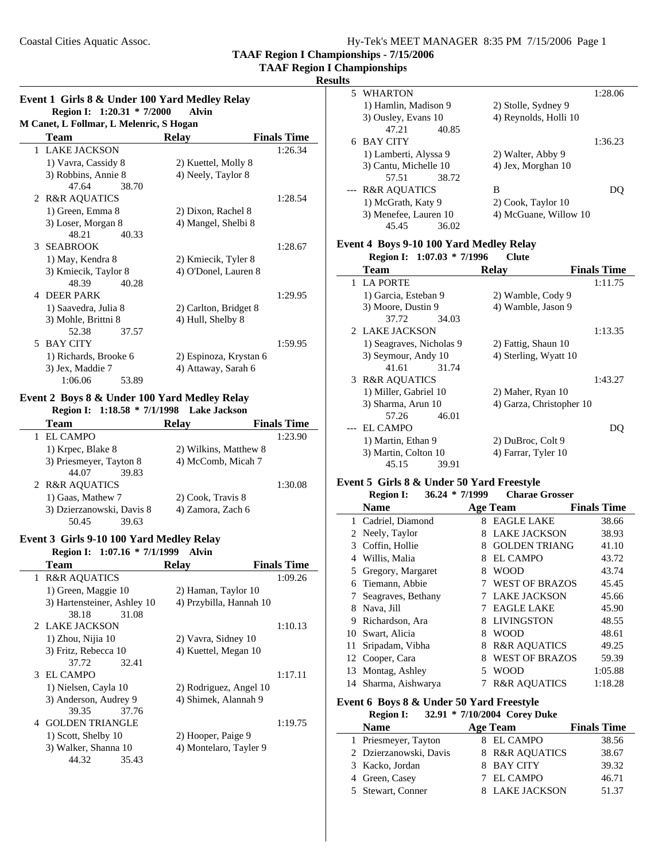**TAAF Region I Championships**

#### **Results**

| Event 1 Girls 8 & Under 100 Yard Medley Relay |                              |       |  |
|-----------------------------------------------|------------------------------|-------|--|
|                                               | Region I: $1:20.31 * 7/2000$ | Alvin |  |

| M Canet, L Follmar, L Melenric, S Hogan |                       |                        |                    |  |  |  |
|-----------------------------------------|-----------------------|------------------------|--------------------|--|--|--|
|                                         | Team                  | Relay                  | <b>Finals Time</b> |  |  |  |
|                                         | 1 LAKE JACKSON        |                        | 1:26.34            |  |  |  |
|                                         | 1) Vavra, Cassidy 8   | 2) Kuettel, Molly 8    |                    |  |  |  |
|                                         | 3) Robbins, Annie 8   | 4) Neely, Taylor 8     |                    |  |  |  |
|                                         | 47.64<br>38.70        |                        |                    |  |  |  |
|                                         | 2 R&R AQUATICS        |                        | 1:28.54            |  |  |  |
|                                         | 1) Green, Emma 8      | 2) Dixon, Rachel 8     |                    |  |  |  |
|                                         | 3) Loser, Morgan 8    | 4) Mangel, Shelbi 8    |                    |  |  |  |
|                                         | 48.21<br>40.33        |                        |                    |  |  |  |
|                                         | 3 SEABROOK            |                        | 1:28.67            |  |  |  |
|                                         | 1) May, Kendra 8      | 2) Kmiecik, Tyler 8    |                    |  |  |  |
|                                         | 3) Kmiecik, Taylor 8  | 4) O'Donel, Lauren 8   |                    |  |  |  |
|                                         | 40.28<br>48.39        |                        |                    |  |  |  |
| $\Delta$                                | <b>DEER PARK</b>      |                        | 1:29.95            |  |  |  |
|                                         | 1) Saavedra, Julia 8  | 2) Carlton, Bridget 8  |                    |  |  |  |
|                                         | 3) Mohle, Brittni 8   | 4) Hull, Shelby 8      |                    |  |  |  |
|                                         | 52.38<br>37.57        |                        |                    |  |  |  |
|                                         | 5 BAY CITY            |                        | 1:59.95            |  |  |  |
|                                         | 1) Richards, Brooke 6 | 2) Espinoza, Krystan 6 |                    |  |  |  |
|                                         | 3) Jex, Maddie 7      | 4) Attaway, Sarah 6    |                    |  |  |  |
|                                         | 1:06.06<br>53.89      |                        |                    |  |  |  |

#### **Event 2 Boys 8 & Under 100 Yard Medley Relay Region I:** 1:18.58 \* 7/1/1998 **Lake Jackson**

| Region 1. 1.10.00 //1/1220 | -LANC JAUNSUH         |                    |
|----------------------------|-----------------------|--------------------|
| <b>Team</b>                | <b>Relay</b>          | <b>Finals Time</b> |
| 1 EL CAMPO                 |                       | 1:23.90            |
| 1) Krpec, Blake 8          | 2) Wilkins, Matthew 8 |                    |
| 3) Priesmeyer, Tayton 8    | 4) McComb, Micah 7    |                    |
| 39.83<br>44.07             |                       |                    |
| 2 R&R AQUATICS             |                       | 1:30.08            |
| 1) Gaas, Mathew 7          | 2) Cook, Travis 8     |                    |
| 3) Dzierzanowski, Davis 8  | 4) Zamora, Zach 6     |                    |
| 39.63<br>50.45             |                       |                    |

#### **Event 3 Girls 9-10 100 Yard Medley Relay**

**Region I:** 1:07.16 \* 7/1/1999 Alvin

| Team                                    | <b>Relay</b>            | <b>Finals Time</b> |
|-----------------------------------------|-------------------------|--------------------|
| <b>R&amp;R AQUATICS</b><br>$\mathbf{1}$ |                         | 1:09.26            |
| 1) Green, Maggie 10                     | 2) Haman, Taylor 10     |                    |
| 3) Hartensteiner, Ashley 10             | 4) Przybilla, Hannah 10 |                    |
| 38.18<br>31.08                          |                         |                    |
| 2 LAKE JACKSON                          |                         | 1:10.13            |
| 1) Zhou, Nijia 10                       | 2) Vavra, Sidney 10     |                    |
| 3) Fritz, Rebecca 10                    | 4) Kuettel, Megan 10    |                    |
| 37.72<br>32.41                          |                         |                    |
| 3 EL CAMPO                              |                         | 1:17.11            |
| 1) Nielsen, Cayla 10                    | 2) Rodriguez, Angel 10  |                    |
| 3) Anderson, Audrey 9                   | 4) Shimek, Alannah 9    |                    |
| 37.76<br>39.35                          |                         |                    |
| 4 GOLDEN TRIANGLE                       |                         | 1:19.75            |
| 1) Scott, Shelby 10                     | 2) Hooper, Paige 9      |                    |
| 3) Walker, Shanna 10                    | 4) Montelaro, Tayler 9  |                    |
| 44.32<br>35.43                          |                         |                    |
|                                         |                         |                    |

|   | 5 WHARTON               |       |                       | 1:28.06 |
|---|-------------------------|-------|-----------------------|---------|
|   | 1) Hamlin, Madison 9    |       | 2) Stolle, Sydney 9   |         |
|   | 3) Ousley, Evans 10     |       | 4) Reynolds, Holli 10 |         |
|   | 47.21                   | 40.85 |                       |         |
| 6 | <b>BAY CITY</b>         |       |                       | 1:36.23 |
|   | 1) Lamberti, Alyssa 9   |       | 2) Walter, Abby 9     |         |
|   | 3) Cantu, Michelle 10   |       | 4) Jex, Morghan 10    |         |
|   | 57.51                   | 38.72 |                       |         |
|   | <b>R&amp;R AQUATICS</b> |       | B                     |         |
|   | 1) McGrath, Katy 9      |       | 2) Cook, Taylor 10    |         |
|   | 3) Menefee, Lauren 10   |       | 4) McGuane, Willow 10 |         |
|   | 45.45                   | 36.02 |                       |         |

#### **Event 4 Boys 9-10 100 Yard Medley Relay**

**Region I:** 1:07.03 \* 7/1996 Clute

| <b>Team</b>              | <b>Relav</b>             | <b>Finals Time</b> |
|--------------------------|--------------------------|--------------------|
| 1 LA PORTE               |                          | 1:11.75            |
| 1) Garcia, Esteban 9     | 2) Wamble, Cody 9        |                    |
| 3) Moore, Dustin 9       | 4) Wamble, Jason 9       |                    |
| 37.72<br>34.03           |                          |                    |
| 2 LAKE JACKSON           |                          | 1:13.35            |
| 1) Seagraves, Nicholas 9 | 2) Fattig, Shaun 10      |                    |
| 3) Seymour, Andy 10      | 4) Sterling, Wyatt 10    |                    |
| 31.74<br>41.61           |                          |                    |
| 3 R&R AQUATICS           |                          | 1:43.27            |
| 1) Miller, Gabriel 10    | 2) Maher, Ryan 10        |                    |
| 3) Sharma, Arun 10       | 4) Garza, Christopher 10 |                    |
| 46.01<br>57.26           |                          |                    |
| EL CAMPO                 |                          |                    |
| 1) Martin, Ethan 9       | 2) DuBroc, Colt 9        |                    |
| 3) Martin, Colton 10     | 4) Farrar, Tyler 10      |                    |
| 45.15<br>39.91           |                          |                    |
|                          |                          |                    |

# **Event 5 Girls 8 & Under 50 Yard Freestyle**

|    | <b>Region I:</b>     | $36.24 * 7/1999$ | <b>Charae Grosser</b>   |                    |
|----|----------------------|------------------|-------------------------|--------------------|
|    | <b>Name</b>          |                  | <b>Age Team</b>         | <b>Finals Time</b> |
|    | 1 Cadriel, Diamond   | 8                | <b>EAGLE LAKE</b>       | 38.66              |
|    | 2 Neely, Taylor      | 8                | <b>LAKE JACKSON</b>     | 38.93              |
| 3  | Coffin, Hollie       | 8                | <b>GOLDEN TRIANG</b>    | 41.10              |
| 4  | Willis, Malia        | 8                | EL CAMPO                | 43.72              |
|    | 5 Gregory, Margaret  | 8                | WOOD                    | 43.74              |
| 6  | Tiemann, Abbie       | 7                | <b>WEST OF BRAZOS</b>   | 45.45              |
|    | Seagraves, Bethany   |                  | <b>LAKE JACKSON</b>     | 45.66              |
| 8  | Nava, Jill           | 7                | <b>EAGLE LAKE</b>       | 45.90              |
| 9  | Richardson, Ara      | 8                | <b>LIVINGSTON</b>       | 48.55              |
|    | 10 Swart, Alicia     | 8                | <b>WOOD</b>             | 48.61              |
| 11 | Sripadam, Vibha      | 8                | <b>R&amp;R AQUATICS</b> | 49.25              |
| 12 | Cooper, Cara         | 8                | <b>WEST OF BRAZOS</b>   | 59.39              |
| 13 | Montag, Ashley       | 5                | <b>WOOD</b>             | 1:05.88            |
|    | 14 Sharma, Aishwarya |                  | <b>R&amp;R AQUATICS</b> | 1:18.28            |

# **Event 6 Boys 8 & Under 50 Yard Freestyle**

**Region I:** 32.91 \* 7/10/2004 Corey Duke

÷

| <b>Name</b>            |  | Age Team       | <b>Finals Time</b> |
|------------------------|--|----------------|--------------------|
| 1 Priesmeyer, Tayton   |  | 8 EL CAMPO     | 38.56              |
| 2 Dzierzanowski, Davis |  | 8 R&R AQUATICS | 38.67              |
| 3 Kacko, Jordan        |  | 8 BAY CITY     | 39.32              |
| 4 Green, Casey         |  | 7 EL CAMPO     | 46.71              |
| 5 Stewart, Conner      |  | 8 LAKE JACKSON | 51.37              |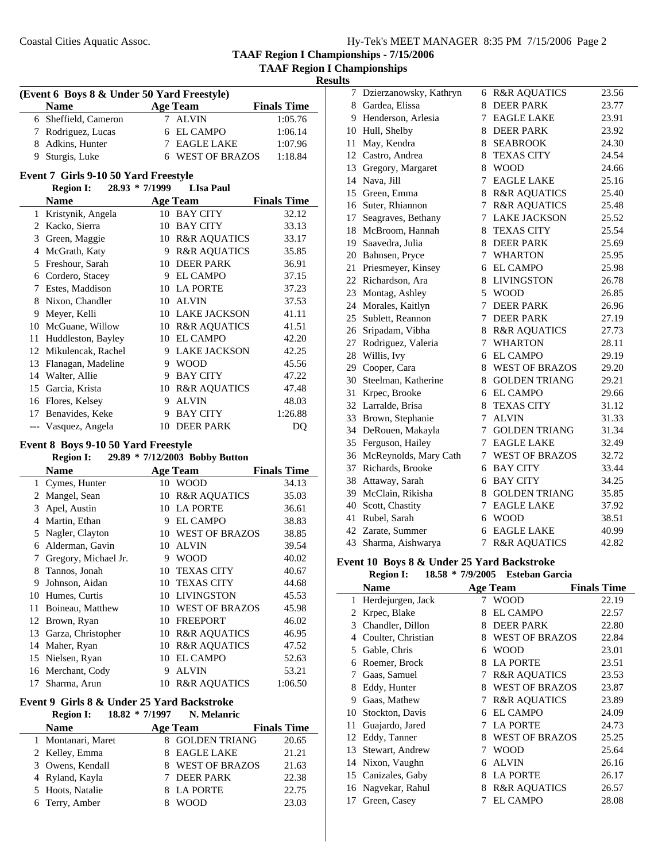7 23.56 Dzierzanowsky, Kathryn 6 R&R AQUATICS 8 Gardea, Elissa 8 DEER PARK 23.77 9 Henderson, Arlesia 7 EAGLE LAKE 23.91 10 Hull, Shelby 8 DEER PARK 23.92 11 May, Kendra 8 SEABROOK 24.30 12 Castro, Andrea 8 TEXAS CITY 24.54

**TAAF Region I Championships - 7/15/2006 TAAF Region I Championships**

**Results**

 $\overline{\phantom{0}}$ 

| (Event 6 Boys 8 & Under 50 Yard Freestyle) |                                      |             |                                |                    |  |
|--------------------------------------------|--------------------------------------|-------------|--------------------------------|--------------------|--|
|                                            | <b>Name</b>                          |             | <b>Age Team</b>                | <b>Finals Time</b> |  |
|                                            | 6 Sheffield, Cameron                 | $7^{\circ}$ | <b>ALVIN</b>                   | 1:05.76            |  |
|                                            | 7 Rodriguez, Lucas                   |             | 6 EL CAMPO                     | 1:06.14            |  |
|                                            | 8 Adkins, Hunter                     |             | 7 EAGLE LAKE                   | 1:07.96            |  |
|                                            | 9 Sturgis, Luke                      |             | 6 WEST OF BRAZOS               | 1:18.84            |  |
|                                            | Event 7 Girls 9-10 50 Yard Freestyle |             |                                |                    |  |
|                                            | 28.93 * 7/1999<br><b>Region I:</b>   |             | <b>LIsa Paul</b>               |                    |  |
|                                            | <b>Name</b>                          |             | <b>Age Team</b>                | <b>Finals Time</b> |  |
|                                            | 1 Kristynik, Angela                  |             | 10 BAY CITY                    | 32.12              |  |
|                                            | 2 Kacko, Sierra                      |             | 10 BAY CITY                    | 33.13              |  |
|                                            | 3 Green, Maggie                      |             | 10 R&R AQUATICS                | 33.17              |  |
|                                            | 4 McGrath, Katy                      |             | 9 R&R AQUATICS                 | 35.85              |  |
|                                            | 5 Freshour, Sarah                    |             | 10 DEER PARK                   | 36.91              |  |
|                                            | 6 Cordero, Stacey                    |             | 9 EL CAMPO                     | 37.15              |  |
|                                            | 7 Estes, Maddison                    |             | 10 LA PORTE                    | 37.23              |  |
|                                            | 8 Nixon, Chandler                    |             | 10 ALVIN                       | 37.53              |  |
|                                            | 9 Meyer, Kelli                       |             | 10 LAKE JACKSON                | 41.11              |  |
|                                            | 10 McGuane, Willow                   |             | 10 R&R AQUATICS                | 41.51              |  |
|                                            | 11 Huddleston, Bayley                |             | 10 EL CAMPO                    | 42.20              |  |
|                                            | 12 Mikulencak, Rachel                |             | 9 LAKE JACKSON                 | 42.25              |  |
|                                            | 13 Flanagan, Madeline                |             | 9 WOOD                         | 45.56              |  |
|                                            | 14 Walter, Allie                     |             | 9 BAY CITY                     | 47.22              |  |
|                                            | 15 Garcia, Krista                    |             | 10 R&R AQUATICS                | 47.48              |  |
|                                            | 16 Flores, Kelsey                    | 9           | <b>ALVIN</b>                   | 48.03              |  |
|                                            | 17 Benavides, Keke                   | 9.          | <b>BAY CITY</b>                | 1:26.88            |  |
|                                            | --- Vasquez, Angela                  |             | 10 DEER PARK                   | DO                 |  |
|                                            | Event 8 Boys 9-10 50 Yard Freestyle  |             |                                |                    |  |
|                                            | <b>Region I:</b>                     |             | 29.89 * 7/12/2003 Bobby Button |                    |  |
|                                            | <b>Name</b>                          |             | <b>Age Team</b>                | <b>Finals Time</b> |  |
|                                            | 1 Cymes, Hunter                      |             | 10 WOOD                        | 34.13              |  |
|                                            | 2 Mangel, Sean                       |             | 10 R&R AQUATICS                | 35.03              |  |
|                                            | 3 Apel, Austin                       |             | 10 LA PORTE                    | 36.61              |  |
|                                            | 4 Martin, Ethan                      |             | 9 EL CAMPO                     | 38.83              |  |
|                                            | 5 Nagler, Clayton                    |             | 10 WEST OF BRAZOS              | 38.85              |  |
|                                            | 6 Alderman, Gavin                    |             | 10 ALVIN                       | 39.54              |  |
|                                            | 7 Gregory, Michael Jr.               |             | 9 WOOD                         | 40.02              |  |
|                                            | 8 Tannos, Jonah                      |             | 10 TEXAS CITY                  | 40.67              |  |
|                                            | 9 Johnson, Aidan                     |             | 10 TEXAS CITY                  | 44.68              |  |
|                                            | 10 Humes, Curtis                     |             | 10 LIVINGSTON                  | 45.53              |  |
| 11                                         | Boineau, Matthew                     |             | 10 WEST OF BRAZOS              | 45.98              |  |
| 12                                         | Brown, Ryan                          |             | 10 FREEPORT                    | 46.02              |  |

13 Garza, Christopher 10 R&R AQUATICS 46.95 14 Maher, Ryan 10 R&R AQUATICS 47.52 15 52.63 Nielsen, Ryan 10 EL CAMPO 16 Merchant, Cody 9 ALVIN 53.21 17 Sharma, Arun 10 R&R AQUATICS 1:06.50

**Name Age Team Finals Time** 1 Montanari, Maret 8 GOLDEN TRIANG 20.65 2 Kelley, Emma 8 EAGLE LAKE 21.21 3 Owens, Kendall 8 WEST OF BRAZOS 21.63 4 Ryland, Kayla 7 DEER PARK 22.38 5 22.75 Hoots, Natalie 8 LA PORTE 6 23.03 Terry, Amber 8 WOOD

**Event 9 Girls 8 & Under 25 Yard Backstroke**

**Region I: 18.82 \* 7/1997 N. Melanric** 

| 13 | Gregory, Margaret     | 8 | <b>WOOD</b>             | 24.66 |
|----|-----------------------|---|-------------------------|-------|
| 14 | Nava, Jill            | 7 | <b>EAGLE LAKE</b>       | 25.16 |
| 15 | Green, Emma           | 8 | <b>R&amp;R AQUATICS</b> | 25.40 |
| 16 | Suter, Rhiannon       | 7 | <b>R&amp;R AQUATICS</b> | 25.48 |
| 17 | Seagraves, Bethany    | 7 | <b>LAKE JACKSON</b>     | 25.52 |
| 18 | McBroom, Hannah       | 8 | <b>TEXAS CITY</b>       | 25.54 |
| 19 | Saavedra, Julia       | 8 | <b>DEER PARK</b>        | 25.69 |
| 20 | Bahnsen, Pryce        | 7 | <b>WHARTON</b>          | 25.95 |
| 21 | Priesmeyer, Kinsey    | 6 | <b>EL CAMPO</b>         | 25.98 |
| 22 | Richardson, Ara       | 8 | <b>LIVINGSTON</b>       | 26.78 |
| 23 | Montag, Ashley        | 5 | <b>WOOD</b>             | 26.85 |
| 24 | Morales, Kaitlyn      | 7 | <b>DEER PARK</b>        | 26.96 |
| 25 | Sublett, Reannon      | 7 | <b>DEER PARK</b>        | 27.19 |
| 26 | Sripadam, Vibha       | 8 | <b>R&amp;R AQUATICS</b> | 27.73 |
| 27 | Rodriguez, Valeria    | 7 | <b>WHARTON</b>          | 28.11 |
| 28 | Willis, Ivy           | 6 | <b>EL CAMPO</b>         | 29.19 |
| 29 | Cooper, Cara          | 8 | <b>WEST OF BRAZOS</b>   | 29.20 |
| 30 | Steelman, Katherine   | 8 | <b>GOLDEN TRIANG</b>    | 29.21 |
| 31 | Krpec, Brooke         | 6 | <b>EL CAMPO</b>         | 29.66 |
| 32 | Larralde, Brisa       | 8 | <b>TEXAS CITY</b>       | 31.12 |
| 33 | Brown, Stephanie      | 7 | <b>ALVIN</b>            | 31.33 |
| 34 | DeRouen, Makayla      | 7 | <b>GOLDEN TRIANG</b>    | 31.34 |
| 35 | Ferguson, Hailey      | 7 | <b>EAGLE LAKE</b>       | 32.49 |
| 36 | McReynolds, Mary Cath | 7 | <b>WEST OF BRAZOS</b>   | 32.72 |
| 37 | Richards, Brooke      | 6 | <b>BAY CITY</b>         | 33.44 |
| 38 | Attaway, Sarah        | 6 | <b>BAY CITY</b>         | 34.25 |
| 39 | McClain, Rikisha      | 8 | <b>GOLDEN TRIANG</b>    | 35.85 |
| 40 | Scott, Chastity       | 7 | <b>EAGLE LAKE</b>       | 37.92 |
| 41 | Rubel, Sarah          | 6 | <b>WOOD</b>             | 38.51 |
| 42 | Zarate, Summer        | 6 | <b>EAGLE LAKE</b>       | 40.99 |
| 43 | Sharma, Aishwarya     | 7 | <b>R&amp;R AQUATICS</b> | 42.82 |
|    |                       |   |                         |       |

# **Event 10 Boys 8 & Under 25 Yard Backstroke**

|    | <b>Region I:</b>   | $18.58 * 7/9/2005$ | <b>Esteban Garcia</b>   |                    |
|----|--------------------|--------------------|-------------------------|--------------------|
|    | <b>Name</b>        |                    | <b>Age Team</b>         | <b>Finals Time</b> |
|    | Herdejurgen, Jack  | 7                  | WOOD                    | 22.19              |
| 2  | Krpec, Blake       | 8                  | <b>EL CAMPO</b>         | 22.57              |
| 3  | Chandler, Dillon   | 8                  | <b>DEER PARK</b>        | 22.80              |
| 4  | Coulter, Christian | 8                  | <b>WEST OF BRAZOS</b>   | 22.84              |
| 5  | Gable, Chris       | 6                  | WOOD                    | 23.01              |
| 6  | Roemer, Brock      | 8                  | <b>LA PORTE</b>         | 23.51              |
| 7  | Gaas, Samuel       | 7                  | <b>R&amp;R AQUATICS</b> | 23.53              |
| 8  | Eddy, Hunter       | 8                  | <b>WEST OF BRAZOS</b>   | 23.87              |
| 9  | Gaas, Mathew       | 7                  | <b>R&amp;R AQUATICS</b> | 23.89              |
| 10 | Stockton, Davis    | 6                  | <b>EL CAMPO</b>         | 24.09              |
| 11 | Guajardo, Jared    | 7                  | <b>LA PORTE</b>         | 24.73              |
| 12 | Eddy, Tanner       | 8                  | <b>WEST OF BRAZOS</b>   | 25.25              |
| 13 | Stewart, Andrew    | 7                  | WOOD                    | 25.64              |
| 14 | Nixon, Vaughn      | 6                  | <b>ALVIN</b>            | 26.16              |
| 15 | Canizales, Gaby    | 8                  | <b>LA PORTE</b>         | 26.17              |
| 16 | Nagvekar, Rahul    | 8                  | <b>R&amp;R AQUATICS</b> | 26.57              |
| 17 | Green, Casey       | 7                  | <b>EL CAMPO</b>         | 28.08              |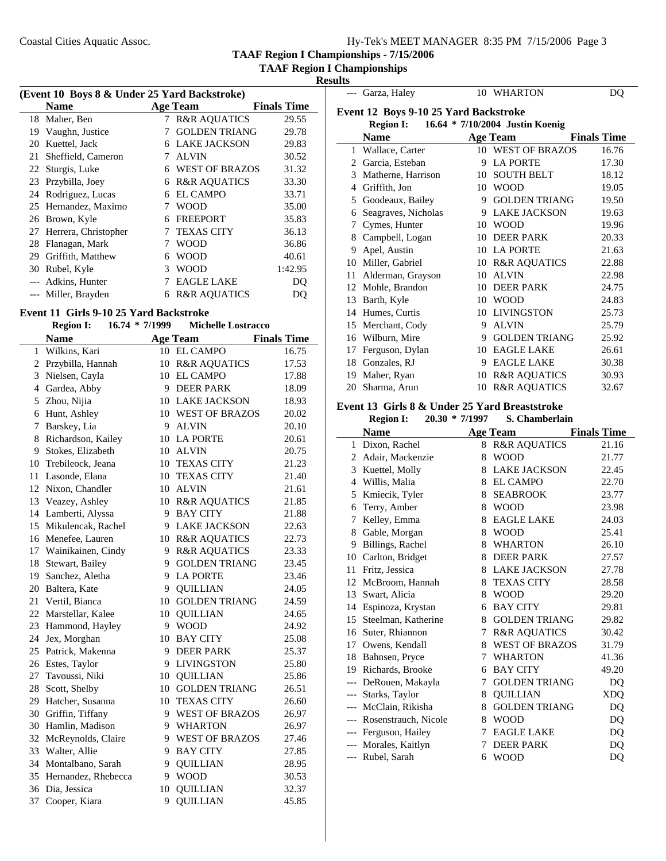|  |  | Hy-Tek's MEET MANAGER 8:35 PM 7/15/2006 Page 3 |  |  |  |
|--|--|------------------------------------------------|--|--|--|
|--|--|------------------------------------------------|--|--|--|

**TAAF Region I Championships**

**Results** --- Garza, Haley 10 WHARTON DQ

 $\overline{\phantom{a}}$ 

| (Event 10 Boys 8 & Under 25 Yard Backstroke) |                      |   |                         |                    |  |
|----------------------------------------------|----------------------|---|-------------------------|--------------------|--|
|                                              | <b>Name</b>          |   | <b>Age Team</b>         | <b>Finals Time</b> |  |
|                                              | 18 Maher, Ben        | 7 | <b>R&amp;R AQUATICS</b> | 29.55              |  |
| 19                                           | Vaughn, Justice      |   | <b>GOLDEN TRIANG</b>    | 29.78              |  |
| 20                                           | Kuettel, Jack        | 6 | <b>LAKE JACKSON</b>     | 29.83              |  |
| 21                                           | Sheffield, Cameron   | 7 | <b>ALVIN</b>            | 30.52              |  |
| 22                                           | Sturgis, Luke        | 6 | <b>WEST OF BRAZOS</b>   | 31.32              |  |
| 23                                           | Przybilla, Joey      | 6 | <b>R&amp;R AQUATICS</b> | 33.30              |  |
| 24                                           | Rodriguez, Lucas     | 6 | <b>EL CAMPO</b>         | 33.71              |  |
|                                              | 25 Hernandez, Maximo | 7 | <b>WOOD</b>             | 35.00              |  |
| 26                                           | Brown, Kyle          | 6 | <b>FREEPORT</b>         | 35.83              |  |
| 27                                           | Herrera, Christopher | 7 | <b>TEXAS CITY</b>       | 36.13              |  |
| 28                                           | Flanagan, Mark       | 7 | WOOD                    | 36.86              |  |
| 29                                           | Griffith, Matthew    | 6 | <b>WOOD</b>             | 40.61              |  |
| 30                                           | Rubel, Kyle          | 3 | <b>WOOD</b>             | 1:42.95            |  |
|                                              | Adkins, Hunter       | 7 | <b>EAGLE LAKE</b>       | DO                 |  |
|                                              | Miller, Brayden      | 6 | <b>R&amp;R AQUATICS</b> | DO                 |  |

#### **Event 11 Girls 9-10 25 Yard Backstroke**

į.

|              | <b>Region I:</b>      | 16.74 * 7/1999 | <b>Michelle Lostracco</b> |                    |
|--------------|-----------------------|----------------|---------------------------|--------------------|
|              | <b>Name</b>           |                | <b>Age Team</b>           | <b>Finals Time</b> |
| $\mathbf{1}$ | Wilkins, Kari         |                | 10 EL CAMPO               | 16.75              |
|              | 2 Przybilla, Hannah   | 10             | <b>R&amp;R AQUATICS</b>   | 17.53              |
| 3            | Nielsen, Cayla        | 10             | <b>EL CAMPO</b>           | 17.88              |
|              | 4 Gardea, Abby        | 9              | <b>DEER PARK</b>          | 18.09              |
| 5            | Zhou, Nijia           | 10             | <b>LAKE JACKSON</b>       | 18.93              |
| 6            | Hunt, Ashley          | 10             | <b>WEST OF BRAZOS</b>     | 20.02              |
| 7            | Barskey, Lia          | 9              | <b>ALVIN</b>              | 20.10              |
| 8            | Richardson, Kailey    | 10             | <b>LA PORTE</b>           | 20.61              |
| 9            | Stokes, Elizabeth     | 10             | <b>ALVIN</b>              | 20.75              |
| 10           | Trebileock, Jeana     |                | 10 TEXAS CITY             | 21.23              |
| 11           | Lasonde, Elana        | 10             | <b>TEXAS CITY</b>         | 21.40              |
|              | 12 Nixon, Chandler    | 10             | <b>ALVIN</b>              | 21.61              |
|              | 13 Veazey, Ashley     | 10             | <b>R&amp;R AQUATICS</b>   | 21.85              |
| 14           | Lamberti, Alyssa      | 9              | <b>BAY CITY</b>           | 21.88              |
| 15           | Mikulencak, Rachel    | 9              | <b>LAKE JACKSON</b>       | 22.63              |
|              | 16 Menefee, Lauren    | 10             | <b>R&amp;R AQUATICS</b>   | 22.73              |
|              | 17 Wainikainen, Cindy | 9              | <b>R&amp;R AQUATICS</b>   | 23.33              |
|              | 18 Stewart, Bailey    | 9              | <b>GOLDEN TRIANG</b>      | 23.45              |
|              | 19 Sanchez, Aletha    | 9              | <b>LA PORTE</b>           | 23.46              |
|              | 20 Baltera, Kate      | 9              | <b>QUILLIAN</b>           | 24.05              |
|              | 21 Vertil, Bianca     |                | 10 GOLDEN TRIANG          | 24.59              |
| 22           | Marstellar, Kalee     | 10             | <b>QUILLIAN</b>           | 24.65              |
| 23           | Hammond, Hayley       | 9              | <b>WOOD</b>               | 24.92              |
| 24           | Jex, Morghan          | 10             | <b>BAY CITY</b>           | 25.08              |
| 25           | Patrick, Makenna      | 9              | <b>DEER PARK</b>          | 25.37              |
|              | 26 Estes, Taylor      | 9              | <b>LIVINGSTON</b>         | 25.80              |
| 27           | Tavoussi, Niki        | 10             | <b>QUILLIAN</b>           | 25.86              |
| 28           | Scott, Shelby         | 10             | <b>GOLDEN TRIANG</b>      | 26.51              |
| 29           | Hatcher, Susanna      | 10             | <b>TEXAS CITY</b>         | 26.60              |
| 30           | Griffin, Tiffany      | 9              | <b>WEST OF BRAZOS</b>     | 26.97              |
| 30           | Hamlin, Madison       | 9              | <b>WHARTON</b>            | 26.97              |
| 32           | McReynolds, Claire    | 9              | <b>WEST OF BRAZOS</b>     | 27.46              |
| 33           | Walter, Allie         | 9              | <b>BAY CITY</b>           | 27.85              |
| 34           | Montalbano, Sarah     | 9              | <b>QUILLIAN</b>           | 28.95              |
| 35           | Hernandez, Rhebecca   | 9              | <b>WOOD</b>               | 30.53              |
| 36           | Dia, Jessica          | 10             | <b>QUILLIAN</b>           | 32.37              |
| 37           | Cooper, Kiara         | 9              | <b>QUILLIAN</b>           | 45.85              |
|              |                       |                |                           |                    |

| Event 12 Boys 9-10 25 Yard Backstroke<br><b>Region I:</b><br>16.64 * 7/10/2004 Justin Koenig |                     |    |                         |                    |
|----------------------------------------------------------------------------------------------|---------------------|----|-------------------------|--------------------|
|                                                                                              | <b>Name</b>         |    | <b>Age Team</b>         | <b>Finals Time</b> |
| 1                                                                                            | Wallace, Carter     | 10 | <b>WEST OF BRAZOS</b>   | 16.76              |
| $\mathcal{D}_{\mathcal{L}}$                                                                  | Garcia, Esteban     | 9  | <b>LA PORTE</b>         | 17.30              |
| 3                                                                                            | Matherne, Harrison  | 10 | <b>SOUTH BELT</b>       | 18.12              |
| 4                                                                                            | Griffith, Jon       | 10 | <b>WOOD</b>             | 19.05              |
| 5                                                                                            | Goodeaux, Bailey    | 9  | <b>GOLDEN TRIANG</b>    | 19.50              |
| 6                                                                                            | Seagraves, Nicholas | 9  | <b>LAKE JACKSON</b>     | 19.63              |
| 7                                                                                            | Cymes, Hunter       | 10 | <b>WOOD</b>             | 19.96              |
| 8                                                                                            | Campbell, Logan     | 10 | <b>DEER PARK</b>        | 20.33              |
| 9                                                                                            | Apel, Austin        | 10 | <b>LA PORTE</b>         | 21.63              |
| 10                                                                                           | Miller, Gabriel     | 10 | <b>R&amp;R AQUATICS</b> | 22.88              |
| 11                                                                                           | Alderman, Grayson   | 10 | <b>ALVIN</b>            | 22.98              |
| 12                                                                                           | Mohle, Brandon      | 10 | <b>DEER PARK</b>        | 24.75              |
| 13                                                                                           | Barth, Kyle         | 10 | <b>WOOD</b>             | 24.83              |
| 14                                                                                           | Humes, Curtis       | 10 | <b>LIVINGSTON</b>       | 25.73              |
| 15                                                                                           | Merchant, Cody      | 9  | <b>ALVIN</b>            | 25.79              |
| 16                                                                                           | Wilburn, Mire       | 9  | <b>GOLDEN TRIANG</b>    | 25.92              |
| 17                                                                                           | Ferguson, Dylan     | 10 | <b>EAGLE LAKE</b>       | 26.61              |
| 18                                                                                           | Gonzales, RJ        | 9  | <b>EAGLE LAKE</b>       | 30.38              |
| 19                                                                                           | Maher, Ryan         | 10 | <b>R&amp;R AQUATICS</b> | 30.93              |
| 20                                                                                           | Sharma, Arun        | 10 | <b>R&amp;R AQUATICS</b> | 32.67              |

#### **Event 13 Girls 8 & Under 25 Yard Breaststroke Region I: 20.30 \* S. Chamberlain 7/1997**

|       | кеgіон 1;<br>20.JU   | <b>1979</b><br>111991 | э. Спашрегіаш           |                    |
|-------|----------------------|-----------------------|-------------------------|--------------------|
|       | <b>Name</b>          |                       | <b>Age Team</b>         | <b>Finals Time</b> |
| 1     | Dixon, Rachel        |                       | 8 R&R AQUATICS          | 21.16              |
| 2     | Adair, Mackenzie     | 8                     | <b>WOOD</b>             | 21.77              |
| 3     | Kuettel, Molly       | 8                     | <b>LAKE JACKSON</b>     | 22.45              |
| 4     | Willis, Malia        | 8                     | <b>EL CAMPO</b>         | 22.70              |
| 5     | Kmiecik, Tyler       | 8                     | <b>SEABROOK</b>         | 23.77              |
| 6     | Terry, Amber         | 8                     | <b>WOOD</b>             | 23.98              |
| 7     | Kelley, Emma         | 8                     | <b>EAGLE LAKE</b>       | 24.03              |
| 8     | Gable, Morgan        | 8                     | <b>WOOD</b>             | 25.41              |
| 9     | Billings, Rachel     | 8                     | <b>WHARTON</b>          | 26.10              |
| 10    | Carlton, Bridget     | 8                     | <b>DEER PARK</b>        | 27.57              |
| 11    | Fritz, Jessica       | 8                     | <b>LAKE JACKSON</b>     | 27.78              |
| 12    | McBroom, Hannah      | 8                     | <b>TEXAS CITY</b>       | 28.58              |
| 13    | Swart, Alicia        | 8                     | <b>WOOD</b>             | 29.20              |
| 14    | Espinoza, Krystan    | 6                     | <b>BAY CITY</b>         | 29.81              |
| 15    | Steelman, Katherine  | 8                     | <b>GOLDEN TRIANG</b>    | 29.82              |
| 16    | Suter, Rhiannon      | 7                     | <b>R&amp;R AQUATICS</b> | 30.42              |
| 17    | Owens, Kendall       | 8                     | <b>WEST OF BRAZOS</b>   | 31.79              |
| 18    | Bahnsen, Pryce       | 7                     | <b>WHARTON</b>          | 41.36              |
| 19    | Richards, Brooke     | 6                     | <b>BAY CITY</b>         | 49.20              |
| $---$ | DeRouen, Makayla     | 7                     | <b>GOLDEN TRIANG</b>    | DQ                 |
| $---$ | Starks, Taylor       | 8                     | <b>QUILLIAN</b>         | <b>XDQ</b>         |
|       | McClain, Rikisha     | 8                     | <b>GOLDEN TRIANG</b>    | DQ                 |
|       | Rosenstrauch, Nicole | 8                     | <b>WOOD</b>             | DQ                 |
| $---$ | Ferguson, Hailey     | 7                     | <b>EAGLE LAKE</b>       | DQ                 |
| $---$ | Morales, Kaitlyn     | 7                     | <b>DEER PARK</b>        | DQ                 |
|       | --- Rubel, Sarah     | 6                     | <b>WOOD</b>             | DQ                 |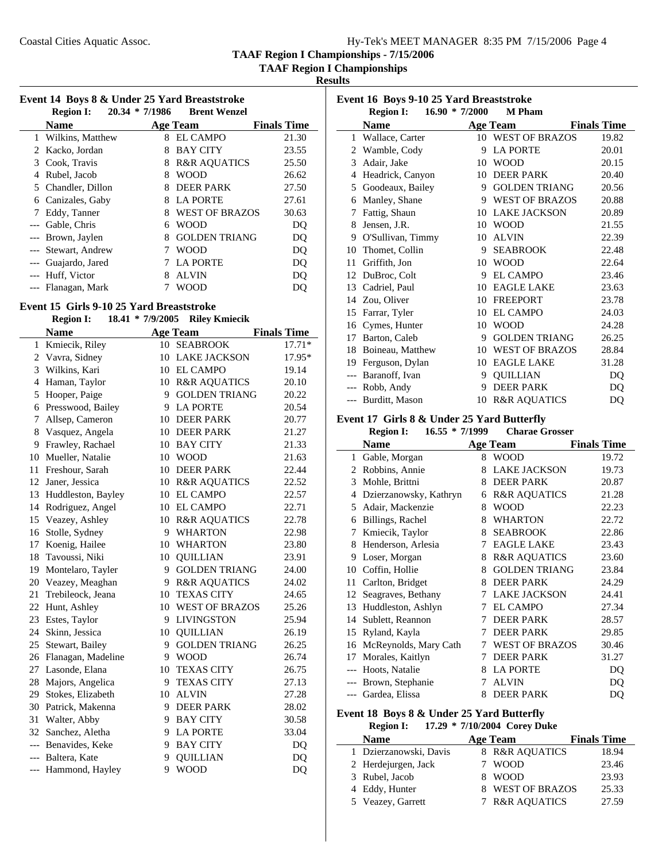**TAAF Region I Championships**

**Results**

| Event 14 Boys 8 & Under 25 Yard Breaststroke<br>Region I: 20.34 * 7/1986 Brent Wenzel |                    |  |            |                    |  |
|---------------------------------------------------------------------------------------|--------------------|--|------------|--------------------|--|
|                                                                                       | <b>Name</b>        |  | Age Team   | <b>Finals Time</b> |  |
|                                                                                       | 1 Wilkins, Matthew |  | 8 EL CAMPO | 21.30              |  |
|                                                                                       | 2 Kacko, Jordan    |  | 8 BAY CITY | 23.55              |  |
|                                                                                       |                    |  |            |                    |  |

| 3 Cook, Travis      | 8  | <b>R&amp;R AQUATICS</b> | 25.50 |
|---------------------|----|-------------------------|-------|
| 4 Rubel, Jacob      | 8  | <b>WOOD</b>             | 26.62 |
| 5 Chandler, Dillon  | 8  | <b>DEER PARK</b>        | 27.50 |
| 6 Canizales, Gaby   | 8. | <b>LA PORTE</b>         | 27.61 |
| 7 Eddy, Tanner      |    | 8 WEST OF BRAZOS        | 30.63 |
| --- Gable, Chris    | 6  | <b>WOOD</b>             | DO    |
| --- Brown, Jaylen   | 8  | <b>GOLDEN TRIANG</b>    | DQ    |
| --- Stewart, Andrew |    | <b>WOOD</b>             | DQ    |
| --- Guajardo, Jared |    | 7 LA PORTE              | DQ    |
| --- Huff, Victor    | 8  | <b>ALVIN</b>            | DQ    |
| --- Flanagan, Mark  |    | WOOD                    |       |

# **Event 15 Girls 9-10 25 Yard Breaststroke**

#### **Region I:** 18.41 \* 7/9/2005 **Riley Kmiecik**

|                | <b>Name</b>         |    | <b>Age Team</b>       | <b>Finals Time</b> |
|----------------|---------------------|----|-----------------------|--------------------|
| 1              | Kmiecik, Riley      |    | 10 SEABROOK           | $17.71*$           |
|                | 2 Vavra, Sidney     | 10 | <b>LAKE JACKSON</b>   | 17.95*             |
|                | 3 Wilkins, Kari     |    | 10 EL CAMPO           | 19.14              |
| $\overline{4}$ | Haman, Taylor       |    | 10 R&R AQUATICS       | 20.10              |
| 5              | Hooper, Paige       | 9  | <b>GOLDEN TRIANG</b>  | 20.22              |
| 6              | Presswood, Bailey   | 9  | <b>LA PORTE</b>       | 20.54              |
| 7              | Allsep, Cameron     | 10 | <b>DEER PARK</b>      | 20.77              |
| 8              | Vasquez, Angela     | 10 | <b>DEER PARK</b>      | 21.27              |
| 9              | Frawley, Rachael    | 10 | <b>BAY CITY</b>       | 21.33              |
| 10             | Mueller, Natalie    | 10 | <b>WOOD</b>           | 21.63              |
| 11             | Freshour, Sarah     |    | 10 DEER PARK          | 22.44              |
| 12             | Janer, Jessica      |    | 10 R&R AQUATICS       | 22.52              |
| 13             | Huddleston, Bayley  |    | 10 EL CAMPO           | 22.57              |
|                | 14 Rodriguez, Angel |    | 10 EL CAMPO           | 22.71              |
| 15             | Veazey, Ashley      |    | 10 R&R AQUATICS       | 22.78              |
| 16             | Stolle, Sydney      |    | 9 WHARTON             | 22.98              |
| 17             | Koenig, Hailee      | 10 | WHARTON               | 23.80              |
| 18             | Tavoussi, Niki      |    | 10 OUILLIAN           | 23.91              |
| 19             | Montelaro, Tayler   |    | 9 GOLDEN TRIANG       | 24.00              |
|                | 20 Veazey, Meaghan  |    | 9 R&R AQUATICS        | 24.02              |
| 21             | Trebileock, Jeana   | 10 | <b>TEXAS CITY</b>     | 24.65              |
| 22             | Hunt, Ashley        | 10 | <b>WEST OF BRAZOS</b> | 25.26              |
| 23             | Estes, Taylor       | 9  | <b>LIVINGSTON</b>     | 25.94              |
| 24             | Skinn, Jessica      | 10 | <b>QUILLIAN</b>       | 26.19              |
| 25             | Stewart, Bailey     | 9  | <b>GOLDEN TRIANG</b>  | 26.25              |
| 26             | Flanagan, Madeline  | 9  | <b>WOOD</b>           | 26.74              |
| 27             | Lasonde, Elana      | 10 | <b>TEXAS CITY</b>     | 26.75              |
| 28             | Majors, Angelica    | 9  | <b>TEXAS CITY</b>     | 27.13              |
| 29             | Stokes, Elizabeth   | 10 | <b>ALVIN</b>          | 27.28              |
| 30             | Patrick, Makenna    | 9  | <b>DEER PARK</b>      | 28.02              |
| 31             | Walter, Abby        | 9  | <b>BAY CITY</b>       | 30.58              |
| 32             | Sanchez, Aletha     |    | 9 LA PORTE            | 33.04              |
|                | --- Benavides, Keke |    | 9 BAY CITY            | DQ                 |
|                | --- Baltera, Kate   | 9  | <b>QUILLIAN</b>       | D <sub>O</sub>     |
|                | --- Hammond, Hayley | 9  | <b>WOOD</b>           | DQ                 |
|                |                     |    |                       |                    |

| Event 16 Boys 9-10 25 Yard Breaststroke |                    |                  |                         |                    |
|-----------------------------------------|--------------------|------------------|-------------------------|--------------------|
|                                         | <b>Region I:</b>   | $16.90 * 7/2000$ | <b>M</b> Pham           |                    |
|                                         | <b>Name</b>        |                  | Age Team                | <b>Finals Time</b> |
| $\mathbf{1}$                            | Wallace, Carter    |                  | 10 WEST OF BRAZOS       | 19.82              |
| 2                                       | Wamble, Cody       | 9                | <b>LA PORTE</b>         | 20.01              |
| 3                                       | Adair, Jake        | 10               | <b>WOOD</b>             | 20.15              |
| 4                                       | Headrick, Canyon   | 10               | <b>DEER PARK</b>        | 20.40              |
| 5                                       | Goodeaux, Bailey   | 9                | <b>GOLDEN TRIANG</b>    | 20.56              |
| 6                                       | Manley, Shane      | 9                | <b>WEST OF BRAZOS</b>   | 20.88              |
| 7                                       | Fattig, Shaun      | 10               | <b>LAKE JACKSON</b>     | 20.89              |
| 8                                       | Jensen, J.R.       | 10               | <b>WOOD</b>             | 21.55              |
| 9                                       | O'Sullivan, Timmy  | 10               | <b>ALVIN</b>            | 22.39              |
| 10                                      | Thomet, Collin     | 9                | <b>SEABROOK</b>         | 22.48              |
| 11                                      | Griffith, Jon      | 10               | <b>WOOD</b>             | 22.64              |
| 12                                      | DuBroc, Colt       | 9                | <b>EL CAMPO</b>         | 23.46              |
| 13                                      | Cadriel, Paul      | 10               | <b>EAGLE LAKE</b>       | 23.63              |
|                                         | 14 Zou, Oliver     | 10               | <b>FREEPORT</b>         | 23.78              |
| 15                                      | Farrar, Tyler      | 10               | EL CAMPO                | 24.03              |
|                                         | 16 Cymes, Hunter   | 10               | <b>WOOD</b>             | 24.28              |
| 17                                      | Barton, Caleb      | 9                | <b>GOLDEN TRIANG</b>    | 26.25              |
| 18                                      | Boineau, Matthew   | 10               | <b>WEST OF BRAZOS</b>   | 28.84              |
| 19                                      | Ferguson, Dylan    | 10               | <b>EAGLE LAKE</b>       | 31.28              |
|                                         | --- Baranoff, Ivan | 9                | <b>QUILLIAN</b>         | DQ                 |
|                                         | --- Robb, Andy     | 9                | <b>DEER PARK</b>        | DQ                 |
|                                         | Burditt, Mason     | 10               | <b>R&amp;R AQUATICS</b> | DQ                 |

#### **Event 17 Girls 8 & Under 25 Yard Butterfly**

**Region I:** 16.55 \* 7/1999 Charae Grosser

|    | <b>Name</b>            |   | <b>Age Team</b>         | <b>Finals Time</b> |
|----|------------------------|---|-------------------------|--------------------|
| 1  | Gable, Morgan          | 8 | <b>WOOD</b>             | 19.72              |
| 2  | Robbins, Annie         | 8 | <b>LAKE JACKSON</b>     | 19.73              |
| 3  | Mohle, Brittni         | 8 | <b>DEER PARK</b>        | 20.87              |
| 4  | Dzierzanowsky, Kathryn | 6 | <b>R&amp;R AQUATICS</b> | 21.28              |
| 5  | Adair, Mackenzie       | 8 | <b>WOOD</b>             | 22.23              |
| 6  | Billings, Rachel       | 8 | <b>WHARTON</b>          | 22.72              |
| 7  | Kmiecik, Taylor        | 8 | <b>SEABROOK</b>         | 22.86              |
| 8  | Henderson, Arlesia     | 7 | <b>EAGLE LAKE</b>       | 23.43              |
| 9  | Loser, Morgan          | 8 | <b>R&amp;R AQUATICS</b> | 23.60              |
| 10 | Coffin, Hollie         | 8 | <b>GOLDEN TRIANG</b>    | 23.84              |
| 11 | Carlton, Bridget       | 8 | <b>DEER PARK</b>        | 24.29              |
| 12 | Seagraves, Bethany     | 7 | <b>LAKE JACKSON</b>     | 24.41              |
| 13 | Huddleston, Ashlyn     | 7 | <b>EL CAMPO</b>         | 27.34              |
| 14 | Sublett, Reannon       | 7 | <b>DEER PARK</b>        | 28.57              |
| 15 | Ryland, Kayla          | 7 | <b>DEER PARK</b>        | 29.85              |
| 16 | McReynolds, Mary Cath  |   | <b>WEST OF BRAZOS</b>   | 30.46              |
| 17 | Morales, Kaitlyn       | 7 | <b>DEER PARK</b>        | 31.27              |
|    | Hoots, Natalie         | 8 | <b>LA PORTE</b>         | DQ                 |
|    | Brown, Stephanie       | 7 | <b>ALVIN</b>            | DO                 |
|    | Gardea, Elissa         | 8 | <b>DEER PARK</b>        | DQ                 |

#### **Event 18 Boys 8 & Under 25 Yard Butterfly Region I:** 17.29 \* 7/10/2004 Corey Duke

| <b>Name</b>            | Age Team         | <b>Finals Time</b> |
|------------------------|------------------|--------------------|
| 1 Dzierzanowski, Davis | 8 R&R AOUATICS   | 18.94              |
| 2 Herdejurgen, Jack    | 7 WOOD           | 23.46              |
| 3 Rubel, Jacob         | 8 WOOD           | 23.93              |
| 4 Eddy, Hunter         | 8 WEST OF BRAZOS | 25.33              |
| 5 Veazey, Garrett      | 7 R&R AQUATICS   | 27.59              |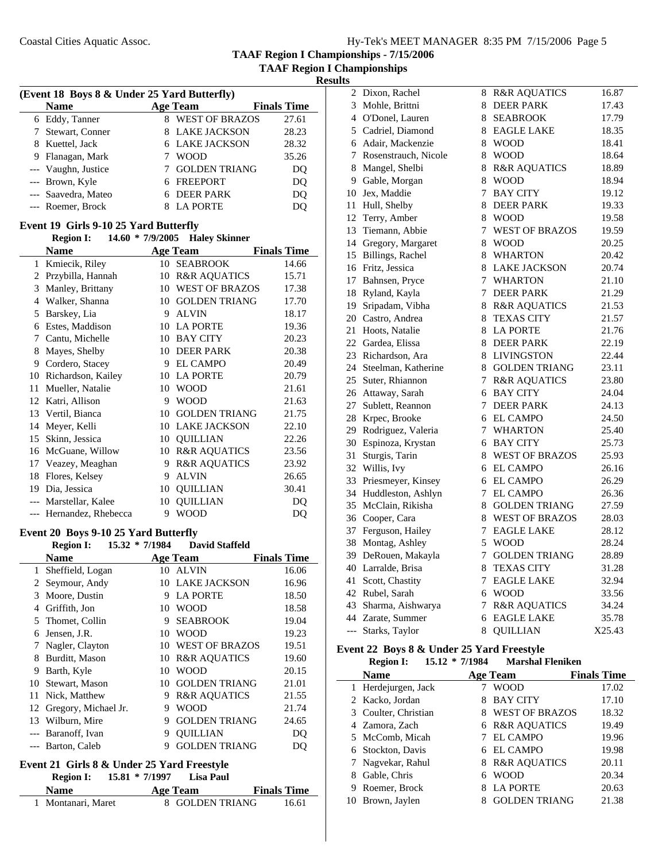**TAAF Region I Championships - 7/15/2006 TAAF Region I Championships**

**Results**

| (Event 18 Boys 8 & Under 25 Yard Butterfly) |                     |   |                       |                    |
|---------------------------------------------|---------------------|---|-----------------------|--------------------|
|                                             | <b>Name</b>         |   | <b>Age Team</b>       | <b>Finals Time</b> |
|                                             | 6 Eddy, Tanner      | 8 | <b>WEST OF BRAZOS</b> | 27.61              |
|                                             | 7 Stewart, Conner   |   | 8 LAKE JACKSON        | 28.23              |
|                                             | 8 Kuettel, Jack     |   | <b>6 LAKE JACKSON</b> | 28.32              |
|                                             | 9 Flanagan, Mark    |   | <b>WOOD</b>           | 35.26              |
|                                             | --- Vaughn, Justice |   | <b>GOLDEN TRIANG</b>  | DQ                 |
|                                             | --- Brown, Kyle     |   | 6 FREEPORT            | DO                 |
|                                             | --- Saavedra, Mateo |   | <b>DEER PARK</b>      | DQ                 |
|                                             | --- Roemer, Brock   |   | <b>LA PORTE</b>       |                    |

#### **Event 19 Girls 9-10 25 Yard Butterfly Region I: 14.60 \* Haley Skinner 7/9/2005**

|    | <b>Region 1:</b>        |    | $14.60$ $\degree$ $1/9/2005$ Haley Skinner |                    |
|----|-------------------------|----|--------------------------------------------|--------------------|
|    | <b>Name</b>             |    | Age Team                                   | <b>Finals Time</b> |
| 1  | Kmiecik, Riley          | 10 | <b>SEABROOK</b>                            | 14.66              |
| 2  | Przybilla, Hannah       | 10 | <b>R&amp;R AQUATICS</b>                    | 15.71              |
| 3  | Manley, Brittany        | 10 | <b>WEST OF BRAZOS</b>                      | 17.38              |
| 4  | Walker, Shanna          | 10 | <b>GOLDEN TRIANG</b>                       | 17.70              |
| 5  | Barskey, Lia            | 9  | <b>ALVIN</b>                               | 18.17              |
| 6  | Estes, Maddison         | 10 | <b>LA PORTE</b>                            | 19.36              |
| 7  | Cantu, Michelle         | 10 | <b>BAY CITY</b>                            | 20.23              |
| 8  | Mayes, Shelby           | 10 | <b>DEER PARK</b>                           | 20.38              |
| 9  | Cordero, Stacey         | 9  | <b>EL CAMPO</b>                            | 20.49              |
| 10 | Richardson, Kailey      | 10 | <b>LA PORTE</b>                            | 20.79              |
| 11 | Mueller, Natalie        | 10 | <b>WOOD</b>                                | 21.61              |
| 12 | Katri, Allison          | 9  | <b>WOOD</b>                                | 21.63              |
|    | 13 Vertil, Bianca       | 10 | <b>GOLDEN TRIANG</b>                       | 21.75              |
| 14 | Meyer, Kelli            | 10 | <b>LAKE JACKSON</b>                        | 22.10              |
| 15 | Skinn, Jessica          | 10 | <b>OUILLIAN</b>                            | 22.26              |
| 16 | McGuane, Willow         | 10 | <b>R&amp;R AQUATICS</b>                    | 23.56              |
| 17 | Veazey, Meaghan         | 9  | <b>R&amp;R AQUATICS</b>                    | 23.92              |
| 18 | Flores, Kelsey          | 9  | <b>ALVIN</b>                               | 26.65              |
| 19 | Dia, Jessica            | 10 | <b>QUILLIAN</b>                            | 30.41              |
|    | Marstellar, Kalee       | 10 | <b>OUILLIAN</b>                            | DQ                 |
|    | --- Hernandez, Rhebecca | 9  | <b>WOOD</b>                                | DQ                 |

#### **Event 20 Boys 9-10 25 Yard Butterfly**

|    | <b>Region I:</b>     | $15.32 * 7/1984$ | David Staffeld          |                    |
|----|----------------------|------------------|-------------------------|--------------------|
|    | <b>Name</b>          |                  | <b>Age Team</b>         | <b>Finals Time</b> |
| 1  | Sheffield, Logan     | 10               | <b>ALVIN</b>            | 16.06              |
| 2  | Seymour, Andy        | 10               | <b>LAKE JACKSON</b>     | 16.96              |
| 3  | Moore, Dustin        | 9                | <b>LA PORTE</b>         | 18.50              |
| 4  | Griffith, Jon        | 10               | <b>WOOD</b>             | 18.58              |
| 5  | Thomet, Collin       | 9                | <b>SEABROOK</b>         | 19.04              |
| 6  | Jensen, J.R.         | 10               | WOOD                    | 19.23              |
| 7  | Nagler, Clayton      | 10               | <b>WEST OF BRAZOS</b>   | 19.51              |
| 8  | Burditt, Mason       | 10               | <b>R&amp;R AQUATICS</b> | 19.60              |
| 9  | Barth, Kyle          | 10               | WOOD                    | 20.15              |
| 10 | Stewart, Mason       | 10               | <b>GOLDEN TRIANG</b>    | 21.01              |
| 11 | Nick, Matthew        | 9                | <b>R&amp;R AOUATICS</b> | 21.55              |
| 12 | Gregory, Michael Jr. | 9                | WOOD                    | 21.74              |
| 13 | Wilburn, Mire        | 9                | <b>GOLDEN TRIANG</b>    | 24.65              |
|    | Baranoff, Ivan       | 9                | <b>OUILLIAN</b>         | DO                 |
|    | Barton, Caleb        | 9                | <b>GOLDEN TRIANG</b>    | DO                 |

#### **Event 21 Girls 8 & Under 25 Yard Freestyle**

| <b>Region I:</b> | $15.81 * 7/1997$ | Lisa Paul |
|------------------|------------------|-----------|

| <b>Name</b>        | <b>Age Team</b> | <b>Finals Time</b> |  |
|--------------------|-----------------|--------------------|--|
| 1 Montanari, Maret | 8 GOLDEN TRIANG | 16.61              |  |

| 2     | Dixon, Rachel          | 8      | <b>R&amp;R AQUATICS</b> | 16.87  |
|-------|------------------------|--------|-------------------------|--------|
| 3     | Mohle, Brittni         | 8      | <b>DEER PARK</b>        | 17.43  |
|       | 4 O'Donel, Lauren      | 8      | <b>SEABROOK</b>         | 17.79  |
|       | 5 Cadriel, Diamond     | 8      | <b>EAGLE LAKE</b>       | 18.35  |
|       | 6 Adair, Mackenzie     | 8      | <b>WOOD</b>             | 18.41  |
| 7     | Rosenstrauch, Nicole   | 8      | <b>WOOD</b>             | 18.64  |
| 8     | Mangel, Shelbi         | 8      | <b>R&amp;R AQUATICS</b> | 18.89  |
|       | 9 Gable, Morgan        | 8      | <b>WOOD</b>             | 18.94  |
| 10    | Jex, Maddie            | 7      | <b>BAY CITY</b>         | 19.12  |
| 11    | Hull, Shelby           | 8      | <b>DEER PARK</b>        | 19.33  |
|       | 12 Terry, Amber        | 8      | <b>WOOD</b>             | 19.58  |
|       | 13 Tiemann, Abbie      | 7      | <b>WEST OF BRAZOS</b>   | 19.59  |
|       | 14 Gregory, Margaret   | 8      | <b>WOOD</b>             | 20.25  |
|       | 15 Billings, Rachel    | 8      | <b>WHARTON</b>          | 20.42  |
|       | 16 Fritz, Jessica      | 8      | <b>LAKE JACKSON</b>     | 20.74  |
|       | 17 Bahnsen, Pryce      | $\tau$ | <b>WHARTON</b>          | 21.10  |
| 18    | Ryland, Kayla          | 7      | <b>DEER PARK</b>        | 21.29  |
| 19    | Sripadam, Vibha        | 8      | <b>R&amp;R AQUATICS</b> | 21.53  |
|       | 20 Castro, Andrea      | 8      | <b>TEXAS CITY</b>       | 21.57  |
| 21    | Hoots, Natalie         | 8      | <b>LA PORTE</b>         | 21.76  |
|       | 22 Gardea, Elissa      | 8      | <b>DEER PARK</b>        | 22.19  |
|       | 23 Richardson, Ara     | 8      | <b>LIVINGSTON</b>       | 22.44  |
|       | 24 Steelman, Katherine | 8      | <b>GOLDEN TRIANG</b>    | 23.11  |
|       | 25 Suter, Rhiannon     | 7      | <b>R&amp;R AQUATICS</b> | 23.80  |
|       | 26 Attaway, Sarah      | 6      | <b>BAY CITY</b>         | 24.04  |
|       | 27 Sublett, Reannon    | 7      | <b>DEER PARK</b>        | 24.13  |
| 28    | Krpec, Brooke          |        | 6 EL CAMPO              | 24.50  |
| 29    | Rodriguez, Valeria     | 7      | <b>WHARTON</b>          | 25.40  |
| 30    | Espinoza, Krystan      | 6      | <b>BAY CITY</b>         | 25.73  |
| 31    | Sturgis, Tarin         | 8      | <b>WEST OF BRAZOS</b>   | 25.93  |
|       | 32 Willis, Ivy         | 6      | <b>EL CAMPO</b>         | 26.16  |
| 33    | Priesmeyer, Kinsey     | 6      | <b>EL CAMPO</b>         | 26.29  |
| 34    | Huddleston, Ashlyn     | 7      | <b>EL CAMPO</b>         | 26.36  |
| 35    | McClain, Rikisha       |        | 8 GOLDEN TRIANG         | 27.59  |
|       | 36 Cooper, Cara        | 8      | <b>WEST OF BRAZOS</b>   | 28.03  |
| 37    | Ferguson, Hailey       | 7      | <b>EAGLE LAKE</b>       | 28.12  |
| 38    | Montag, Ashley         | 5      | <b>WOOD</b>             | 28.24  |
|       | 39 DeRouen, Makayla    |        | 7 GOLDEN TRIANG         | 28.89  |
|       | 40 Larralde, Brisa     | 8      | <b>TEXAS CITY</b>       | 31.28  |
| 41    | Scott, Chastity        | 7      | <b>EAGLE LAKE</b>       | 32.94  |
|       | 42 Rubel, Sarah        | 6      | <b>WOOD</b>             | 33.56  |
|       | 43 Sharma, Aishwarya   | 7      | <b>R&amp;R AQUATICS</b> | 34.24  |
|       | 44 Zarate, Summer      | 6      | <b>EAGLE LAKE</b>       | 35.78  |
| $---$ | Starks, Taylor         | 8      | <b>OUILLIAN</b>         | X25.43 |

## **Event 22 Boys 8 & Under 25 Yard Freestyle**

|    | $15.12 * 7/1984$<br><b>Region I:</b> |   | <b>Marshal Fleniken</b> |                    |
|----|--------------------------------------|---|-------------------------|--------------------|
|    | <b>Name</b>                          |   | Age Team                | <b>Finals Time</b> |
|    | 1 Herdejurgen, Jack                  |   | <b>WOOD</b>             | 17.02              |
|    | 2 Kacko, Jordan                      |   | <b>BAY CITY</b>         | 17.10              |
|    | 3 Coulter, Christian                 | 8 | <b>WEST OF BRAZOS</b>   | 18.32              |
|    | 4 Zamora, Zach                       |   | 6 R&R AQUATICS          | 19.49              |
|    | 5 McComb, Micah                      |   | <b>EL CAMPO</b>         | 19.96              |
|    | 6 Stockton, Davis                    | 6 | EL CAMPO                | 19.98              |
|    | 7 Nagyekar, Rahul                    | 8 | <b>R&amp;R AQUATICS</b> | 20.11              |
|    | Gable, Chris                         | 6 | <b>WOOD</b>             | 20.34              |
| 9  | Roemer, Brock                        | 8 | <b>LA PORTE</b>         | 20.63              |
| 10 | Brown, Jaylen                        |   | <b>GOLDEN TRIANG</b>    | 21.38              |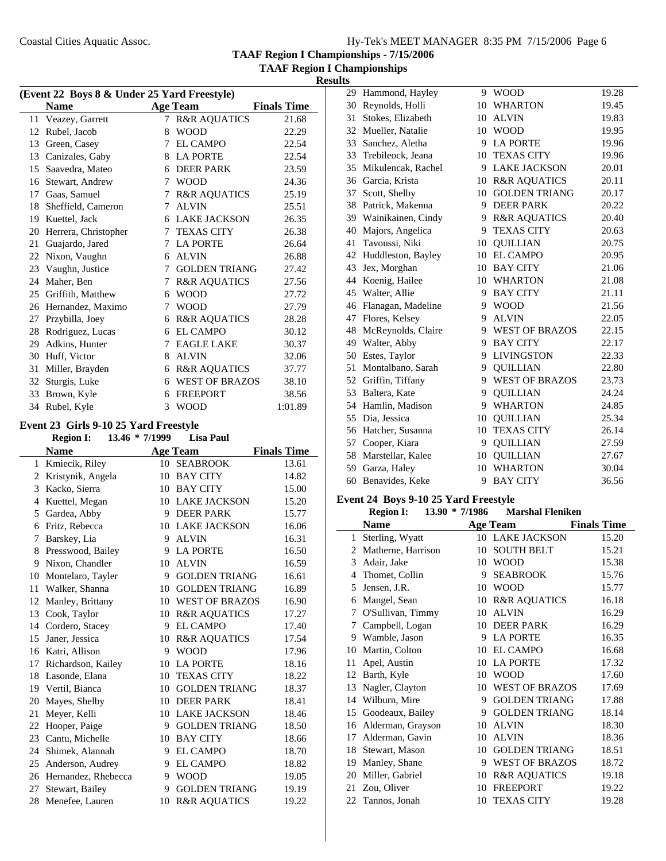**TAAF Region I Championships - 7/15/2006 TAAF Region I Championships**

**Results**

| (Event 22 Boys 8 & Under 25 Yard Freestyle) |                      |   |                         |                    |  |  |
|---------------------------------------------|----------------------|---|-------------------------|--------------------|--|--|
|                                             | <b>Name</b>          |   | <b>Age Team</b>         | <b>Finals Time</b> |  |  |
|                                             | 11 Veazey, Garrett   | 7 | <b>R&amp;R AQUATICS</b> | 21.68              |  |  |
| 12                                          | Rubel, Jacob         | 8 | <b>WOOD</b>             | 22.29              |  |  |
| 13                                          | Green, Casey         | 7 | <b>EL CAMPO</b>         | 22.54              |  |  |
| 13                                          | Canizales, Gaby      | 8 | <b>LA PORTE</b>         | 22.54              |  |  |
| 15                                          | Saavedra, Mateo      | 6 | <b>DEER PARK</b>        | 23.59              |  |  |
| 16                                          | Stewart, Andrew      | 7 | <b>WOOD</b>             | 24.36              |  |  |
| 17                                          | Gaas, Samuel         | 7 | <b>R&amp;R AQUATICS</b> | 25.19              |  |  |
| 18                                          | Sheffield, Cameron   | 7 | <b>ALVIN</b>            | 25.51              |  |  |
| 19                                          | Kuettel, Jack        | 6 | <b>LAKE JACKSON</b>     | 26.35              |  |  |
| 20                                          | Herrera, Christopher | 7 | <b>TEXAS CITY</b>       | 26.38              |  |  |
| 21                                          | Guajardo, Jared      | 7 | <b>LA PORTE</b>         | 26.64              |  |  |
| 22                                          | Nixon, Vaughn        | 6 | <b>ALVIN</b>            | 26.88              |  |  |
| 23                                          | Vaughn, Justice      | 7 | <b>GOLDEN TRIANG</b>    | 27.42              |  |  |
| 24                                          | Maher, Ben           | 7 | <b>R&amp;R AQUATICS</b> | 27.56              |  |  |
| 25                                          | Griffith, Matthew    | 6 | <b>WOOD</b>             | 27.72              |  |  |
| 26                                          | Hernandez, Maximo    | 7 | <b>WOOD</b>             | 27.79              |  |  |
| 27                                          | Przybilla, Joey      | 6 | <b>R&amp;R AQUATICS</b> | 28.28              |  |  |
| 28                                          | Rodriguez, Lucas     | 6 | EL CAMPO                | 30.12              |  |  |
| 29                                          | Adkins, Hunter       | 7 | <b>EAGLE LAKE</b>       | 30.37              |  |  |
| 30                                          | Huff, Victor         | 8 | <b>ALVIN</b>            | 32.06              |  |  |
| 31                                          | Miller, Brayden      | 6 | <b>R&amp;R AQUATICS</b> | 37.77              |  |  |
| 32                                          | Sturgis, Luke        | 6 | <b>WEST OF BRAZOS</b>   | 38.10              |  |  |
| 33                                          | Brown, Kyle          | 6 | <b>FREEPORT</b>         | 38.56              |  |  |
| 34                                          | Rubel, Kyle          | 3 | <b>WOOD</b>             | 1:01.89            |  |  |

#### **Event 23 Girls 9-10 25 Yard Freestyle**

|    | <b>Region I:</b>    | 13.46 * 7/1999 | <b>Lisa Paul</b>        |                    |
|----|---------------------|----------------|-------------------------|--------------------|
|    | <b>Name</b>         |                | <b>Age Team</b>         | <b>Finals Time</b> |
| 1  | Kmiecik, Riley      | 10             | <b>SEABROOK</b>         | 13.61              |
| 2  | Kristynik, Angela   | 10             | <b>BAY CITY</b>         | 14.82              |
| 3  | Kacko, Sierra       | 10             | <b>BAY CITY</b>         | 15.00              |
| 4  | Kuettel, Megan      | 10             | <b>LAKE JACKSON</b>     | 15.20              |
| 5  | Gardea, Abby        | 9              | <b>DEER PARK</b>        | 15.77              |
| 6  | Fritz, Rebecca      | 10             | <b>LAKE JACKSON</b>     | 16.06              |
| 7  | Barskey, Lia        | 9              | <b>ALVIN</b>            | 16.31              |
| 8  | Presswood, Bailey   | 9              | <b>LA PORTE</b>         | 16.50              |
| 9  | Nixon, Chandler     | 10             | <b>ALVIN</b>            | 16.59              |
| 10 | Montelaro, Tayler   | 9              | <b>GOLDEN TRIANG</b>    | 16.61              |
| 11 | Walker, Shanna      | 10             | <b>GOLDEN TRIANG</b>    | 16.89              |
| 12 | Manley, Brittany    | 10             | <b>WEST OF BRAZOS</b>   | 16.90              |
| 13 | Cook, Taylor        | 10             | <b>R&amp;R AQUATICS</b> | 17.27              |
| 14 | Cordero, Stacey     | 9              | <b>EL CAMPO</b>         | 17.40              |
| 15 | Janer, Jessica      | 10             | <b>R&amp;R AQUATICS</b> | 17.54              |
| 16 | Katri, Allison      | 9              | <b>WOOD</b>             | 17.96              |
| 17 | Richardson, Kailey  | 10             | <b>LA PORTE</b>         | 18.16              |
| 18 | Lasonde, Elana      | 10             | <b>TEXAS CITY</b>       | 18.22              |
|    | 19 Vertil, Bianca   | 10             | <b>GOLDEN TRIANG</b>    | 18.37              |
| 20 | Mayes, Shelby       | 10             | <b>DEER PARK</b>        | 18.41              |
| 21 | Meyer, Kelli        | 10             | <b>LAKE JACKSON</b>     | 18.46              |
| 22 | Hooper, Paige       | 9              | <b>GOLDEN TRIANG</b>    | 18.50              |
| 23 | Cantu, Michelle     | 10             | <b>BAY CITY</b>         | 18.66              |
| 24 | Shimek, Alannah     | 9              | <b>EL CAMPO</b>         | 18.70              |
| 25 | Anderson, Audrey    | 9              | <b>EL CAMPO</b>         | 18.82              |
| 26 | Hernandez, Rhebecca | 9              | <b>WOOD</b>             | 19.05              |
| 27 | Stewart, Bailey     | 9              | <b>GOLDEN TRIANG</b>    | 19.19              |
|    | 28 Menefee, Lauren  | 10             | <b>R&amp;R AQUATICS</b> | 19.22              |
|    |                     |                |                         |                    |

| 29 | Hammond, Hayley       | 9  | <b>WOOD</b>             | 19.28 |
|----|-----------------------|----|-------------------------|-------|
| 30 | Reynolds, Holli       |    | 10 WHARTON              | 19.45 |
| 31 | Stokes, Elizabeth     | 10 | <b>ALVIN</b>            | 19.83 |
| 32 | Mueller, Natalie      |    | 10 WOOD                 | 19.95 |
| 33 | Sanchez, Aletha       | 9  | <b>LA PORTE</b>         | 19.96 |
|    | 33 Trebileock, Jeana  | 10 | <b>TEXAS CITY</b>       | 19.96 |
| 35 | Mikulencak, Rachel    | 9  | <b>LAKE JACKSON</b>     | 20.01 |
|    | 36 Garcia, Krista     | 10 | <b>R&amp;R AQUATICS</b> | 20.11 |
| 37 | Scott, Shelby         | 10 | <b>GOLDEN TRIANG</b>    | 20.17 |
| 38 | Patrick, Makenna      | 9  | <b>DEER PARK</b>        | 20.22 |
| 39 | Wainikainen, Cindy    | 9  | <b>R&amp;R AQUATICS</b> | 20.40 |
| 40 | Majors, Angelica      | 9  | <b>TEXAS CITY</b>       | 20.63 |
| 41 | Tavoussi, Niki        | 10 | <b>OUILLIAN</b>         | 20.75 |
| 42 | Huddleston, Bayley    | 10 | <b>EL CAMPO</b>         | 20.95 |
| 43 | Jex, Morghan          |    | 10 BAY CITY             | 21.06 |
| 44 | Koenig, Hailee        |    | 10 WHARTON              | 21.08 |
| 45 | Walter, Allie         | 9  | <b>BAY CITY</b>         | 21.11 |
|    | 46 Flanagan, Madeline | 9  | <b>WOOD</b>             | 21.56 |
| 47 | Flores, Kelsey        | 9  | <b>ALVIN</b>            | 22.05 |
| 48 | McReynolds, Claire    | 9  | <b>WEST OF BRAZOS</b>   | 22.15 |
|    | 49 Walter, Abby       | 9  | <b>BAY CITY</b>         | 22.17 |
| 50 | Estes, Taylor         | 9  | <b>LIVINGSTON</b>       | 22.33 |
| 51 | Montalbano, Sarah     | 9  | <b>QUILLIAN</b>         | 22.80 |
|    | 52 Griffin, Tiffany   | 9  | <b>WEST OF BRAZOS</b>   | 23.73 |
| 53 | Baltera, Kate         | 9  | <b>QUILLIAN</b>         | 24.24 |
|    | 54 Hamlin, Madison    | 9  | <b>WHARTON</b>          | 24.85 |
| 55 | Dia, Jessica          | 10 | <b>OUILLIAN</b>         | 25.34 |
| 56 | Hatcher, Susanna      | 10 | <b>TEXAS CITY</b>       | 26.14 |
| 57 | Cooper, Kiara         | 9  | <b>QUILLIAN</b>         | 27.59 |
| 58 | Marstellar, Kalee     | 10 | <b>QUILLIAN</b>         | 27.67 |
| 59 | Garza, Haley          | 10 | <b>WHARTON</b>          | 30.04 |
| 60 | Benavides, Keke       | 9  | <b>BAY CITY</b>         | 36.56 |

#### **Event 24 Boys 9-10 25 Yard Freestyle**

|    | <b>Region I:</b>   | 13.90 * 7/1986 | <b>Marshal Fleniken</b> |                    |
|----|--------------------|----------------|-------------------------|--------------------|
|    | <b>Name</b>        |                | <b>Age Team</b>         | <b>Finals Time</b> |
| 1  | Sterling, Wyatt    |                | <b>10 LAKE JACKSON</b>  | 15.20              |
| 2  | Matherne, Harrison | 10             | <b>SOUTH BELT</b>       | 15.21              |
| 3  | Adair, Jake        | 10             | <b>WOOD</b>             | 15.38              |
| 4  | Thomet, Collin     | 9              | <b>SEABROOK</b>         | 15.76              |
| 5  | Jensen, J.R.       | 10             | <b>WOOD</b>             | 15.77              |
| 6  | Mangel, Sean       | 10             | <b>R&amp;R AQUATICS</b> | 16.18              |
| 7  | O'Sullivan, Timmy  | 10             | <b>ALVIN</b>            | 16.29              |
| 7  | Campbell, Logan    | 10             | <b>DEER PARK</b>        | 16.29              |
| 9  | Wamble, Jason      | 9              | <b>LA PORTE</b>         | 16.35              |
| 10 | Martin, Colton     | 10             | <b>EL CAMPO</b>         | 16.68              |
| 11 | Apel, Austin       | 10             | <b>LA PORTE</b>         | 17.32              |
| 12 | Barth, Kyle        | 10             | <b>WOOD</b>             | 17.60              |
| 13 | Nagler, Clayton    | 10             | <b>WEST OF BRAZOS</b>   | 17.69              |
| 14 | Wilburn, Mire      | 9              | <b>GOLDEN TRIANG</b>    | 17.88              |
| 15 | Goodeaux, Bailey   | 9              | <b>GOLDEN TRIANG</b>    | 18.14              |
| 16 | Alderman, Grayson  | 10             | <b>ALVIN</b>            | 18.30              |
| 17 | Alderman, Gavin    | 10             | <b>ALVIN</b>            | 18.36              |
| 18 | Stewart, Mason     | 10             | <b>GOLDEN TRIANG</b>    | 18.51              |
| 19 | Manley, Shane      | 9              | <b>WEST OF BRAZOS</b>   | 18.72              |
| 20 | Miller, Gabriel    | 10             | <b>R&amp;R AQUATICS</b> | 19.18              |
| 21 | Zou, Oliver        | 10             | <b>FREEPORT</b>         | 19.22              |
| 22 | Tannos, Jonah      | 10             | <b>TEXAS CITY</b>       | 19.28              |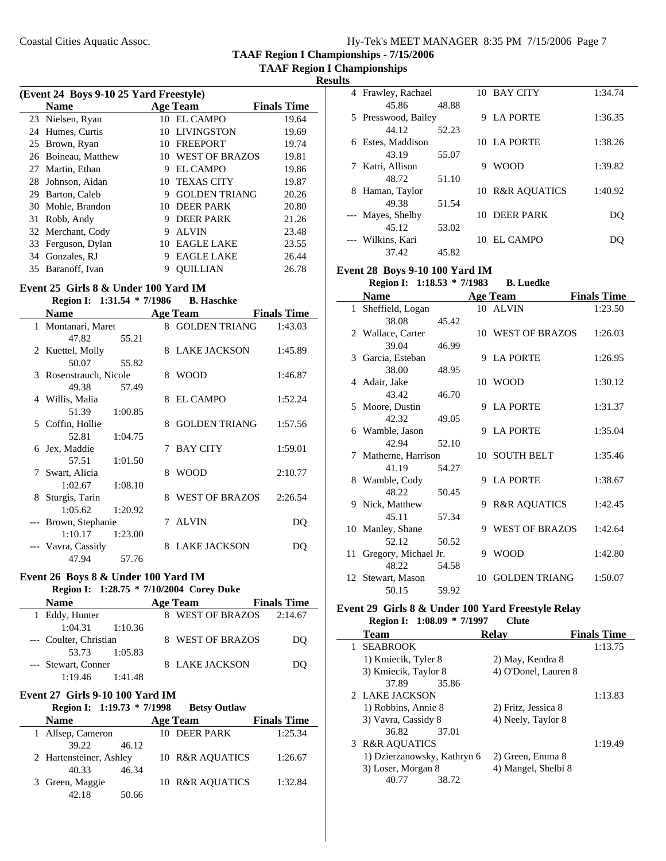**TAAF Region I Championships**

**Results**

| (Event 24 Boys 9-10 25 Yard Freestyle) |                    |     |                      |                    |  |
|----------------------------------------|--------------------|-----|----------------------|--------------------|--|
|                                        | <b>Name</b>        |     | <b>Age Team</b>      | <b>Finals Time</b> |  |
|                                        | 23 Nielsen, Ryan   | 10  | <b>EL CAMPO</b>      | 19.64              |  |
|                                        | 24 Humes, Curtis   | 10  | <b>LIVINGSTON</b>    | 19.69              |  |
| 25                                     | Brown, Ryan        | 10  | <b>FREEPORT</b>      | 19.74              |  |
| 26                                     | Boineau, Matthew   | 10. | WEST OF BRAZOS       | 19.81              |  |
|                                        | 27 Martin, Ethan   | 9   | <b>EL CAMPO</b>      | 19.86              |  |
| 28                                     | Johnson, Aidan     | 10  | <b>TEXAS CITY</b>    | 19.87              |  |
| 29                                     | Barton, Caleb      | 9   | <b>GOLDEN TRIANG</b> | 20.26              |  |
| 30                                     | Mohle, Brandon     | 10. | <b>DEER PARK</b>     | 20.80              |  |
| 31                                     | Robb, Andy         | 9   | <b>DEER PARK</b>     | 21.26              |  |
|                                        | 32 Merchant, Cody  | 9   | <b>ALVIN</b>         | 23.48              |  |
|                                        | 33 Ferguson, Dylan | 10  | <b>EAGLE LAKE</b>    | 23.55              |  |
| 34                                     | Gonzales, RJ       | 9   | <b>EAGLE LAKE</b>    | 26.44              |  |
| 35                                     | Baranoff, Ivan     | 9   | <b>OUILLIAN</b>      | 26.78              |  |

#### **Event 25 Girls 8 & Under 100 Yard IM**

#### **Region I:** 1:31.54 \* 7/1986 **B. Haschke**

| <b>Name</b>            |         |   | <b>Age Team</b>      | <b>Finals Time</b> |
|------------------------|---------|---|----------------------|--------------------|
| 1 Montanari, Maret     |         |   | 8 GOLDEN TRIANG      | 1:43.03            |
| 47.82                  | 55.21   |   |                      |                    |
| 2 Kuettel, Molly       |         |   | 8 LAKE JACKSON       | 1:45.89            |
| 50.07                  | 55.82   |   |                      |                    |
| 3 Rosenstrauch, Nicole |         | 8 | <b>WOOD</b>          | 1:46.87            |
| 49.38                  | 57.49   |   |                      |                    |
| 4 Willis, Malia        |         | 8 | <b>EL CAMPO</b>      | 1:52.24            |
| 51.39                  | 1:00.85 |   |                      |                    |
| 5 Coffin, Hollie       |         | 8 | <b>GOLDEN TRIANG</b> | 1:57.56            |
| 52.81                  | 1:04.75 |   |                      |                    |
| 6 Jex, Maddie          |         |   | 7 BAY CITY           | 1:59.01            |
| 57.51 1:01.50          |         |   |                      |                    |
| 7 Swart, Alicia        |         | 8 | <b>WOOD</b>          | 2:10.77            |
| $1:02.67$ $1:08.10$    |         |   |                      |                    |
| 8 Sturgis, Tarin       |         | 8 | WEST OF BRAZOS       | 2:26.54            |
| 1:05.62                | 1:20.92 |   |                      |                    |
| --- Brown, Stephanie   |         |   | 7 ALVIN              | DQ                 |
| 1:10.17                | 1:23.00 |   |                      |                    |
| Vavra, Cassidy         |         | 8 | <b>LAKE JACKSON</b>  | DO                 |
| 47.94                  | 57.76   |   |                      |                    |

#### **Event 26 Boys 8 & Under 100 Yard IM**

# **Region I: 1:28.75 \* 7/10/2004** Corey Duke

| <b>Name</b>            | Age Team         | <b>Finals Time</b> |
|------------------------|------------------|--------------------|
| 1 Eddy, Hunter         | 8 WEST OF BRAZOS | 2:14.67            |
| 1:04.31<br>1:10.36     |                  |                    |
| --- Coulter, Christian | 8 WEST OF BRAZOS | DO                 |
| 53.73 1:05.83          |                  |                    |
| --- Stewart, Conner    | 8 LAKE JACKSON   | DO                 |
| 1:19.46<br>1:41.48     |                  |                    |

## **Event 27 Girls 9-10 100 Yard IM**

|                         | Region I: 1:19.73 * 7/1998 | <b>Betsy Outlaw</b>        |                    |
|-------------------------|----------------------------|----------------------------|--------------------|
| <b>Name</b>             |                            | <b>Age Team</b>            | <b>Finals Time</b> |
| Allsep, Cameron<br>1    |                            | 10 DEER PARK               | 1:25.34            |
| 39.22                   | 46.12                      |                            |                    |
| 2 Hartensteiner, Ashley |                            | <b>10 R&amp;R AOUATICS</b> | 1:26.67            |
| 40.33                   | 46.34                      |                            |                    |
| 3 Green, Maggie         |                            | 10 R&R AQUATICS            | 1:32.84            |
| 42.18                   | 50.66                      |                            |                    |

|   | 4 Frawley, Rachael  |       |     | 10 BAY CITY      | 1:34.74 |
|---|---------------------|-------|-----|------------------|---------|
|   | 45.86               | 48.88 |     |                  |         |
|   | 5 Presswood, Bailey |       | 9   | <b>LA PORTE</b>  | 1:36.35 |
|   | 44.12               | 52.23 |     |                  |         |
| 6 | Estes, Maddison     |       |     | 10 LA PORTE      | 1:38.26 |
|   | 43.19               | 55.07 |     |                  |         |
|   | 7 Katri, Allison    |       | 9   | <b>WOOD</b>      | 1:39.82 |
|   | 48.72               | 51.10 |     |                  |         |
| 8 | Haman, Taylor       |       |     | 10 R&R AOUATICS  | 1:40.92 |
|   | 49.38               | 51.54 |     |                  |         |
|   | --- Mayes, Shelby   |       | 10. | <b>DEER PARK</b> | DO      |
|   | 45.12               | 53.02 |     |                  |         |
|   | --- Wilkins, Kari   |       | 10. | EL CAMPO         | DO      |
|   | 37.42               | 45.82 |     |                  |         |

## **Event 28 Boys 9-10 100 Yard IM**

**Region I:** 1:18.53 \* 7/1983 **B. Luedke** 

|    | <b>Name</b>          |       |    | <b>Age Team</b>         | <b>Finals Time</b> |
|----|----------------------|-------|----|-------------------------|--------------------|
|    | 1 Sheffield, Logan   |       |    | 10 ALVIN                | 1:23.50            |
|    | 38.08                | 45.42 |    |                         |                    |
|    | 2 Wallace, Carter    |       |    | 10 WEST OF BRAZOS       | 1:26.03            |
|    | 39.04                | 46.99 |    |                         |                    |
|    | 3 Garcia, Esteban    |       | 9  | <b>LA PORTE</b>         | 1:26.95            |
|    | 38.00                | 48.95 |    |                         |                    |
|    | 4 Adair, Jake        |       |    | 10 WOOD                 | 1:30.12            |
|    | 43.42                | 46.70 |    |                         |                    |
|    | 5 Moore, Dustin      |       | 9  | <b>LA PORTE</b>         | 1:31.37            |
|    | 42.32                | 49.05 |    |                         |                    |
|    | 6 Wamble, Jason      |       | 9  | <b>LA PORTE</b>         | 1:35.04            |
|    | 42.94                | 52.10 |    |                         |                    |
|    | 7 Matherne, Harrison |       |    | 10 SOUTH BELT           | 1:35.46            |
|    | 41.19                | 54.27 |    |                         |                    |
|    | 8 Wamble, Cody       |       | 9  | LA PORTE                | 1:38.67            |
|    | 48.22                | 50.45 |    |                         |                    |
|    | 9 Nick, Matthew      |       | 9  | <b>R&amp;R AQUATICS</b> | 1:42.45            |
|    | 45.11                | 57.34 |    |                         |                    |
|    | 10 Manley, Shane     |       | 9  | <b>WEST OF BRAZOS</b>   | 1:42.64            |
|    | 52.12                | 50.52 |    |                         |                    |
| 11 | Gregory, Michael Jr. |       | 9  | <b>WOOD</b>             | 1:42.80            |
|    | 48.22                | 54.58 |    |                         |                    |
|    | 12 Stewart, Mason    |       | 10 | <b>GOLDEN TRIANG</b>    | 1:50.07            |
|    | 50.15                | 59.92 |    |                         |                    |

#### **Event 29 Girls 8 & Under 100 Yard Freestyle Relay Region I:** 1:08.09 \* 7/1997 Clute

| <b>Team</b>                  | <b>Finals Time</b><br>Relav |
|------------------------------|-----------------------------|
| <b>SEABROOK</b>              | 1:13.75                     |
| 1) Kmiecik, Tyler 8          | 2) May, Kendra 8            |
| 3) Kmiecik, Taylor 8         | 4) O'Donel, Lauren 8        |
| 37.89<br>35.86               |                             |
| 2 LAKE JACKSON               | 1:13.83                     |
| 1) Robbins, Annie 8          | 2) Fritz, Jessica 8         |
| 3) Vavra, Cassidy 8          | 4) Neely, Taylor 8          |
| 36.82<br>37.01               |                             |
| <b>R&amp;R AQUATICS</b><br>3 | 1:19.49                     |
| 1) Dzierzanowsky, Kathryn 6  | 2) Green, Emma 8            |
| 3) Loser, Morgan 8           | 4) Mangel, Shelbi 8         |
| 38.72<br>40.77               |                             |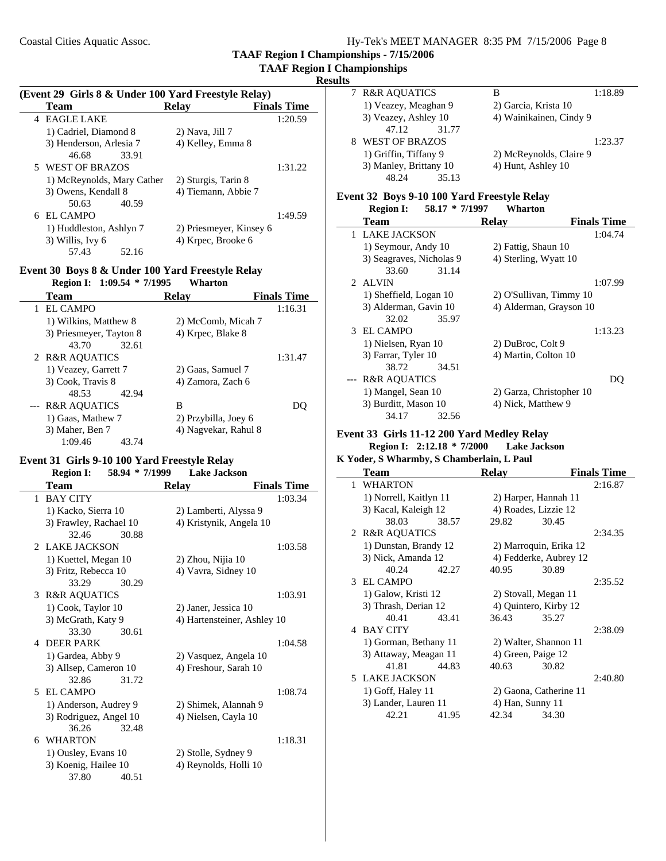#### **TAAF Region I Championships Results**

 $\overline{\phantom{a}}$ 

| (Event 29 Girls 8 & Under 100 Yard Freestyle Relay) |                         |                    |  |  |
|-----------------------------------------------------|-------------------------|--------------------|--|--|
| Team                                                | Relav                   | <b>Finals Time</b> |  |  |
| <b>EAGLE LAKE</b><br>4                              |                         | 1:20.59            |  |  |
| 1) Cadriel, Diamond 8                               | 2) Nava, Jill 7         |                    |  |  |
| 3) Henderson, Arlesia 7                             | 4) Kelley, Emma 8       |                    |  |  |
| 46.68<br>33.91                                      |                         |                    |  |  |
| 5 WEST OF BRAZOS                                    |                         | 1:31.22            |  |  |
| 1) McReynolds, Mary Cather                          | 2) Sturgis, Tarin 8     |                    |  |  |
| 3) Owens, Kendall 8                                 | 4) Tiemann, Abbie 7     |                    |  |  |
| 40.59<br>50.63                                      |                         |                    |  |  |
| 6 EL CAMPO                                          |                         | 1:49.59            |  |  |
| 1) Huddleston, Ashlyn 7                             | 2) Priesmeyer, Kinsey 6 |                    |  |  |
| 3) Willis, Ivy 6                                    | 4) Krpec, Brooke 6      |                    |  |  |
| 57.43<br>52.16                                      |                         |                    |  |  |

#### **Event 30 Boys 8 & Under 100 Yard Freestyle Relay Region I: 1:09.54 \* Wharton 7/1995**

| Region 1: $1:09.54$ $\degree$ //1995 | wnarton              |                    |
|--------------------------------------|----------------------|--------------------|
| Team                                 | Relay                | <b>Finals Time</b> |
| EL CAMPO                             |                      | 1:16.31            |
| 1) Wilkins, Matthew 8                | 2) McComb, Micah 7   |                    |
| 3) Priesmeyer, Tayton 8              | 4) Krpec, Blake 8    |                    |
| 43.70<br>32.61                       |                      |                    |
| 2 R&R AQUATICS                       |                      | 1:31.47            |
| 1) Veazey, Garrett 7                 | 2) Gaas, Samuel 7    |                    |
| 3) Cook, Travis 8                    | 4) Zamora, Zach 6    |                    |
| 48.53<br>42.94                       |                      |                    |
| --- R&R AQUATICS                     | В                    |                    |
| 1) Gaas, Mathew 7                    | 2) Przybilla, Joey 6 |                    |
| 3) Maher, Ben 7                      | 4) Nagyekar, Rahul 8 |                    |
| 1:09.46<br>43.74                     |                      |                    |

### **Event 31 Girls 9-10 100 Yard Freestyle Relay**

|   | <b>Region I:</b>       | 58.94 * 7/1999 | <b>Lake Jackson</b>         |                    |
|---|------------------------|----------------|-----------------------------|--------------------|
|   | Team                   |                | <b>Relay</b>                | <b>Finals Time</b> |
| 1 | <b>BAY CITY</b>        |                |                             | 1:03.34            |
|   | 1) Kacko, Sierra 10    |                | 2) Lamberti, Alyssa 9       |                    |
|   | 3) Frawley, Rachael 10 |                | 4) Kristynik, Angela 10     |                    |
|   | 32.46                  | 30.88          |                             |                    |
|   | 2 LAKE JACKSON         |                |                             | 1:03.58            |
|   | 1) Kuettel, Megan 10   |                | 2) Zhou, Nijia 10           |                    |
|   | 3) Fritz, Rebecca 10   |                | 4) Vavra, Sidney 10         |                    |
|   | 33.29                  | 30.29          |                             |                    |
|   | 3 R&R AQUATICS         |                |                             | 1:03.91            |
|   | 1) Cook, Taylor 10     |                | 2) Janer, Jessica 10        |                    |
|   | 3) McGrath, Katy 9     |                | 4) Hartensteiner, Ashley 10 |                    |
|   | 33.30                  | 30.61          |                             |                    |
|   | 4 DEER PARK            |                |                             | 1:04.58            |
|   | 1) Gardea, Abby 9      |                | 2) Vasquez, Angela 10       |                    |
|   | 3) Allsep, Cameron 10  |                | 4) Freshour, Sarah 10       |                    |
|   | 32.86                  | 31.72          |                             |                    |
|   | 5 EL CAMPO             |                |                             | 1:08.74            |
|   | 1) Anderson, Audrey 9  |                | 2) Shimek, Alannah 9        |                    |
|   | 3) Rodriguez, Angel 10 |                | 4) Nielsen, Cayla 10        |                    |
|   | 36.26                  | 32.48          |                             |                    |
|   | 6 WHARTON              |                |                             | 1:18.31            |
|   | 1) Ousley, Evans 10    |                | 2) Stolle, Sydney 9         |                    |
|   | 3) Koenig, Hailee 10   |                | 4) Reynolds, Holli 10       |                    |
|   | 37.80                  | 40.51          |                             |                    |

| 7 R&R AQUATICS         | 1:18.89<br>В            |
|------------------------|-------------------------|
| 1) Veazey, Meaghan 9   | 2) Garcia, Krista 10    |
| 3) Veazey, Ashley 10   | 4) Wainikainen, Cindy 9 |
| 31.77<br>47.12         |                         |
| WEST OF BRAZOS         | 1:23.37                 |
| 1) Griffin, Tiffany 9  | 2) McReynolds, Claire 9 |
| 3) Manley, Brittany 10 | 4) Hunt, Ashley 10      |
| 48.24<br>35.13         |                         |

# **Event 32 Boys 9-10 100 Yard Freestyle Relay**

|   | <b>Region I:</b>         | $58.17 * 7/1997$ | Wharton                  |                    |
|---|--------------------------|------------------|--------------------------|--------------------|
|   | Team                     |                  | Relav                    | <b>Finals Time</b> |
| 1 | <b>LAKE JACKSON</b>      |                  |                          | 1:04.74            |
|   | 1) Seymour, Andy 10      |                  | 2) Fattig, Shaun 10      |                    |
|   | 3) Seagraves, Nicholas 9 |                  | 4) Sterling, Wyatt 10    |                    |
|   | 33.60                    | 31.14            |                          |                    |
|   | 2 ALVIN                  |                  |                          | 1:07.99            |
|   | 1) Sheffield, Logan 10   |                  | 2) O'Sullivan, Timmy 10  |                    |
|   | 3) Alderman, Gavin 10    |                  | 4) Alderman, Grayson 10  |                    |
|   | 32.02                    | 35.97            |                          |                    |
|   | 3 EL CAMPO               |                  |                          | 1:13.23            |
|   | 1) Nielsen, Ryan 10      |                  | 2) DuBroc, Colt 9        |                    |
|   | 3) Farrar, Tyler 10      |                  | 4) Martin, Colton 10     |                    |
|   | 38.72                    | 34.51            |                          |                    |
|   | <b>R&amp;R AQUATICS</b>  |                  |                          | DU                 |
|   | 1) Mangel, Sean 10       |                  | 2) Garza, Christopher 10 |                    |
|   | 3) Burditt, Mason 10     |                  | 4) Nick, Matthew 9       |                    |
|   | 34.17                    | 32.56            |                          |                    |

#### **Event 33 Girls 11-12 200 Yard Medley Relay Region I: 2:12.18 \* 7/2000 Lake Jackson**

#### **K Yoder, S Wharmby, S Chamberlain, L Paul**

| Team                   | <b>Relav</b>           | <b>Finals Time</b> |
|------------------------|------------------------|--------------------|
| <b>WHARTON</b><br>1.   |                        | 2:16.87            |
| 1) Norrell, Kaitlyn 11 | 2) Harper, Hannah 11   |                    |
| 3) Kacal, Kaleigh 12   | 4) Roades, Lizzie 12   |                    |
| 38.03<br>38.57         | 29.82                  | 30.45              |
| 2 R&R AQUATICS         |                        | 2:34.35            |
| 1) Dunstan, Brandy 12  | 2) Marroquin, Erika 12 |                    |
| 3) Nick, Amanda 12     | 4) Fedderke, Aubrey 12 |                    |
| 40.24<br>42.27         | 40.95                  | 30.89              |
| 3 EL CAMPO             |                        | 2:35.52            |
| 1) Galow, Kristi 12    | 2) Stovall, Megan 11   |                    |
| 3) Thrash, Derian 12   | 4) Quintero, Kirby 12  |                    |
| 40.41<br>43.41         | 36.43                  | 35.27              |
| 4 BAY CITY             |                        | 2:38.09            |
| 1) Gorman, Bethany 11  | 2) Walter, Shannon 11  |                    |
| 3) Attaway, Meagan 11  | 4) Green, Paige 12     |                    |
| 44.83<br>41.81         | 40.63                  | 30.82              |
| 5 LAKE JACKSON         |                        | 2:40.80            |
| 1) Goff, Haley 11      | 2) Gaona, Catherine 11 |                    |
| 3) Lander, Lauren 11   | 4) Han, Sunny 11       |                    |
| 42.21<br>41.95         | 42.34                  | 34.30              |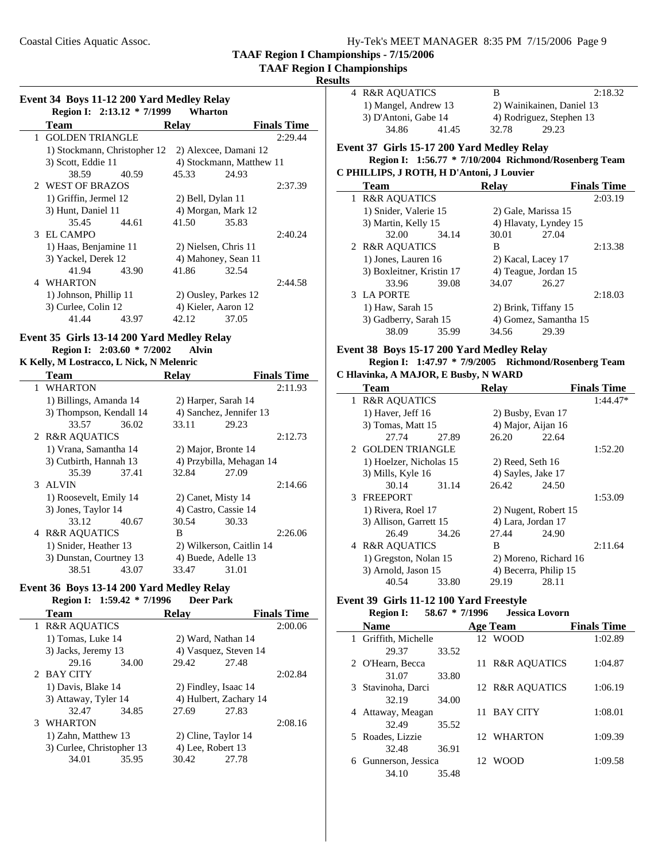## **TAAF Region I Championships**

**Results**

| Event 34 Boys 11-12 200 Yard Medley Relay |                              |       |                      |                          |                    |
|-------------------------------------------|------------------------------|-------|----------------------|--------------------------|--------------------|
|                                           | Region I: 2:13.12 * 7/1999   |       | Wharton              |                          |                    |
|                                           | <b>Team</b>                  |       | <b>Relav</b>         |                          | <b>Finals Time</b> |
| 1                                         | <b>GOLDEN TRIANGLE</b>       |       |                      |                          | 2:29.44            |
|                                           | 1) Stockmann, Christopher 12 |       |                      | 2) Alexcee, Damani 12    |                    |
|                                           | 3) Scott, Eddie 11           |       |                      | 4) Stockmann, Matthew 11 |                    |
|                                           | 38.59                        | 40.59 | 45.33                | 24.93                    |                    |
|                                           | 2 WEST OF BRAZOS             |       |                      |                          | 2:37.39            |
|                                           | 1) Griffin, Jermel 12        |       | 2) Bell, Dylan 11    |                          |                    |
|                                           | 3) Hunt, Daniel 11           |       | 4) Morgan, Mark 12   |                          |                    |
|                                           | 35.45                        | 44.61 | 41.50                | 35.83                    |                    |
|                                           | 3 EL CAMPO                   |       |                      |                          | 2:40.24            |
|                                           | 1) Haas, Benjamine 11        |       | 2) Nielsen, Chris 11 |                          |                    |
|                                           | 3) Yackel, Derek 12          |       | 4) Mahoney, Sean 11  |                          |                    |
|                                           | 41.94                        | 43.90 | 41.86                | 32.54                    |                    |
| 4                                         | <b>WHARTON</b>               |       |                      |                          | 2:44.58            |
|                                           | 1) Johnson, Phillip 11       |       | 2) Ousley, Parkes 12 |                          |                    |
|                                           | 3) Curlee, Colin 12          |       | 4) Kieler, Aaron 12  |                          |                    |
|                                           | 41.44                        | 43.97 | 42.12                | 37.05                    |                    |

#### **Event 35 Girls 13-14 200 Yard Medley Relay Region I:** 2:03.60 \* 7/2002 **Alvin K Kelly, M Lostracco, L Nick, N Melenric**

| <b>Team</b>             |       | <b>Relay</b>         |                          | <b>Finals Time</b> |
|-------------------------|-------|----------------------|--------------------------|--------------------|
| 1 WHARTON               |       |                      |                          | 2:11.93            |
| 1) Billings, Amanda 14  |       | 2) Harper, Sarah 14  |                          |                    |
| 3) Thompson, Kendall 14 |       |                      | 4) Sanchez, Jennifer 13  |                    |
| 33.57                   | 36.02 | 33.11                | 29.23                    |                    |
| 2 R&R AQUATICS          |       |                      |                          | 2:12.73            |
| 1) Vrana, Samantha 14   |       | 2) Major, Bronte 14  |                          |                    |
| 3) Cutbirth, Hannah 13  |       |                      | 4) Przybilla, Mehagan 14 |                    |
| 35.39                   | 37.41 | 32.84                | 27.09                    |                    |
| 3 ALVIN                 |       |                      |                          | 2:14.66            |
| 1) Roosevelt, Emily 14  |       | 2) Canet, Misty 14   |                          |                    |
| 3) Jones, Taylor 14     |       | 4) Castro, Cassie 14 |                          |                    |
| 33.12                   | 40.67 | 30.54                | 30.33                    |                    |
| 4 R&R AQUATICS          |       | B                    |                          | 2:26.06            |
| 1) Snider, Heather 13   |       |                      | 2) Wilkerson, Caitlin 14 |                    |
| 3) Dunstan, Courtney 13 |       | 4) Buede, Adelle 13  |                          |                    |
| 38.51                   | 43.07 | 33.47                | 31.01                    |                    |

# **Event 36 Boys 13-14 200 Yard Medley Relay**

 $\mathbf{r}$ 

## **Region I:** 1:59.42 \* 7/1996 **Deer Park**

| <b>Team</b>               |       | <b>Relay</b>           |                       | <b>Finals Time</b> |
|---------------------------|-------|------------------------|-----------------------|--------------------|
| 1 R&R AQUATICS            |       |                        |                       | 2:00.06            |
| 1) Tomas, Luke 14         |       |                        | 2) Ward, Nathan 14    |                    |
| 3) Jacks, Jeremy 13       |       |                        | 4) Vasquez, Steven 14 |                    |
| 29.16                     | 34.00 | 29.42                  | 27.48                 |                    |
| 2 BAY CITY                |       |                        |                       | 2:02.84            |
| 1) Davis, Blake 14        |       |                        | 2) Findley, Isaac 14  |                    |
| 3) Attaway, Tyler 14      |       | 4) Hulbert, Zachary 14 |                       |                    |
| 32.47                     | 34.85 | 27.69                  | 27.83                 |                    |
| WHARTON                   |       |                        |                       | 2:08.16            |
| 1) Zahn, Matthew 13       |       | 2) Cline, Taylor 14    |                       |                    |
| 3) Curlee, Christopher 13 |       | 4) Lee, Robert 13      |                       |                    |
| 34.01                     | 35.95 | 30.42                  | 27.78                 |                    |
|                           |       |                        |                       |                    |

|                                            | 4 R&R AOUATICS       |       | В                         | 2:18.32 |  |
|--------------------------------------------|----------------------|-------|---------------------------|---------|--|
|                                            | 1) Mangel, Andrew 13 |       | 2) Wainikainen, Daniel 13 |         |  |
|                                            | 3) D'Antoni, Gabe 14 |       | 4) Rodriguez, Stephen 13  |         |  |
|                                            | 34.86                | 41.45 | 32.78                     | 29.23   |  |
| vent 37  Cirls 15.17 200 Vard Medlev Relav |                      |       |                           |         |  |

#### **Event 37 Girls 15-17 200 Yard Medley Relay Region I:** 1:56.77 \* 7/10/2004 Richmond/Rosenberg Team **C PHILLIPS, J ROTH, H D'Antoni, J Louvier**

|   | F HILLIFS, J ROTH, H D'Alltoill, J Louvier |       |                       |                       |                    |  |  |  |
|---|--------------------------------------------|-------|-----------------------|-----------------------|--------------------|--|--|--|
|   | <b>Team</b>                                |       | Relav                 |                       | <b>Finals Time</b> |  |  |  |
| 1 | <b>R&amp;R AQUATICS</b>                    |       |                       |                       | 2:03.19            |  |  |  |
|   | 1) Snider, Valerie 15                      |       |                       | 2) Gale, Marissa 15   |                    |  |  |  |
|   | 3) Martin, Kelly 15                        |       |                       | 4) Hlavaty, Lyndey 15 |                    |  |  |  |
|   | 32.00                                      | 34.14 | 30.01                 | 27.04                 |                    |  |  |  |
|   | 2 R&R AQUATICS                             |       | В                     |                       | 2:13.38            |  |  |  |
|   | 1) Jones, Lauren 16                        |       | 2) Kacal, Lacey 17    |                       |                    |  |  |  |
|   | 3) Boxleitner, Kristin 17                  |       | 4) Teague, Jordan 15  |                       |                    |  |  |  |
|   | 33.96                                      | 39.08 | 34.07                 | 26.27                 |                    |  |  |  |
|   | 3 LA PORTE                                 |       |                       |                       | 2:18.03            |  |  |  |
|   | 1) Haw, Sarah 15                           |       | 2) Brink, Tiffany 15  |                       |                    |  |  |  |
|   | 3) Gadberry, Sarah 15                      |       | 4) Gomez, Samantha 15 |                       |                    |  |  |  |
|   | 38.09                                      | 35.99 | 34.56                 | 29.39                 |                    |  |  |  |

#### **Event 38 Boys 15-17 200 Yard Medley Relay**

# **Region I: 1:47.97 \* 7/9/2005 Richmond/Rosenberg Team**

| C Hlavinka, A MAJOR, E Busby, N WARD |                         |       |                    |                       |                    |  |
|--------------------------------------|-------------------------|-------|--------------------|-----------------------|--------------------|--|
|                                      | <b>Team</b>             |       | <b>Relay</b>       |                       | <b>Finals Time</b> |  |
| $\mathbf{1}$                         | <b>R&amp;R AQUATICS</b> |       |                    |                       | $1:44.47*$         |  |
|                                      | 1) Haver, Jeff 16       |       |                    | 2) Busby, Evan 17     |                    |  |
|                                      | 3) Tomas, Matt 15       |       |                    | 4) Major, Aijan 16    |                    |  |
|                                      | 27.74                   | 27.89 | 26.20              | 22.64                 |                    |  |
|                                      | 2 GOLDEN TRIANGLE       |       |                    |                       | 1:52.20            |  |
|                                      | 1) Hoelzer, Nicholas 15 |       | $2)$ Reed, Seth 16 |                       |                    |  |
|                                      | 3) Mills, Kyle 16       |       | 4) Sayles, Jake 17 |                       |                    |  |
|                                      | 30.14                   | 31.14 | 26.42              | 24.50                 |                    |  |
|                                      | 3 FREEPORT              |       |                    |                       | 1:53.09            |  |
|                                      | 1) Rivera, Roel 17      |       |                    | 2) Nugent, Robert 15  |                    |  |
|                                      | 3) Allison, Garrett 15  |       |                    | 4) Lara, Jordan 17    |                    |  |
|                                      | 26.49                   | 34.26 | 27.44              | 24.90                 |                    |  |
|                                      | 4 R&R AQUATICS          |       | B                  |                       | 2:11.64            |  |
|                                      | 1) Gregston, Nolan 15   |       |                    | 2) Moreno, Richard 16 |                    |  |
|                                      | 3) Arnold, Jason 15     |       |                    | 4) Becerra, Philip 15 |                    |  |
|                                      | 40.54                   | 33.80 | 29.19              | 28.11                 |                    |  |

# **Event 39 Girls 11-12 100 Yard Freestyle<br>Region I: 58.67 \* 7/1996** Jessic

|   | <b>Region I:</b>     |       | 58.67 * 7/1996 | <b>Jessica Lovorn</b> |                    |
|---|----------------------|-------|----------------|-----------------------|--------------------|
|   | <b>Name</b>          |       |                | <b>Age Team</b>       | <b>Finals Time</b> |
|   | 1 Griffith, Michelle |       |                | 12 WOOD               | 1:02.89            |
|   | 29.37                | 33.52 |                |                       |                    |
|   | 2 O'Hearn, Becca     |       |                | 11 R&R AOUATICS       | 1:04.87            |
|   | 31.07                | 33.80 |                |                       |                    |
|   | 3 Stavinoha, Darci   |       |                | 12 R&R AOUATICS       | 1:06.19            |
|   | 32.19                | 34.00 |                |                       |                    |
|   | 4 Attaway, Meagan    |       |                | 11 BAY CITY           | 1:08.01            |
|   | 32.49                | 35.52 |                |                       |                    |
|   | 5 Roades, Lizzie     |       |                | 12 WHARTON            | 1:09.39            |
|   | 32.48                | 36.91 |                |                       |                    |
| 6 | Gunnerson, Jessica   |       |                | 12 WOOD               | 1:09.58            |
|   | 34.10                | 35.48 |                |                       |                    |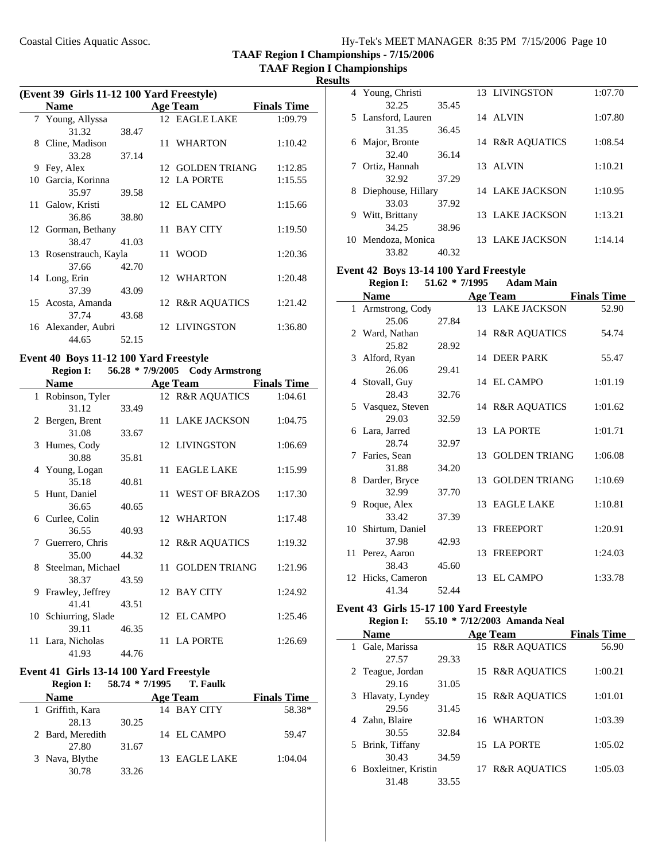**TAAF Region I Championships**

 $\mathcal{L}$ 

|   | (Event 39 Girls 11-12 100 Yard Freestyle) |       |  |                  |                    |  |
|---|-------------------------------------------|-------|--|------------------|--------------------|--|
|   | <b>Name</b>                               |       |  | <b>Age Team</b>  | <b>Finals Time</b> |  |
|   | 7 Young, Allyssa                          |       |  | 12 EAGLE LAKE    | 1:09.79            |  |
|   | 31.32                                     | 38.47 |  |                  |                    |  |
|   | 8 Cline, Madison                          |       |  | 11 WHARTON       | 1:10.42            |  |
|   | 33.28                                     | 37.14 |  |                  |                    |  |
| 9 | Fey, Alex                                 |       |  | 12 GOLDEN TRIANG | 1:12.85            |  |
|   | 10 Garcia, Korinna                        |       |  | 12 LA PORTE      | 1:15.55            |  |
|   | 35.97                                     | 39.58 |  |                  |                    |  |
|   | 11 Galow, Kristi                          |       |  | 12 EL CAMPO      | 1:15.66            |  |
|   | 36.86                                     | 38.80 |  |                  |                    |  |
|   | 12 Gorman, Bethany                        |       |  | 11 BAY CITY      | 1:19.50            |  |
|   | 38.47                                     | 41.03 |  |                  |                    |  |
|   | 13 Rosenstrauch, Kayla                    |       |  | 11 WOOD          | 1:20.36            |  |
|   | 37.66                                     | 42.70 |  |                  |                    |  |
|   | 14 Long, Erin                             |       |  | 12 WHARTON       | 1:20.48            |  |
|   | 37.39                                     | 43.09 |  |                  |                    |  |
|   | 15 Acosta, Amanda                         |       |  | 12 R&R AQUATICS  | 1:21.42            |  |
|   | 37.74                                     | 43.68 |  |                  |                    |  |
|   | 16 Alexander, Aubri                       |       |  | 12 LIVINGSTON    | 1:36.80            |  |
|   | 44.65                                     | 52.15 |  |                  |                    |  |

#### **Event 40 Boys 11-12 100 Yard Freestyle Region I:** 56.28 \* 7/9/2005 Cody Armstrong

|   | <b>Name</b>          |       | <b>Age Team</b>   | <b>Finals Time</b> |
|---|----------------------|-------|-------------------|--------------------|
|   | 1 Robinson, Tyler    |       | 12 R&R AQUATICS   | 1:04.61            |
|   | 31.12                | 33.49 |                   |                    |
|   | 2 Bergen, Brent      |       | 11 LAKE JACKSON   | 1:04.75            |
|   | 31.08                | 33.67 |                   |                    |
|   | 3 Humes, Cody        |       | 12 LIVINGSTON     | 1:06.69            |
|   | 30.88                | 35.81 |                   |                    |
|   | 4 Young, Logan       |       | 11 EAGLE LAKE     | 1:15.99            |
|   | 35.18                | 40.81 |                   |                    |
|   | 5 Hunt, Daniel       |       | 11 WEST OF BRAZOS | 1:17.30            |
|   | 36.65                | 40.65 |                   |                    |
|   | 6 Curlee, Colin      |       | 12 WHARTON        | 1:17.48            |
|   | 36.55                | 40.93 |                   |                    |
| 7 | Guerrero, Chris      |       | 12 R&R AQUATICS   | 1:19.32            |
|   | 35.00                | 44.32 |                   |                    |
|   | 8 Steelman, Michael  |       | 11 GOLDEN TRIANG  | 1:21.96            |
|   | 38.37                | 43.59 |                   |                    |
|   | 9 Frawley, Jeffrey   |       | 12 BAY CITY       | 1:24.92            |
|   | 41.41                | 43.51 |                   |                    |
|   | 10 Schiurring, Slade |       | 12 EL CAMPO       | 1:25.46            |
|   | 39.11                | 46.35 |                   |                    |
|   | 11 Lara, Nicholas    |       | 11 LA PORTE       | 1:26.69            |
|   | 41.93                | 44.76 |                   |                    |

#### **Event 41 Girls 13-14 100 Yard Freestyle**

à.

| $\mathbf{I}$ and $\mathbf{I}$ and $\mathbf{I}$ and $\mathbf{I}$ and $\mathbf{I}$ and $\mathbf{I}$ are $\mathbf{I}$<br><b>Region I:</b> |       | 58.74 * 7/1995 T. Faulk |                    |
|----------------------------------------------------------------------------------------------------------------------------------------|-------|-------------------------|--------------------|
| <b>Name</b>                                                                                                                            |       | Age Team                | <b>Finals Time</b> |
| 1 Griffith, Kara                                                                                                                       |       | 14 BAY CITY             | 58.38*             |
| 28.13                                                                                                                                  | 30.25 |                         |                    |
| 2 Bard, Meredith                                                                                                                       |       | 14 EL CAMPO             | 59.47              |
| 27.80                                                                                                                                  | 31.67 |                         |                    |
| 3 Nava, Blythe                                                                                                                         |       | 13 EAGLE LAKE           | 1:04.04            |
| 30.78                                                                                                                                  | 33.26 |                         |                    |

|    | 4 Young, Christi   |       |     | 13 LIVINGSTON   | 1:07.70 |
|----|--------------------|-------|-----|-----------------|---------|
|    | 32.25              | 35.45 |     |                 |         |
|    | 5 Lansford, Lauren |       |     | 14 ALVIN        | 1:07.80 |
|    | 31.35              | 36.45 |     |                 |         |
| 6. | Major, Bronte      |       |     | 14 R&R AOUATICS | 1:08.54 |
|    | 32.40              | 36.14 |     |                 |         |
|    | 7 Ortiz, Hannah    |       | 13. | ALVIN           | 1:10.21 |
|    | 32.92              | 37.29 |     |                 |         |
| 8. | Diephouse, Hillary |       |     | 14 LAKE JACKSON | 1:10.95 |
|    | 33.03              | 37.92 |     |                 |         |
| 9  | Witt, Brittany     |       |     | 13 LAKE JACKSON | 1:13.21 |
|    | 34.25              | 38.96 |     |                 |         |
| 10 | Mendoza, Monica    |       |     | 13 LAKE JACKSON | 1:14.14 |
|    | 33.82              | 40.32 |     |                 |         |

# **Event 42 Boys 13-14 100 Yard Freestyle**

**Region I:** 51.62 \* 7/1995 **Adam Main** 

| <b>Name</b>        |       |                 | <b>Age Team</b>      | <b>Finals Time</b> |
|--------------------|-------|-----------------|----------------------|--------------------|
| 1 Armstrong, Cody  |       |                 | 13 LAKE JACKSON      | 52.90              |
| 25.06              | 27.84 |                 |                      |                    |
| 2 Ward, Nathan     |       |                 | 14 R&R AQUATICS      | 54.74              |
| 25.82              | 28.92 |                 |                      |                    |
| 3 Alford, Ryan     |       |                 | 14 DEER PARK         | 55.47              |
| 26.06              | 29.41 |                 |                      |                    |
| 4 Stovall, Guy     |       |                 | 14 EL CAMPO          | 1:01.19            |
| 28.43              | 32.76 |                 |                      |                    |
| 5 Vasquez, Steven  |       |                 | 14 R&R AQUATICS      | 1:01.62            |
| 29.03              | 32.59 |                 |                      |                    |
| 6 Lara, Jarred     |       |                 | 13 LA PORTE          | 1:01.71            |
| 28.74              | 32.97 |                 |                      |                    |
| 7 Faries, Sean     |       | 13 <sup>7</sup> | <b>GOLDEN TRIANG</b> | 1:06.08            |
| 31.88              | 34.20 |                 |                      |                    |
| 8 Darder, Bryce    |       | 13 <sup>7</sup> | <b>GOLDEN TRIANG</b> | 1:10.69            |
| 32.99              | 37.70 |                 |                      |                    |
| 9 Roque, Alex      |       |                 | 13 EAGLE LAKE        | 1:10.81            |
| 33.42              | 37.39 |                 |                      |                    |
| 10 Shirtum, Daniel |       |                 | 13 FREEPORT          | 1:20.91            |
| 37.98              | 42.93 |                 |                      |                    |
| 11 Perez, Aaron    |       |                 | 13 FREEPORT          | 1:24.03            |
| 38.43              | 45.60 |                 |                      |                    |
| 12 Hicks, Cameron  |       |                 | 13 EL CAMPO          | 1:33.78            |
| 41.34              | 52.44 |                 |                      |                    |

#### **Event 43 Girls 15-17 100 Yard Freestyle Region I:** 55.10 \* 7/12/2003 Amanda Neal

| wegion 1.                | <u>JJ.LV</u> |    | $11222003$ Amanda Real  |                    |
|--------------------------|--------------|----|-------------------------|--------------------|
| <b>Name</b>              |              |    | Age Team                | <b>Finals Time</b> |
| 1 Gale, Marissa          |              |    | 15 R&R AOUATICS         | 56.90              |
| 27.57                    | 29.33        |    |                         |                    |
| 2 Teague, Jordan         |              |    | 15 R&R AOUATICS         | 1:00.21            |
| 29.16                    | 31.05        |    |                         |                    |
| 3 Hlavaty, Lyndey        |              |    | 15 R&R AOUATICS         | 1:01.01            |
| 29.56                    | 31.45        |    |                         |                    |
| 4 Zahn, Blaire           |              |    | 16 WHARTON              | 1:03.39            |
| 30.55                    | 32.84        |    |                         |                    |
| 5 Brink, Tiffany         |              |    | 15 LA PORTE             | 1:05.02            |
| 30.43                    | 34.59        |    |                         |                    |
| Boxleitner, Kristin<br>6 |              | 17 | <b>R&amp;R AOUATICS</b> | 1:05.03            |
| 31.48                    | 33.55        |    |                         |                    |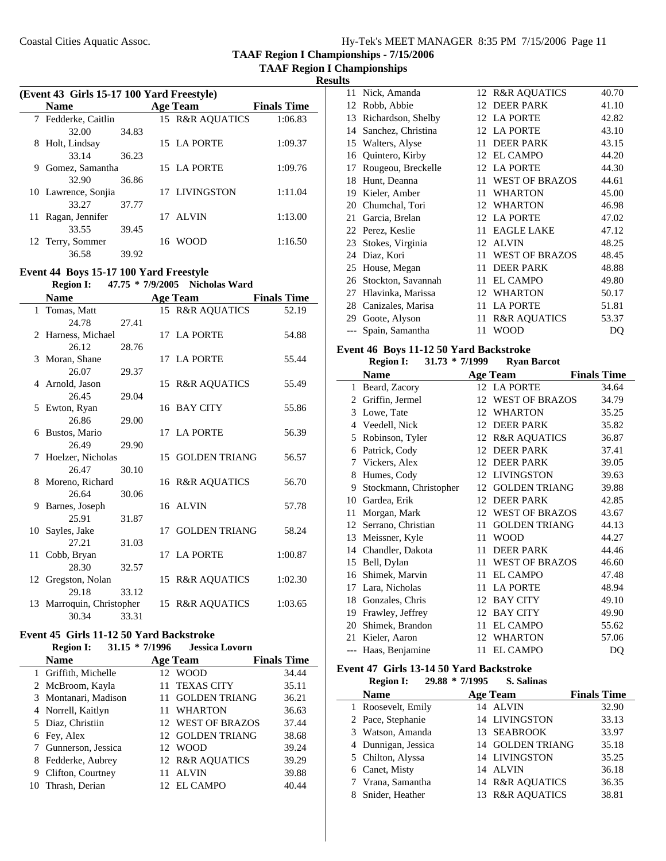**TAAF Region I Championships - 7/15/2006 TAAF Region I Championships**

**Results**

| (Event 43 Girls 15-17 100 Yard Freestyle) |                     |       |  |                 |                    |  |
|-------------------------------------------|---------------------|-------|--|-----------------|--------------------|--|
|                                           | <b>Name</b>         |       |  | <b>Age Team</b> | <b>Finals Time</b> |  |
|                                           | 7 Fedderke, Caitlin |       |  | 15 R&R AQUATICS | 1:06.83            |  |
|                                           | 32.00               | 34.83 |  |                 |                    |  |
|                                           | 8 Holt, Lindsay     |       |  | 15 LA PORTE     | 1:09.37            |  |
|                                           | 33.14               | 36.23 |  |                 |                    |  |
| 9                                         | Gomez, Samantha     |       |  | 15 LA PORTE     | 1:09.76            |  |
|                                           | 32.90               | 36.86 |  |                 |                    |  |
|                                           | 10 Lawrence, Sonjia |       |  | 17 LIVINGSTON   | 1:11.04            |  |
|                                           | 33.27               | 37.77 |  |                 |                    |  |
| 11                                        | Ragan, Jennifer     |       |  | 17 ALVIN        | 1:13.00            |  |
|                                           | 33.55               | 39.45 |  |                 |                    |  |
|                                           | 12 Terry, Sommer    |       |  | 16 WOOD         | 1:16.50            |  |
|                                           | 36.58               | 39.92 |  |                 |                    |  |

#### **Event 44 Boys 15-17 100 Yard Freestyle Region I:** 47.75 \* 7/9/2005 **Nicholas Ward**

|      |                        |       | $1721 = 000$     |                    |
|------|------------------------|-------|------------------|--------------------|
|      | <b>Name</b>            |       | <b>Age Team</b>  | <b>Finals Time</b> |
|      | 1 Tomas, Matt          |       | 15 R&R AQUATICS  | 52.19              |
|      | 24.78                  | 27.41 |                  |                    |
|      | 2 Harness, Michael     |       | 17 LA PORTE      | 54.88              |
|      | 26.12                  | 28.76 |                  |                    |
|      | 3 Moran, Shane         |       | 17 LA PORTE      | 55.44              |
|      | 26.07                  | 29.37 |                  |                    |
|      | 4 Arnold, Jason        |       | 15 R&R AQUATICS  | 55.49              |
|      | 26.45                  | 29.04 |                  |                    |
|      | 5 Ewton, Ryan          |       | 16 BAY CITY      | 55.86              |
|      | 26.86                  | 29.00 |                  |                    |
|      | 6 Bustos, Mario        |       | 17 LA PORTE      | 56.39              |
|      | 26.49                  | 29.90 |                  |                    |
|      | 7 Hoelzer, Nicholas    |       | 15 GOLDEN TRIANG | 56.57              |
|      | 26.47                  | 30.10 |                  |                    |
|      | 8 Moreno, Richard      |       | 16 R&R AQUATICS  | 56.70              |
|      | 26.64                  | 30.06 |                  |                    |
|      | 9 Barnes, Joseph       |       | 16 ALVIN         | 57.78              |
|      | 25.91                  | 31.87 |                  |                    |
| 10   | Sayles, Jake           |       | 17 GOLDEN TRIANG | 58.24              |
|      | 27.21                  | 31.03 |                  |                    |
| 11 - | Cobb, Bryan            |       | 17 LA PORTE      | 1:00.87            |
|      | 28.30                  | 32.57 |                  |                    |
|      | 12 Gregston, Nolan     |       | 15 R&R AQUATICS  | 1:02.30            |
|      | 29.18                  | 33.12 |                  |                    |
| 13   | Marroquin, Christopher |       | 15 R&R AQUATICS  | 1:03.65            |
|      | 30.34                  | 33.31 |                  |                    |

#### **Event 45 Girls 11-12 50 Yard Backstroke**<br>**Pagion L. 21.15 \* 7/1006** Lessing Levern  $21.15 * 7/1006$

| REGIOII 1:<br>$31.13$ $11390$ |    | Jessica Lovorii      |                    |
|-------------------------------|----|----------------------|--------------------|
| <b>Name</b>                   |    | Age Team             | <b>Finals Time</b> |
| 1 Griffith, Michelle          |    | 12 WOOD              | 34.44              |
| 2 McBroom, Kayla              | 11 | <b>TEXAS CITY</b>    | 35.11              |
| 3 Montanari, Madison          |    | <b>GOLDEN TRIANG</b> | 36.21              |
| 4 Norrell, Kaitlyn            |    | WHARTON              | 36.63              |
| 5 Diaz, Christiin             |    | 12 WEST OF BRAZOS    | 37.44              |
| 6 Fey, Alex                   |    | 12 GOLDEN TRIANG     | 38.68              |
| 7 Gunnerson, Jessica          |    | 12 WOOD              | 39.24              |
| 8 Fedderke, Aubrey            |    | 12 R&R AOUATICS      | 39.29              |
| 9 Clifton, Courtney           | 11 | <b>ALVIN</b>         | 39.88              |
| Thrash, Derian                |    | 12 EL CAMPO          | 40.44              |

|    | 11 Nick, Amanda     |    | 12 R&R AQUATICS         | 40.70 |
|----|---------------------|----|-------------------------|-------|
| 12 | Robb, Abbie         |    | 12 DEER PARK            | 41.10 |
| 13 | Richardson, Shelby  |    | 12 LA PORTE             | 42.82 |
| 14 | Sanchez, Christina  |    | 12 LA PORTE             | 43.10 |
|    | 15 Walters, Alyse   | 11 | <b>DEER PARK</b>        | 43.15 |
| 16 | Quintero, Kirby     |    | 12 EL CAMPO             | 44.20 |
| 17 | Rougeou, Breckelle  | 12 | <b>LA PORTE</b>         | 44.30 |
| 18 | Hunt, Deanna        | 11 | <b>WEST OF BRAZOS</b>   | 44.61 |
| 19 | Kieler, Amber       | 11 | <b>WHARTON</b>          | 45.00 |
| 20 | Chumchal, Tori      | 12 | <b>WHARTON</b>          | 46.98 |
| 21 | Garcia, Brelan      |    | 12 LA PORTE             | 47.02 |
| 22 | Perez, Keslie       | 11 | <b>EAGLE LAKE</b>       | 47.12 |
| 23 | Stokes, Virginia    | 12 | ALVIN                   | 48.25 |
| 24 | Diaz, Kori          | 11 | <b>WEST OF BRAZOS</b>   | 48.45 |
|    | 25 House, Megan     | 11 | <b>DEER PARK</b>        | 48.88 |
| 26 | Stockton, Savannah  | 11 | <b>EL CAMPO</b>         | 49.80 |
| 27 | Hlavinka, Marissa   |    | 12 WHARTON              | 50.17 |
| 28 | Canizales, Marisa   | 11 | <b>LA PORTE</b>         | 51.81 |
| 29 | Goote, Alyson       | 11 | <b>R&amp;R AQUATICS</b> | 53.37 |
|    | --- Spain, Samantha | 11 | <b>WOOD</b>             | DO    |

#### **Event 46 Boys 11-12 50 Yard Backstroke**

**Region I:** 31.73 \* 7/1999 **Ryan Barcot** 

|       | Name                   |    | <b>Age Team</b>         | <b>Finals Time</b> |
|-------|------------------------|----|-------------------------|--------------------|
| 1     | Beard, Zacory          |    | 12 LA PORTE             | 34.64              |
| 2     | Griffin, Jermel        | 12 | <b>WEST OF BRAZOS</b>   | 34.79              |
| 3     | Lowe, Tate             | 12 | <b>WHARTON</b>          | 35.25              |
| 4     | Veedell, Nick          | 12 | <b>DEER PARK</b>        | 35.82              |
| 5     | Robinson, Tyler        | 12 | <b>R&amp;R AQUATICS</b> | 36.87              |
| 6     | Patrick, Cody          | 12 | <b>DEER PARK</b>        | 37.41              |
| 7     | Vickers, Alex          | 12 | <b>DEER PARK</b>        | 39.05              |
| 8     | Humes, Cody            | 12 | <b>LIVINGSTON</b>       | 39.63              |
| 9     | Stockmann, Christopher | 12 | <b>GOLDEN TRIANG</b>    | 39.88              |
| 10    | Gardea, Erik           | 12 | <b>DEER PARK</b>        | 42.85              |
| 11    | Morgan, Mark           | 12 | <b>WEST OF BRAZOS</b>   | 43.67              |
| 12    | Serrano, Christian     | 11 | <b>GOLDEN TRIANG</b>    | 44.13              |
| 13    | Meissner, Kyle         | 11 | <b>WOOD</b>             | 44.27              |
| 14    | Chandler, Dakota       | 11 | <b>DEER PARK</b>        | 44.46              |
| 15    | Bell, Dylan            | 11 | <b>WEST OF BRAZOS</b>   | 46.60              |
| 16    | Shimek, Marvin         | 11 | <b>EL CAMPO</b>         | 47.48              |
| 17    | Lara, Nicholas         | 11 | <b>LA PORTE</b>         | 48.94              |
| 18    | Gonzales, Chris        | 12 | <b>BAY CITY</b>         | 49.10              |
| 19    | Frawley, Jeffrey       | 12 | <b>BAY CITY</b>         | 49.90              |
| 20    | Shimek, Brandon        | 11 | <b>EL CAMPO</b>         | 55.62              |
| 21    | Kieler, Aaron          | 12 | <b>WHARTON</b>          | 57.06              |
| $---$ | Haas, Benjamine        | 11 | <b>EL CAMPO</b>         | DQ                 |

#### **Event 47 Girls 13-14 50 Yard Backstroke**

**Region I: 29.88 \* S. Salinas 7/1995 Name Age Team Finals Time** 1 32.90 Roosevelt, Emily 14 ALVIN 2 Pace, Stephanie 14 LIVINGSTON 33.13 3 Watson, Amanda 13 SEABROOK 33.97 4 35.18 Dunnigan, Jessica 14 GOLDEN TRIANG 5 35.25 Chilton, Alyssa 14 LIVINGSTON 6 36.18 Canet, Misty 14 ALVIN 7 36.35 Vrana, Samantha 14 R&R AQUATICS 8 Snider, Heather 13 R&R AQUATICS 38.81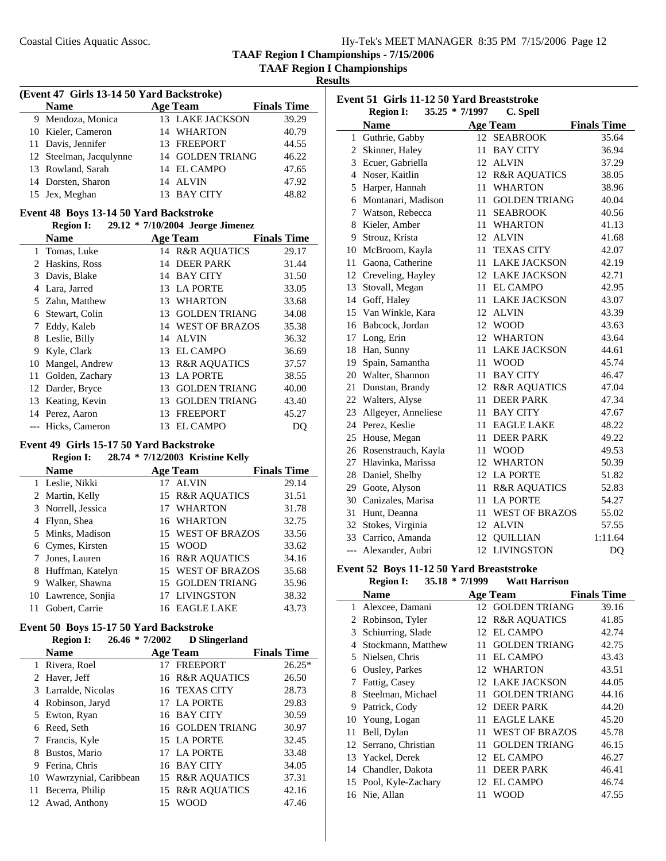**TAAF Region I Championships**

**Results**

| (Event 47 Girls 13-14 50 Yard Backstroke) |  |                        |                    |  |  |  |
|-------------------------------------------|--|------------------------|--------------------|--|--|--|
| <b>Name</b>                               |  | <b>Age Team</b>        | <b>Finals Time</b> |  |  |  |
| 9 Mendoza, Monica                         |  | <b>13 LAKE JACKSON</b> | 39.29              |  |  |  |
| 10 Kieler, Cameron                        |  | 14 WHARTON             | 40.79              |  |  |  |
| 11 Davis, Jennifer                        |  | 13 FREEPORT            | 44.55              |  |  |  |
| 12 Steelman, Jacqulynne                   |  | 14 GOLDEN TRIANG       | 46.22              |  |  |  |
| 13 Rowland, Sarah                         |  | 14 EL CAMPO            | 47.65              |  |  |  |
| 14 Dorsten, Sharon                        |  | 14 ALVIN               | 47.92              |  |  |  |
| 15 Jex, Meghan                            |  | 13 BAY CITY            | 48.82              |  |  |  |

#### **Event 48 Boys 13-14 50 Yard Backstroke**

#### **Region I:** 29.12 \* 7/10/2004 Jeorge Jimenez

|    | <b>Name</b>        |    | Age Team             | <b>Finals Time</b> |
|----|--------------------|----|----------------------|--------------------|
|    | 1 Tomas, Luke      |    | 14 R&R AQUATICS      | 29.17              |
|    | 2 Haskins, Ross    | 14 | <b>DEER PARK</b>     | 31.44              |
|    | 3 Davis, Blake     | 14 | <b>BAY CITY</b>      | 31.50              |
|    | 4 Lara, Jarred     |    | 13 LA PORTE          | 33.05              |
|    | 5 Zahn, Matthew    | 13 | <b>WHARTON</b>       | 33.68              |
|    | 6 Stewart, Colin   | 13 | <b>GOLDEN TRIANG</b> | 34.08              |
|    | Eddy, Kaleb        |    | 14 WEST OF BRAZOS    | 35.38              |
| 8  | Leslie, Billy      | 14 | <b>ALVIN</b>         | 36.32              |
| 9  | Kyle, Clark        | 13 | EL CAMPO             | 36.69              |
| 10 | Mangel, Andrew     |    | 13 R&R AQUATICS      | 37.57              |
| 11 | Golden, Zachary    | 13 | <b>LA PORTE</b>      | 38.55              |
|    | 12 Darder, Bryce   | 13 | <b>GOLDEN TRIANG</b> | 40.00              |
|    | 13 Keating, Kevin  | 13 | <b>GOLDEN TRIANG</b> | 43.40              |
|    | 14 Perez, Aaron    | 13 | <b>FREEPORT</b>      | 45.27              |
|    | --- Hicks, Cameron | 13 | <b>EL CAMPO</b>      | DO                 |

#### **Event 49 Girls 15-17 50 Yard Backstroke**

#### **Region I:** 28.74 \* 7/12/2003 **Kristine Kelly**

|   | <b>Name</b>         |    | <b>Age Team</b>   | <b>Finals Time</b> |
|---|---------------------|----|-------------------|--------------------|
|   | 1 Leslie, Nikki     |    | 17 ALVIN          | 29.14              |
|   | 2 Martin, Kelly     |    | 15 R&R AQUATICS   | 31.51              |
|   | 3 Norrell, Jessica  | 17 | <b>WHARTON</b>    | 31.78              |
|   | 4 Flynn, Shea       |    | 16 WHARTON        | 32.75              |
|   | 5 Minks, Madison    |    | 15 WEST OF BRAZOS | 33.56              |
|   | 6 Cymes, Kirsten    |    | 15 WOOD           | 33.62              |
|   | 7 Jones, Lauren     |    | 16 R&R AQUATICS   | 34.16              |
|   | 8 Huffman, Katelyn  |    | 15 WEST OF BRAZOS | 35.68              |
| 9 | Walker, Shawna      |    | 15 GOLDEN TRIANG  | 35.96              |
|   | 10 Lawrence, Sonjia |    | 17 LIVINGSTON     | 38.32              |
|   | Gobert, Carrie      |    | 16 EAGLE LAKE     | 43.73              |

#### **Event 50 Boys 15-17 50 Yard Backstroke Region I: 26.46 \* D Slingerland 7/2002**

|    | INCEIVIL 1.<br>40.TV     | 112002 | D DIMECHANG      |                    |
|----|--------------------------|--------|------------------|--------------------|
|    | Name                     |        | <b>Age Team</b>  | <b>Finals Time</b> |
|    | 1 Rivera, Roel           |        | 17 FREEPORT      | $26.25*$           |
|    | 2 Haver, Jeff            |        | 16 R&R AQUATICS  | 26.50              |
|    | 3 Larralde, Nicolas      |        | 16 TEXAS CITY    | 28.73              |
|    | 4 Robinson, Jaryd        |        | 17 LA PORTE      | 29.83              |
|    | 5 Ewton, Ryan            |        | 16 BAY CITY      | 30.59              |
|    | 6 Reed, Seth             |        | 16 GOLDEN TRIANG | 30.97              |
|    | 7 Francis, Kyle          |        | 15 LA PORTE      | 32.45              |
| 8  | Bustos, Mario            |        | 17 LA PORTE      | 33.48              |
| 9  | Ferina, Chris            |        | 16 BAY CITY      | 34.05              |
|    | 10 Wawrzynial, Caribbean |        | 15 R&R AQUATICS  | 37.31              |
| 11 | Becerra, Philip          |        | 15 R&R AQUATICS  | 42.16              |
|    | 12 Awad, Anthony         | 15     | <b>WOOD</b>      | 47.46              |

|       | Event 51 Girls 11-12 50 Yard Breaststroke<br><b>Region I:</b><br>$35.25 * 7/1997$<br>C. Spell |     |                         |                    |  |  |
|-------|-----------------------------------------------------------------------------------------------|-----|-------------------------|--------------------|--|--|
|       | <b>Name</b>                                                                                   |     | <b>Age Team</b>         | <b>Finals Time</b> |  |  |
|       | 1 Guthrie, Gabby                                                                              | 12  | <b>SEABROOK</b>         | 35.64              |  |  |
|       | 2 Skinner, Haley                                                                              | 11. | <b>BAY CITY</b>         | 36.94              |  |  |
|       | 3 Ecuer, Gabriella                                                                            | 12  | <b>ALVIN</b>            | 37.29              |  |  |
|       | 4 Noser, Kaitlin                                                                              |     | 12 R&R AQUATICS         | 38.05              |  |  |
|       | 5 Harper, Hannah                                                                              | 11  | <b>WHARTON</b>          | 38.96              |  |  |
|       | 6 Montanari, Madison                                                                          | 11  | <b>GOLDEN TRIANG</b>    | 40.04              |  |  |
| 7     | Watson, Rebecca                                                                               | 11  | <b>SEABROOK</b>         | 40.56              |  |  |
| 8     | Kieler, Amber                                                                                 | 11  | <b>WHARTON</b>          | 41.13              |  |  |
|       | 9 Strouz, Krista                                                                              | 12  | <b>ALVIN</b>            | 41.68              |  |  |
|       | 10 McBroom, Kayla                                                                             | 11  | <b>TEXAS CITY</b>       | 42.07              |  |  |
|       | 11 Gaona, Catherine                                                                           | 11  | <b>LAKE JACKSON</b>     | 42.19              |  |  |
|       | 12 Creveling, Hayley                                                                          |     | <b>12 LAKE JACKSON</b>  | 42.71              |  |  |
|       | 13 Stovall, Megan                                                                             | 11. | <b>EL CAMPO</b>         | 42.95              |  |  |
|       | 14 Goff, Haley                                                                                | 11  | <b>LAKE JACKSON</b>     | 43.07              |  |  |
|       | 15 Van Winkle, Kara                                                                           | 12  | <b>ALVIN</b>            | 43.39              |  |  |
|       | 16 Babcock, Jordan                                                                            |     | 12 WOOD                 | 43.63              |  |  |
|       | 17 Long, Erin                                                                                 | 12  | <b>WHARTON</b>          | 43.64              |  |  |
|       | 18 Han, Sunny                                                                                 | 11  | <b>LAKE JACKSON</b>     | 44.61              |  |  |
|       | 19 Spain, Samantha                                                                            | 11  | <b>WOOD</b>             | 45.74              |  |  |
|       | 20 Walter, Shannon                                                                            | 11  | <b>BAY CITY</b>         | 46.47              |  |  |
|       | 21 Dunstan, Brandy                                                                            |     | 12 R&R AQUATICS         | 47.04              |  |  |
|       | 22 Walters, Alyse                                                                             | 11. | <b>DEER PARK</b>        | 47.34              |  |  |
|       | 23 Allgeyer, Anneliese                                                                        | 11  | <b>BAY CITY</b>         | 47.67              |  |  |
|       | 24 Perez, Keslie                                                                              | 11  | <b>EAGLE LAKE</b>       | 48.22              |  |  |
|       | 25 House, Megan                                                                               | 11  | <b>DEER PARK</b>        | 49.22              |  |  |
|       | 26 Rosenstrauch, Kayla                                                                        | 11  | WOOD                    | 49.53              |  |  |
|       | 27 Hlavinka, Marissa                                                                          | 12  | <b>WHARTON</b>          | 50.39              |  |  |
|       | 28 Daniel, Shelby                                                                             |     | 12 LA PORTE             | 51.82              |  |  |
|       | 29 Goote, Alyson                                                                              | 11  | <b>R&amp;R AQUATICS</b> | 52.83              |  |  |
|       | 30 Canizales, Marisa                                                                          | 11  | <b>LA PORTE</b>         | 54.27              |  |  |
| 31    | Hunt, Deanna                                                                                  | 11  | <b>WEST OF BRAZOS</b>   | 55.02              |  |  |
|       | 32 Stokes, Virginia                                                                           | 12  | <b>ALVIN</b>            | 57.55              |  |  |
|       | 33 Carrico, Amanda                                                                            | 12  | <b>QUILLIAN</b>         | 1:11.64            |  |  |
| $---$ | Alexander, Aubri                                                                              | 12  | <b>LIVINGSTON</b>       | DO                 |  |  |

#### **Event 52 Boys 11-12 50 Yard Breaststroke**<br>Region I: 35.18 \* 7/1999 Watt Harrison **Region I: 35.18 \* Watt Harrison 7/1999**

|    | <b>Name</b>           |    | <b>Age Team</b>       | <b>Finals Time</b> |       |
|----|-----------------------|----|-----------------------|--------------------|-------|
|    | 1 Alexcee, Damani     |    | 12 GOLDEN TRIANG      |                    | 39.16 |
|    | 2 Robinson, Tyler     |    | 12 R&R AQUATICS       |                    | 41.85 |
|    | 3 Schiurring, Slade   | 12 | EL CAMPO              |                    | 42.74 |
| 4  | Stockmann, Matthew    | 11 | <b>GOLDEN TRIANG</b>  |                    | 42.75 |
|    | 5 Nielsen, Chris      |    | 11 EL CAMPO           |                    | 43.43 |
| 6  | Ousley, Parkes        |    | 12 WHARTON            |                    | 43.51 |
| 7  | Fattig, Casey         |    | 12 LAKE JACKSON       |                    | 44.05 |
| 8  | Steelman, Michael     | 11 | <b>GOLDEN TRIANG</b>  |                    | 44.16 |
| 9  | Patrick, Cody         |    | 12 DEER PARK          |                    | 44.20 |
|    | 10 Young, Logan       | 11 | <b>EAGLE LAKE</b>     |                    | 45.20 |
| 11 | Bell, Dylan           | 11 | <b>WEST OF BRAZOS</b> |                    | 45.78 |
|    | 12 Serrano, Christian | 11 | <b>GOLDEN TRIANG</b>  |                    | 46.15 |
|    | 13 Yackel, Derek      |    | 12 EL CAMPO           |                    | 46.27 |
|    | 14 Chandler, Dakota   | 11 | <b>DEER PARK</b>      |                    | 46.41 |
|    | 15 Pool, Kyle-Zachary |    | 12 EL CAMPO           |                    | 46.74 |
|    | 16 Nie, Allan         | 11 | <b>WOOD</b>           |                    | 47.55 |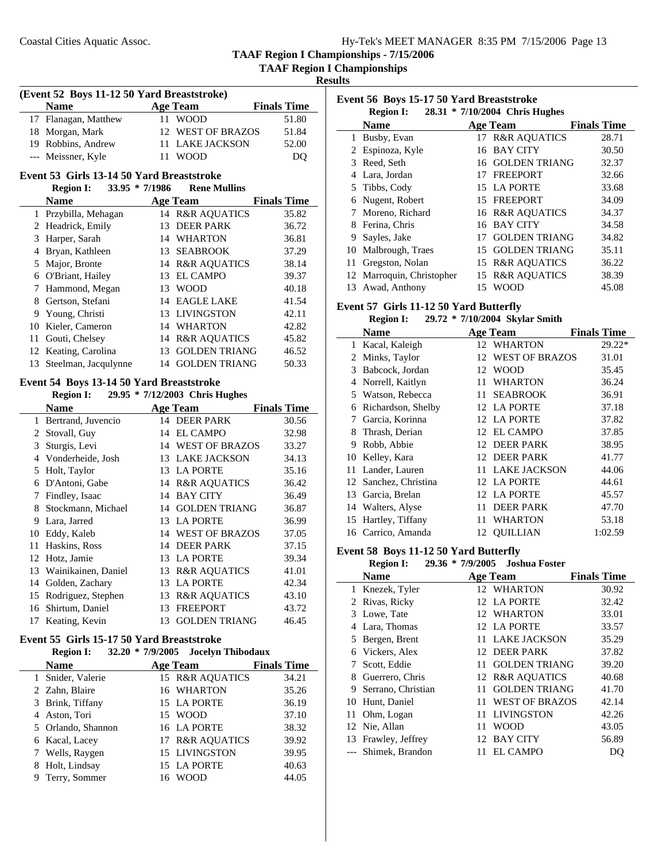**TAAF Region I Championships**

**Results**

#### **(Event 52 Boys 11-12 50 Yard Breaststroke)**

| <b>Name</b>          | Age Team          | <b>Finals Time</b> |
|----------------------|-------------------|--------------------|
| 17 Flanagan, Matthew | 11 WOOD           | 51.80              |
| 18 Morgan, Mark      | 12 WEST OF BRAZOS | 51.84              |
| 19 Robbins, Andrew   | 11 LAKE JACKSON   | 52.00              |
| --- Meissner, Kyle   | <b>WOOD</b>       | DO                 |

#### **Event 53 Girls 13-14 50 Yard Breaststroke**

#### **Region I:** 33.95 \* 7/1986 **Rene Mullins**

|    | <b>Name</b>             |     | <b>Age Team</b>            | <b>Finals Time</b> |
|----|-------------------------|-----|----------------------------|--------------------|
|    | 1 Przybilla, Mehagan    |     | 14 R&R AQUATICS            | 35.82              |
|    | 2 Headrick, Emily       | 13  | <b>DEER PARK</b>           | 36.72              |
|    | 3 Harper, Sarah         |     | 14 WHARTON                 | 36.81              |
| 4  | Bryan, Kathleen         |     | 13 SEABROOK                | 37.29              |
|    | 5 Major, Bronte         |     | <b>14 R&amp;R AOUATICS</b> | 38.14              |
|    | 6 O'Briant, Hailey      | 13. | <b>EL CAMPO</b>            | 39.37              |
|    | Hammond, Megan          |     | 13 WOOD                    | 40.18              |
|    | 8 Gertson, Stefani      |     | 14 EAGLE LAKE              | 41.54              |
|    | 9 Young, Christi        |     | 13 LIVINGSTON              | 42.11              |
| 10 | Kieler, Cameron         |     | 14 WHARTON                 | 42.82              |
|    | 11 Gouti, Chelsey       |     | 14 R&R AOUATICS            | 45.82              |
|    | 12 Keating, Carolina    | 13  | <b>GOLDEN TRIANG</b>       | 46.52              |
|    | 13 Steelman, Jacqulynne | 14  | <b>GOLDEN TRIANG</b>       | 50.33              |

## **Event 54 Boys 13-14 50 Yard Breaststroke**

#### **Region I:** 29.95 \* 7/12/2003 Chris Hughes **Name Age Team Finals Time** 1 30.56 Bertrand, Juvencio 14 DEER PARK 2 32.98 Stovall, Guy 14 EL CAMPO 3 Sturgis, Levi 14 WEST OF BRAZOS 33.27 4 Vonderheide, Josh 13 LAKE JACKSON 34.13 5 35.16 Holt, Taylor 13 LA PORTE 6 36.42 D'Antoni, Gabe 14 R&R AQUATICS 7 Findley, Isaac 14 BAY CITY 36.49 8 Stockmann, Michael 14 GOLDEN TRIANG 36.87 9 36.99 Lara, Jarred 13 LA PORTE 10 Eddy, Kaleb 14 WEST OF BRAZOS 37.05 11 Haskins, Ross 14 DEER PARK 37.15 12 Hotz, Jamie 13 LA PORTE 39.34 13 Wainikainen, Daniel 13 R&R AQUATICS 41.01 14 42.34 Golden, Zachary 13 LA PORTE 15 Rodriguez, Stephen 13 R&R AQUATICS 43.10 16 Shirtum, Daniel 13 FREEPORT 43.72 17 Keating, Kevin 13 GOLDEN TRIANG 46.45

#### **Event 55 Girls 15-17 50 Yard Breaststroke**

|   | <b>Region I:</b>   | 32.20 * 7/9/2005 Jocelyn Thibodaux |                    |
|---|--------------------|------------------------------------|--------------------|
|   | <b>Name</b>        | <b>Age Team</b>                    | <b>Finals Time</b> |
|   | 1 Snider, Valerie  | 15 R&R AQUATICS                    | 34.21              |
|   | 2 Zahn, Blaire     | 16 WHARTON                         | 35.26              |
|   | 3 Brink, Tiffany   | 15 LA PORTE                        | 36.19              |
|   | 4 Aston, Tori      | 15 WOOD                            | 37.10              |
|   | 5 Orlando, Shannon | 16 LA PORTE                        | 38.32              |
|   | 6 Kacal, Lacey     | 17 R&R AQUATICS                    | 39.92              |
|   | 7 Wells, Raygen    | 15 LIVINGSTON                      | 39.95              |
| 8 | Holt, Lindsay      | 15 LA PORTE                        | 40.63              |
|   | Terry, Sommer      | 16 WOOD                            | 44.05              |

| Event 56 Boys 15-17 50 Yard Breaststroke |                           |    |                                |                    |
|------------------------------------------|---------------------------|----|--------------------------------|--------------------|
|                                          | <b>Region I:</b>          |    | 28.31 * 7/10/2004 Chris Hughes |                    |
|                                          | <b>Name</b>               |    | Age Team                       | <b>Finals Time</b> |
| 1                                        | Busby, Evan               |    | 17 R&R AOUATICS                | 28.71              |
| 2                                        | Espinoza, Kyle            | 16 | <b>BAY CITY</b>                | 30.50              |
| 3                                        | Reed, Seth                |    | 16 GOLDEN TRIANG               | 32.37              |
| 4                                        | Lara, Jordan              | 17 | <b>FREEPORT</b>                | 32.66              |
|                                          | 5 Tibbs, Cody             |    | 15 LA PORTE                    | 33.68              |
| 6                                        | Nugent, Robert            |    | 15 FREEPORT                    | 34.09              |
| 7                                        | Moreno, Richard           |    | <b>16 R&amp;R AOUATICS</b>     | 34.37              |
| 8                                        | Ferina, Chris             | 16 | <b>BAY CITY</b>                | 34.58              |
| 9                                        | Sayles, Jake              | 17 | <b>GOLDEN TRIANG</b>           | 34.82              |
| 10                                       | Malbrough, Traes          |    | 15 GOLDEN TRIANG               | 35.11              |
| 11                                       | Gregston, Nolan           |    | 15 R&R AQUATICS                | 36.22              |
|                                          | 12 Marroquin, Christopher |    | 15 R&R AOUATICS                | 38.39              |
| 13                                       | Awad, Anthony             |    | 15 WOOD                        | 45.08              |

#### **Event 57 Girls 11-12 50 Yard Butterfly**

#### **Region I:** 29.72 \* 7/10/2004 Skylar Smith

|    | $\cdots$              |     | $\frac{1}{2}$ , $\frac{1}{2}$ $\frac{1}{2}$ $\frac{1}{2}$ $\frac{1}{2}$ $\frac{1}{2}$ $\frac{1}{2}$ $\frac{1}{2}$ $\frac{1}{2}$ $\frac{1}{2}$ $\frac{1}{2}$ $\frac{1}{2}$ $\frac{1}{2}$ $\frac{1}{2}$ $\frac{1}{2}$ $\frac{1}{2}$ $\frac{1}{2}$ $\frac{1}{2}$ $\frac{1}{2}$ $\frac{1}{2}$ $\frac{1}{2}$ $\frac{1}{2}$ |                    |
|----|-----------------------|-----|-----------------------------------------------------------------------------------------------------------------------------------------------------------------------------------------------------------------------------------------------------------------------------------------------------------------------|--------------------|
|    | <b>Name</b>           |     | <b>Age Team</b>                                                                                                                                                                                                                                                                                                       | <b>Finals Time</b> |
| 1  | Kacal, Kaleigh        | 12  | <b>WHARTON</b>                                                                                                                                                                                                                                                                                                        | $29.22*$           |
| 2  | Minks, Taylor         | 12  | <b>WEST OF BRAZOS</b>                                                                                                                                                                                                                                                                                                 | 31.01              |
| 3  | Babcock, Jordan       | 12  | <b>WOOD</b>                                                                                                                                                                                                                                                                                                           | 35.45              |
| 4  | Norrell, Kaitlyn      | 11  | <b>WHARTON</b>                                                                                                                                                                                                                                                                                                        | 36.24              |
| 5. | Watson, Rebecca       | 11  | <b>SEABROOK</b>                                                                                                                                                                                                                                                                                                       | 36.91              |
| 6  | Richardson, Shelby    |     | 12 LA PORTE                                                                                                                                                                                                                                                                                                           | 37.18              |
| 7  | Garcia, Korinna       |     | 12 LA PORTE                                                                                                                                                                                                                                                                                                           | 37.82              |
| 8  | Thrash, Derian        |     | 12 EL CAMPO                                                                                                                                                                                                                                                                                                           | 37.85              |
| 9  | Robb, Abbie           |     | 12 DEER PARK                                                                                                                                                                                                                                                                                                          | 38.95              |
| 10 | Kelley, Kara          |     | 12 DEER PARK                                                                                                                                                                                                                                                                                                          | 41.77              |
| 11 | Lander, Lauren        | 11  | <b>LAKE JACKSON</b>                                                                                                                                                                                                                                                                                                   | 44.06              |
|    | 12 Sanchez, Christina |     | 12 LA PORTE                                                                                                                                                                                                                                                                                                           | 44.61              |
|    | 13 Garcia, Brelan     |     | 12 LA PORTE                                                                                                                                                                                                                                                                                                           | 45.57              |
|    | 14 Walters, Alyse     | 11  | <b>DEER PARK</b>                                                                                                                                                                                                                                                                                                      | 47.70              |
|    | 15 Hartley, Tiffany   | 11. | WHARTON                                                                                                                                                                                                                                                                                                               | 53.18              |
| 16 | Carrico, Amanda       | 12  | <b>OUILLIAN</b>                                                                                                                                                                                                                                                                                                       | 1:02.59            |
|    |                       |     |                                                                                                                                                                                                                                                                                                                       |                    |

#### **Event 58 Boys 11-12 50 Yard Butterfly**

 $\overline{\phantom{0}}$ 

**Region I: 29.36 \* Joshua Foster 7/9/2005**

|   | <b>Name</b>         | Age Team          | <b>Finals Time</b> |
|---|---------------------|-------------------|--------------------|
|   | 1 Knezek, Tyler     | 12 WHARTON        | 30.92              |
|   | 2 Rivas, Ricky      | 12 LA PORTE       | 32.42              |
|   | 3 Lowe, Tate        | 12 WHARTON        | 33.01              |
|   | 4 Lara, Thomas      | 12 LA PORTE       | 33.57              |
|   | 5 Bergen, Brent     | 11 LAKE JACKSON   | 35.29              |
|   | 6 Vickers, Alex     | 12 DEER PARK      | 37.82              |
|   | Scott, Eddie        | 11 GOLDEN TRIANG  | 39.20              |
|   | 8 Guerrero, Chris   | 12 R&R AOUATICS   | 40.68              |
| 9 | Serrano, Christian  | 11 GOLDEN TRIANG  | 41.70              |
|   | 10 Hunt, Daniel     | 11 WEST OF BRAZOS | 42.14              |
|   | 11 Ohm, Logan       | 11 LIVINGSTON     | 42.26              |
|   | 12 Nie, Allan       | 11 WOOD           | 43.05              |
|   | 13 Frawley, Jeffrey | 12 BAY CITY       | 56.89              |
|   | --- Shimek, Brandon | 11 EL CAMPO       | DO                 |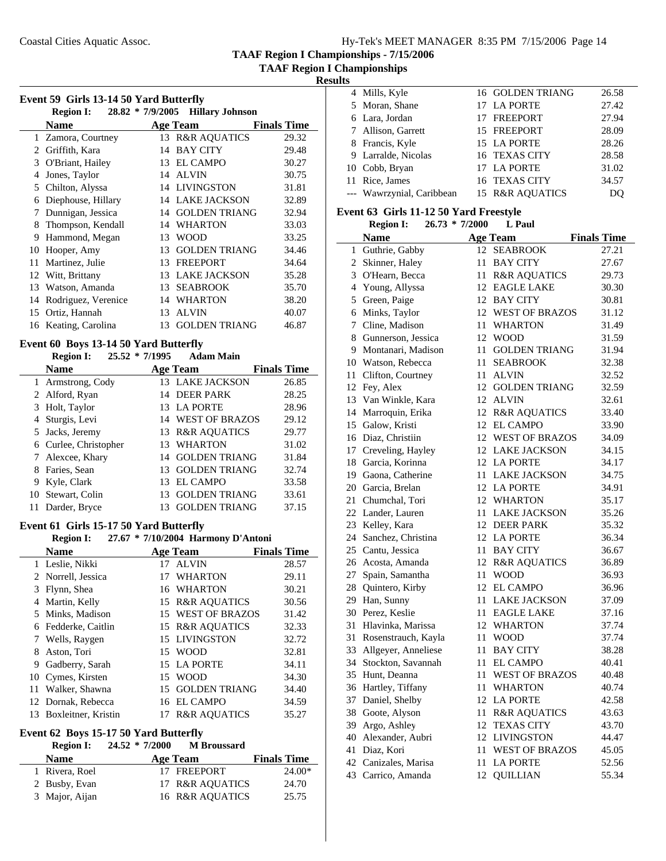**TAAF Region I Championships**

## **Results**

|    | Event 59 Girls 13-14 50 Yard Butterfly |    |                                              |                    |
|----|----------------------------------------|----|----------------------------------------------|--------------------|
|    | <b>Region I:</b><br><b>Name</b>        |    | 28.82 * 7/9/2005 Hillary Johnson<br>Age Team | <b>Finals Time</b> |
|    | 1 Zamora, Courtney                     |    | 13 R&R AQUATICS                              | 29.32              |
| 2  | Griffith, Kara                         | 14 | <b>BAY CITY</b>                              | 29.48              |
| 3  | O'Briant, Hailey                       | 13 | <b>EL CAMPO</b>                              | 30.27              |
| 4  | Jones, Taylor                          | 14 | <b>ALVIN</b>                                 | 30.75              |
| 5  | Chilton, Alyssa                        | 14 | <b>LIVINGSTON</b>                            | 31.81              |
| 6  | Diephouse, Hillary                     | 14 | <b>LAKE JACKSON</b>                          | 32.89              |
| 7  | Dunnigan, Jessica                      | 14 | <b>GOLDEN TRIANG</b>                         | 32.94              |
| 8  | Thompson, Kendall                      | 14 | <b>WHARTON</b>                               | 33.03              |
| 9  | Hammond, Megan                         | 13 | WOOD                                         | 33.25              |
| 10 | Hooper, Amy                            | 13 | <b>GOLDEN TRIANG</b>                         | 34.46              |
| 11 | Martinez, Julie                        | 13 | <b>FREEPORT</b>                              | 34.64              |
|    | 12 Witt, Brittany                      | 13 | <b>LAKE JACKSON</b>                          | 35.28              |
| 13 | Watson, Amanda                         | 13 | <b>SEABROOK</b>                              | 35.70              |
| 14 | Rodriguez, Verenice                    | 14 | <b>WHARTON</b>                               | 38.20              |
| 15 | Ortiz, Hannah                          | 13 | <b>ALVIN</b>                                 | 40.07              |
|    | 16 Keating, Carolina                   | 13 | <b>GOLDEN TRIANG</b>                         | 46.87              |

#### **Event 60 Boys 13-14 50 Yard Butterfly**

L,

#### **Region I:** 25.52 \* 7/1995 Adam Main

| <b>Name</b>           |    | <b>Age Team</b>      | <b>Finals Time</b> |
|-----------------------|----|----------------------|--------------------|
| 1 Armstrong, Cody     |    | 13 LAKE JACKSON      | 26.85              |
| 2 Alford, Ryan        |    | 14 DEER PARK         | 28.25              |
| 3 Holt, Taylor        |    | 13 LA PORTE          | 28.96              |
| 4 Sturgis, Levi       |    | 14 WEST OF BRAZOS    | 29.12              |
| 5 Jacks, Jeremy       |    | 13 R&R AQUATICS      | 29.77              |
| 6 Curlee, Christopher |    | 13 WHARTON           | 31.02              |
| 7 Alexcee, Khary      |    | 14 GOLDEN TRIANG     | 31.84              |
| 8 Faries, Sean        |    | 13 GOLDEN TRIANG     | 32.74              |
| 9 Kyle, Clark         |    | 13 EL CAMPO          | 33.58              |
| 10 Stewart, Colin     |    | 13 GOLDEN TRIANG     | 33.61              |
| Darder, Bryce         | 13 | <b>GOLDEN TRIANG</b> | 37.15              |

#### **Event 61 Girls 15-17 50 Yard Butterfly Region I: 27.67 \* Harmony D'Antoni 7/10/2004**

|    | <b>Region I:</b>    |     | 27.67 * 7/10/2004 Harmony D'Antoni |                    |
|----|---------------------|-----|------------------------------------|--------------------|
|    | <b>Name</b>         |     | <b>Age Team</b>                    | <b>Finals Time</b> |
|    | 1 Leslie, Nikki     | 17  | <b>ALVIN</b>                       | 28.57              |
|    | 2 Norrell, Jessica  | 17  | <b>WHARTON</b>                     | 29.11              |
| 3  | Flynn, Shea         |     | 16 WHARTON                         | 30.21              |
| 4  | Martin, Kelly       |     | 15 R&R AQUATICS                    | 30.56              |
|    | 5 Minks, Madison    |     | 15 WEST OF BRAZOS                  | 31.42              |
|    | 6 Fedderke, Caitlin |     | <b>15 R&amp;R AOUATICS</b>         | 32.33              |
|    | Wells, Raygen       |     | 15 LIVINGSTON                      | 32.72              |
| 8  | Aston, Tori         |     | 15 WOOD                            | 32.81              |
| 9  | Gadberry, Sarah     |     | 15 LA PORTE                        | 34.11              |
|    | 10 Cymes, Kirsten   | 15. | <b>WOOD</b>                        | 34.30              |
| 11 | Walker, Shawna      | 15. | <b>GOLDEN TRIANG</b>               | 34.40              |
|    | 12 Dornak, Rebecca  | 16  | EL CAMPO                           | 34.59              |
| 13 | Boxleitner, Kristin | 17  | <b>R&amp;R AQUATICS</b>            | 35.27              |

#### **Event 62 Boys 15-17 50 Yard Butterfly**

#### **Region I:** 24.52 \* 7/2000 **M** Broussard

| <b>Name</b>    | Age Team        | <b>Finals Time</b> |
|----------------|-----------------|--------------------|
| 1 Rivera, Roel | 17 FREEPORT     | $24.00*$           |
| 2 Busby, Evan  | 17 R&R AOUATICS | 24.70              |
| 3 Major, Aijan | 16 R&R AOUATICS | 25.75              |

| 4 Mills, Kyle             | 16 GOLDEN TRIANG           | 26.58 |
|---------------------------|----------------------------|-------|
| 5 Moran, Shane            | 17 LA PORTE                | 27.42 |
| 6 Lara, Jordan            | 17 FREEPORT                | 27.94 |
| 7 Allison, Garrett        | 15 FREEPORT                | 28.09 |
| 8 Francis, Kyle           | 15 LA PORTE                | 28.26 |
| 9 Larralde, Nicolas       | 16 TEXAS CITY              | 28.58 |
| 10 Cobb, Bryan            | 17 LA PORTE                | 31.02 |
| 11 Rice, James            | 16 TEXAS CITY              | 34.57 |
| --- Wawrzynial, Caribbean | <b>15 R&amp;R AOUATICS</b> | DO    |

#### **Event 63 Girls 11-12 50 Yard Freestyle**

| <b>Region I:</b> | $26.73 * 7/2000$ | L Paul |
|------------------|------------------|--------|

|    | <b>Name</b>           |     | <b>Age Team</b>         | <b>Finals Time</b> |
|----|-----------------------|-----|-------------------------|--------------------|
| 1  | Guthrie, Gabby        |     | 12 SEABROOK             | 27.21              |
|    | 2 Skinner, Haley      | 11  | <b>BAY CITY</b>         | 27.67              |
|    | 3 O'Hearn, Becca      | 11  | <b>R&amp;R AQUATICS</b> | 29.73              |
|    | 4 Young, Allyssa      | 12  | <b>EAGLE LAKE</b>       | 30.30              |
|    | 5 Green, Paige        | 12  | <b>BAY CITY</b>         | 30.81              |
|    | 6 Minks, Taylor       |     | 12 WEST OF BRAZOS       | 31.12              |
|    | 7 Cline, Madison      | 11  | <b>WHARTON</b>          | 31.49              |
| 8  | Gunnerson, Jessica    | 12  | <b>WOOD</b>             | 31.59              |
|    | 9 Montanari, Madison  | 11  | <b>GOLDEN TRIANG</b>    | 31.94              |
|    | 10 Watson, Rebecca    | 11  | SEABROOK                | 32.38              |
| 11 | Clifton, Courtney     | 11  | <b>ALVIN</b>            | 32.52              |
|    | 12 Fey, Alex          | 12  | <b>GOLDEN TRIANG</b>    | 32.59              |
|    | 13 Van Winkle, Kara   |     | 12 ALVIN                | 32.61              |
|    | 14 Marroquin, Erika   |     | 12 R&R AQUATICS         | 33.40              |
|    | 15 Galow, Kristi      |     | 12 EL CAMPO             | 33.90              |
|    | 16 Diaz, Christiin    |     | 12 WEST OF BRAZOS       | 34.09              |
|    | 17 Creveling, Hayley  |     | 12 LAKE JACKSON         | 34.15              |
|    | 18 Garcia, Korinna    | 12  | <b>LA PORTE</b>         | 34.17              |
|    | 19 Gaona, Catherine   | 11- | <b>LAKE JACKSON</b>     | 34.75              |
|    | 20 Garcia, Brelan     |     | 12 LA PORTE             | 34.91              |
|    | 21 Chumchal, Tori     |     | 12 WHARTON              | 35.17              |
|    | 22 Lander, Lauren     | 11  | <b>LAKE JACKSON</b>     | 35.26              |
|    | 23 Kelley, Kara       |     | 12 DEER PARK            | 35.32              |
|    | 24 Sanchez, Christina |     | 12 LA PORTE             | 36.34              |
|    | 25 Cantu, Jessica     | 11  | <b>BAY CITY</b>         | 36.67              |
|    | 26 Acosta, Amanda     | 12  | <b>R&amp;R AQUATICS</b> | 36.89              |
|    | 27 Spain, Samantha    | 11  | <b>WOOD</b>             | 36.93              |
|    | 28 Quintero, Kirby    | 12  | <b>EL CAMPO</b>         | 36.96              |
|    | 29 Han, Sunny         | 11  | <b>LAKE JACKSON</b>     | 37.09              |
|    | 30 Perez, Keslie      | 11  | <b>EAGLE LAKE</b>       | 37.16              |
| 31 | Hlavinka, Marissa     | 12  | <b>WHARTON</b>          | 37.74              |
| 31 | Rosenstrauch, Kayla   | 11  | <b>WOOD</b>             | 37.74              |
| 33 | Allgeyer, Anneliese   | 11  | <b>BAY CITY</b>         | 38.28              |
|    | 34 Stockton, Savannah | 11  | <b>EL CAMPO</b>         | 40.41              |
| 35 | Hunt, Deanna          | 11  | <b>WEST OF BRAZOS</b>   | 40.48              |
|    | 36 Hartley, Tiffany   | 11  | <b>WHARTON</b>          | 40.74              |
| 37 | Daniel, Shelby        | 12  | <b>LA PORTE</b>         | 42.58              |
|    | 38 Goote, Alyson      | 11  | <b>R&amp;R AQUATICS</b> | 43.63              |
| 39 | Argo, Ashley          | 12  | <b>TEXAS CITY</b>       | 43.70              |
|    | 40 Alexander, Aubri   | 12  | <b>LIVINGSTON</b>       | 44.47              |
| 41 | Diaz, Kori            | 11  | <b>WEST OF BRAZOS</b>   | 45.05              |
|    | 42 Canizales, Marisa  | 11  | <b>LA PORTE</b>         | 52.56              |
|    | 43 Carrico, Amanda    | 12  | <b>QUILLIAN</b>         | 55.34              |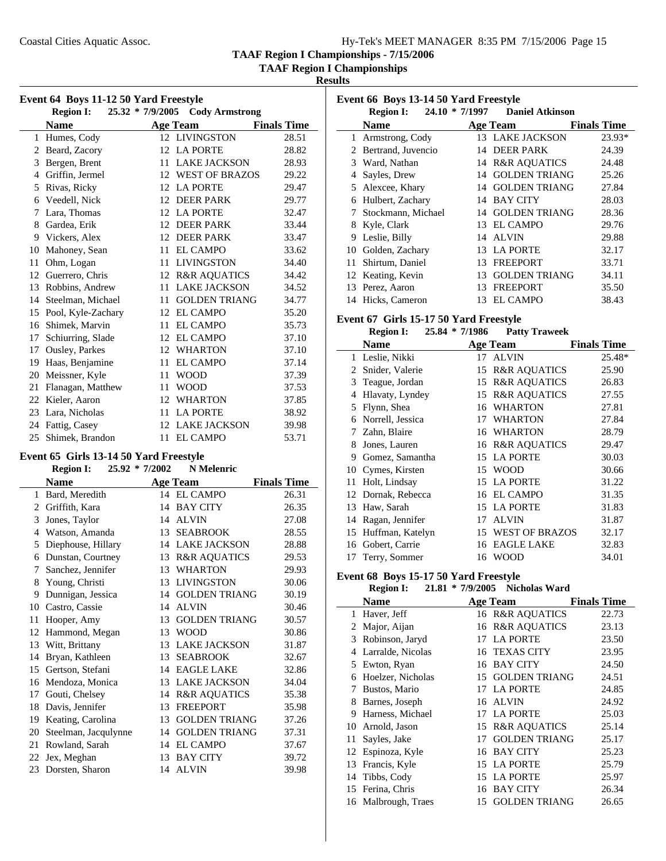**TAAF Region I Championships**

**Results**

|                | <b>Region I:</b>   | 25.32 * 7/9/2005 Cody Armstrong |                    |
|----------------|--------------------|---------------------------------|--------------------|
|                | <b>Name</b>        | <b>Age Team</b>                 | <b>Finals Time</b> |
| 1              | Humes, Cody        | 12 LIVINGSTON                   | 28.51              |
| 2              | Beard, Zacory      | 12 LA PORTE                     | 28.82              |
| 3              | Bergen, Brent      | <b>LAKE JACKSON</b><br>11       | 28.93              |
| $\overline{4}$ | Griffin, Jermel    | 12 WEST OF BRAZOS               | 29.22              |
| 5              | Rivas, Ricky       | 12 LA PORTE                     | 29.47              |
| 6              | Veedell, Nick      | 12 DEER PARK                    | 29.77              |
| 7              | Lara, Thomas       | 12 LA PORTE                     | 32.47              |
| 8              | Gardea, Erik       | 12 DEER PARK                    | 33.44              |
| 9              | Vickers, Alex      | <b>DEER PARK</b><br>12          | 33.47              |
| 10             | Mahoney, Sean      | <b>EL CAMPO</b><br>11           | 33.62              |
| 11             | Ohm, Logan         | <b>LIVINGSTON</b><br>11         | 34.40              |
| 12             | Guerrero, Chris    | 12 R&R AQUATICS                 | 34.42              |
| 13             | Robbins, Andrew    | <b>LAKE JACKSON</b><br>11       | 34.52              |
| 14             | Steelman, Michael  | <b>GOLDEN TRIANG</b><br>11      | 34.77              |
| 15             | Pool, Kyle-Zachary | 12 EL CAMPO                     | 35.20              |
| 16             | Shimek, Marvin     | <b>EL CAMPO</b><br>11           | 35.73              |
| 17             | Schiurring, Slade  | 12 EL CAMPO                     | 37.10              |
| 17             | Ousley, Parkes     | 12 WHARTON                      | 37.10              |
| 19             | Haas, Benjamine    | <b>EL CAMPO</b><br>11           | 37.14              |
| 20             | Meissner, Kyle     | <b>WOOD</b><br>11               | 37.39              |
| 21             | Flanagan, Matthew  | <b>WOOD</b><br>11               | 37.53              |
| 22             | Kieler, Aaron      | <b>WHARTON</b><br>12            | 37.85              |
| 23             | Lara, Nicholas     | 11<br><b>LA PORTE</b>           | 38.92              |
| 24             | Fattig, Casey      | <b>LAKE JACKSON</b><br>12       | 39.98              |
|                | 25 Shimek, Brandon | <b>EL CAMPO</b><br>11           | 53.71              |

#### **Event 65 Girls 13-14 50 Yard Freestyle**

|    | <b>Region I:</b>     | 25.92 * 7/2002 | N Melenric              |                    |
|----|----------------------|----------------|-------------------------|--------------------|
|    | <b>Name</b>          |                | <b>Age Team</b>         | <b>Finals Time</b> |
| 1  | Bard, Meredith       |                | 14 EL CAMPO             | 26.31              |
| 2  | Griffith, Kara       | 14             | <b>BAY CITY</b>         | 26.35              |
| 3  | Jones, Taylor        | 14             | <b>ALVIN</b>            | 27.08              |
| 4  | Watson, Amanda       | 13             | <b>SEABROOK</b>         | 28.55              |
| 5  | Diephouse, Hillary   | 14             | <b>LAKE JACKSON</b>     | 28.88              |
| 6  | Dunstan, Courtney    | 13             | <b>R&amp;R AQUATICS</b> | 29.53              |
| 7  | Sanchez, Jennifer    | 13             | <b>WHARTON</b>          | 29.93              |
| 8  | Young, Christi       | 13             | <b>LIVINGSTON</b>       | 30.06              |
| 9  | Dunnigan, Jessica    | 14             | <b>GOLDEN TRIANG</b>    | 30.19              |
| 10 | Castro, Cassie       | 14             | <b>ALVIN</b>            | 30.46              |
| 11 | Hooper, Amy          | 13             | <b>GOLDEN TRIANG</b>    | 30.57              |
| 12 | Hammond, Megan       | 13             | <b>WOOD</b>             | 30.86              |
| 13 | Witt, Brittany       | 13             | <b>LAKE JACKSON</b>     | 31.87              |
| 14 | Bryan, Kathleen      | 13             | <b>SEABROOK</b>         | 32.67              |
| 15 | Gertson, Stefani     | 14             | <b>EAGLE LAKE</b>       | 32.86              |
| 16 | Mendoza, Monica      | 13             | <b>LAKE JACKSON</b>     | 34.04              |
| 17 | Gouti, Chelsey       | 14             | <b>R&amp;R AQUATICS</b> | 35.38              |
| 18 | Davis, Jennifer      | 13             | <b>FREEPORT</b>         | 35.98              |
| 19 | Keating, Carolina    | 13             | <b>GOLDEN TRIANG</b>    | 37.26              |
| 20 | Steelman, Jacqulynne | 14             | <b>GOLDEN TRIANG</b>    | 37.31              |
| 21 | Rowland, Sarah       | 14             | <b>EL CAMPO</b>         | 37.67              |
| 22 | Jex, Meghan          | 13             | <b>BAY CITY</b>         | 39.72              |
| 23 | Dorsten, Sharon      | 14             | <b>ALVIN</b>            | 39.98              |
|    |                      |                |                         |                    |

| Event 66 Boys 13-14 50 Yard Freestyle |                      |     |                                |                    |  |
|---------------------------------------|----------------------|-----|--------------------------------|--------------------|--|
|                                       | <b>Region I:</b>     |     | 24.10 * 7/1997 Daniel Atkinson |                    |  |
|                                       | <b>Name</b>          |     | Age Team                       | <b>Finals Time</b> |  |
|                                       | Armstrong, Cody      |     | 13 LAKE JACKSON                | 23.93*             |  |
|                                       | 2 Bertrand, Juvencio | 14  | <b>DEER PARK</b>               | 24.39              |  |
|                                       | 3 Ward, Nathan       |     | 14 R&R AQUATICS                | 24.48              |  |
| 4                                     | Sayles, Drew         |     | 14 GOLDEN TRIANG               | 25.26              |  |
|                                       | 5 Alexcee, Khary     |     | 14 GOLDEN TRIANG               | 27.84              |  |
| 6                                     | Hulbert, Zachary     |     | 14 BAY CITY                    | 28.03              |  |
| 7                                     | Stockmann, Michael   | 14  | <b>GOLDEN TRIANG</b>           | 28.36              |  |
|                                       | 8 Kyle, Clark        | 13. | <b>EL CAMPO</b>                | 29.76              |  |
| 9                                     | Leslie, Billy        |     | 14 ALVIN                       | 29.88              |  |
| 10                                    | Golden, Zachary      | 13  | <b>LA PORTE</b>                | 32.17              |  |
| 11                                    | Shirtum, Daniel      | 13  | <b>FREEPORT</b>                | 33.71              |  |
|                                       | 12 Keating, Kevin    | 13  | <b>GOLDEN TRIANG</b>           | 34.11              |  |
|                                       | 13 Perez, Aaron      | 13  | <b>FREEPORT</b>                | 35.50              |  |
|                                       | 14 Hicks, Cameron    |     | 13 EL CAMPO                    | 38.43              |  |

#### **Event 67 Girls 15-17 50 Yard Freestyle**

| <b>Region I:</b> | $25.84 * 7/1986$ | <b>Patty Traweek</b> |
|------------------|------------------|----------------------|
|------------------|------------------|----------------------|

|    | Name                |    | <b>Age Team</b>         | <b>Finals Time</b> |
|----|---------------------|----|-------------------------|--------------------|
|    | 1 Leslie, Nikki     |    | 17 ALVIN                | 25.48*             |
| 2  | Snider, Valerie     | 15 | <b>R&amp;R AQUATICS</b> | 25.90              |
|    | 3 Teague, Jordan    | 15 | <b>R&amp;R AOUATICS</b> | 26.83              |
| 4  | Hlavaty, Lyndey     | 15 | <b>R&amp;R AQUATICS</b> | 27.55              |
| 5  | Flynn, Shea         | 16 | <b>WHARTON</b>          | 27.81              |
| 6  | Norrell, Jessica    | 17 | <b>WHARTON</b>          | 27.84              |
| 7  | Zahn, Blaire        |    | 16 WHARTON              | 28.79              |
| 8  | Jones, Lauren       |    | 16 R&R AQUATICS         | 29.47              |
| 9  | Gomez, Samantha     |    | 15 LA PORTE             | 30.03              |
|    | 10 Cymes, Kirsten   | 15 | <b>WOOD</b>             | 30.66              |
| 11 | Holt, Lindsay       | 15 | <b>LA PORTE</b>         | 31.22              |
|    | 12 Dornak, Rebecca  | 16 | <b>EL CAMPO</b>         | 31.35              |
| 13 | Haw, Sarah          | 15 | <b>LA PORTE</b>         | 31.83              |
| 14 | Ragan, Jennifer     | 17 | <b>ALVIN</b>            | 31.87              |
|    | 15 Huffman, Katelyn | 15 | <b>WEST OF BRAZOS</b>   | 32.17              |
| 16 | Gobert, Carrie      | 16 | EAGLE LAKE              | 32.83              |
|    | 17 Terry, Sommer    |    | 16 WOOD                 | 34.01              |

#### **Event 68 Boys 15-17 50 Yard Freestyle**

# **Region I:** 21.81 \* 7/9/2005 **Nicholas Ward**

|    | <b>Name</b>         |    | <b>Age Team</b>         | <b>Finals Time</b> |
|----|---------------------|----|-------------------------|--------------------|
| 1  | Haver, Jeff         |    | 16 R&R AQUATICS         | 22.73              |
| 2  | Major, Aijan        |    | 16 R&R AOUATICS         | 23.13              |
| 3  | Robinson, Jaryd     | 17 | <b>LA PORTE</b>         | 23.50              |
| 4  | Larralde, Nicolas   |    | 16 TEXAS CITY           | 23.95              |
|    | 5 Ewton, Ryan       | 16 | <b>BAY CITY</b>         | 24.50              |
| 6  | Hoelzer, Nicholas   | 15 | <b>GOLDEN TRIANG</b>    | 24.51              |
| 7  | Bustos, Mario       | 17 | <b>LA PORTE</b>         | 24.85              |
| 8  | Barnes, Joseph      |    | 16 ALVIN                | 24.92              |
| 9  | Harness, Michael    | 17 | <b>LA PORTE</b>         | 25.03              |
| 10 | Arnold, Jason       | 15 | <b>R&amp;R AQUATICS</b> | 25.14              |
| 11 | Sayles, Jake        | 17 | <b>GOLDEN TRIANG</b>    | 25.17              |
| 12 | Espinoza, Kyle      | 16 | <b>BAY CITY</b>         | 25.23              |
| 13 | Francis, Kyle       |    | 15 LA PORTE             | 25.79              |
| 14 | Tibbs, Cody         | 15 | <b>LA PORTE</b>         | 25.97              |
| 15 | Ferina, Chris       | 16 | <b>BAY CITY</b>         | 26.34              |
|    | 16 Malbrough, Traes | 15 | <b>GOLDEN TRIANG</b>    | 26.65              |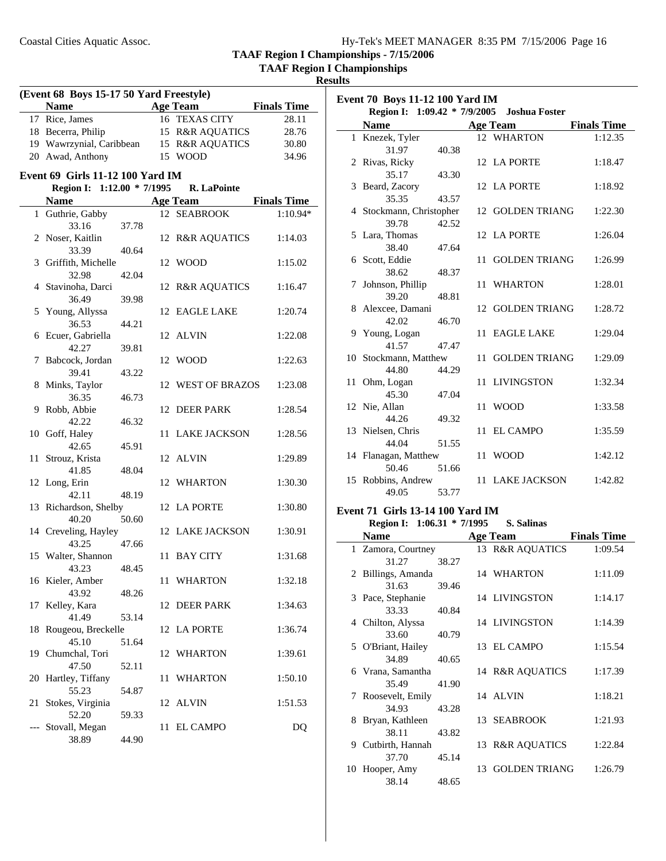**TAAF Region I Championships**

**Results**

| (Event 68 Boys 15-17 50 Yard Freestyle) |                                         |       |    |                     |                    |
|-----------------------------------------|-----------------------------------------|-------|----|---------------------|--------------------|
|                                         | Name Age Team                           |       |    |                     | <b>Finals Time</b> |
|                                         | 17 Rice, James                          |       |    | 16 TEXAS CITY       | 28.11              |
|                                         | 18 Becerra, Philip                      |       |    | 15 R&R AQUATICS     | 28.76              |
|                                         | 19 Wawrzynial, Caribbean                |       |    | 15 R&R AQUATICS     | 30.80              |
|                                         | 20 Awad, Anthony                        |       |    | 15 WOOD             | 34.96              |
|                                         | <b>Event 69 Girls 11-12 100 Yard IM</b> |       |    |                     |                    |
|                                         | Region I: 1:12.00 * 7/1995              |       |    | R. LaPointe         |                    |
|                                         | <b>Name</b>                             |       |    | <b>Age Team</b>     | <b>Finals Time</b> |
|                                         | 1 Guthrie, Gabby                        |       |    | 12 SEABROOK         | 1:10.94*           |
|                                         | 33.16                                   | 37.78 |    |                     |                    |
|                                         | 2 Noser, Kaitlin                        |       |    | 12 R&R AQUATICS     | 1:14.03            |
|                                         | 33.39                                   | 40.64 |    |                     |                    |
|                                         | 3 Griffith, Michelle                    |       |    | 12 WOOD             | 1:15.02            |
|                                         | 32.98                                   | 42.04 |    |                     |                    |
|                                         | 4 Stavinoha, Darci                      |       |    | 12 R&R AQUATICS     | 1:16.47            |
|                                         | 36.49                                   | 39.98 |    |                     |                    |
|                                         | 5 Young, Allyssa                        |       |    | 12 EAGLE LAKE       | 1:20.74            |
|                                         | 36.53                                   | 44.21 |    |                     |                    |
|                                         | 6 Ecuer, Gabriella                      |       |    | 12 ALVIN            | 1:22.08            |
|                                         | 42.27                                   | 39.81 |    |                     |                    |
|                                         | 7 Babcock, Jordan                       |       |    | 12 WOOD             | 1:22.63            |
|                                         | 39.41                                   | 43.22 |    |                     |                    |
|                                         | 8 Minks, Taylor                         |       |    | 12 WEST OF BRAZOS   | 1:23.08            |
|                                         | 36.35                                   | 46.73 |    |                     |                    |
|                                         | 9 Robb, Abbie<br>42.22                  |       | 12 | DEER PARK           | 1:28.54            |
|                                         | 10 Goff, Haley                          | 46.32 | 11 | <b>LAKE JACKSON</b> | 1:28.56            |
|                                         | 42.65                                   | 45.91 |    |                     |                    |
| 11                                      | Strouz, Krista                          |       |    | 12 ALVIN            | 1:29.89            |
|                                         | 41.85                                   | 48.04 |    |                     |                    |
|                                         | 12 Long, Erin                           |       |    | 12 WHARTON          | 1:30.30            |
|                                         | 42.11                                   | 48.19 |    |                     |                    |
|                                         | 13 Richardson, Shelby                   |       |    | 12 LA PORTE         | 1:30.80            |
|                                         | 40.20                                   | 50.60 |    |                     |                    |
|                                         | 14 Creveling, Hayley                    |       |    | 12 LAKE JACKSON     | 1:30.91            |
|                                         | 43.25                                   | 47.66 |    |                     |                    |
|                                         | 15 Walter, Shannon                      |       | 11 | <b>BAY CITY</b>     | 1:31.68            |
|                                         | 43.23                                   | 48.45 |    |                     |                    |
|                                         | 16 Kieler, Amber                        |       |    | 11 WHARTON          | 1:32.18            |
|                                         | 43.92                                   | 48.26 |    |                     |                    |
| 17                                      | Kelley, Kara                            |       | 12 | DEER PARK           | 1:34.63            |
|                                         | 41.49                                   | 53.14 |    |                     |                    |
|                                         | 18 Rougeou, Breckelle<br>45.10          | 51.64 |    | 12 LA PORTE         | 1:36.74            |
|                                         | 19 Chumchal, Tori                       |       | 12 | WHARTON             | 1:39.61            |
|                                         | 47.50                                   | 52.11 |    |                     |                    |
|                                         | 20 Hartley, Tiffany                     |       | 11 | <b>WHARTON</b>      | 1:50.10            |
|                                         | 55.23                                   | 54.87 |    |                     |                    |
| 21                                      | Stokes, Virginia                        |       | 12 | <b>ALVIN</b>        | 1:51.53            |
|                                         | 52.20                                   | 59.33 |    |                     |                    |
|                                         | Stovall, Megan                          |       | 11 | EL CAMPO            | DQ                 |
|                                         | 38.89                                   | 44.90 |    |                     |                    |
|                                         |                                         |       |    |                     |                    |

| Event 70 Boys 11-12 100 Yard IM |                          |       |    |                                            |                    |
|---------------------------------|--------------------------|-------|----|--------------------------------------------|--------------------|
|                                 |                          |       |    | Region I: 1:09.42 * 7/9/2005 Joshua Foster |                    |
|                                 | <b>Name</b>              |       |    | <b>Age Team</b>                            | <b>Finals Time</b> |
|                                 | 1 Knezek, Tyler          |       |    | 12 WHARTON                                 | 1:12.35            |
|                                 | 31.97                    | 40.38 |    |                                            |                    |
|                                 | 2 Rivas, Ricky           |       |    | 12 LA PORTE                                | 1:18.47            |
|                                 | 35.17                    | 43.30 |    |                                            |                    |
|                                 | 3 Beard, Zacory          |       |    | 12 LA PORTE                                | 1:18.92            |
|                                 | 35.35                    | 43.57 |    |                                            |                    |
|                                 | 4 Stockmann, Christopher |       |    | 12 GOLDEN TRIANG                           | 1:22.30            |
|                                 | 39.78                    | 42.52 |    |                                            |                    |
|                                 | 5 Lara, Thomas           |       |    | 12 LA PORTE                                | 1:26.04            |
|                                 | 38.40                    | 47.64 |    |                                            |                    |
|                                 | 6 Scott, Eddie           |       | 11 | <b>GOLDEN TRIANG</b>                       | 1:26.99            |
|                                 | 38.62                    | 48.37 |    |                                            |                    |
|                                 | 7 Johnson, Phillip       |       |    | 11 WHARTON                                 | 1:28.01            |
|                                 | 39.20                    | 48.81 |    |                                            |                    |
|                                 | 8 Alexcee, Damani        |       |    | 12 GOLDEN TRIANG                           | 1:28.72            |
|                                 | 42.02                    | 46.70 |    |                                            |                    |
|                                 | 9 Young, Logan           |       |    | 11 EAGLE LAKE                              | 1:29.04            |
|                                 | 41.57                    | 47.47 |    |                                            |                    |
|                                 | 10 Stockmann, Matthew    |       | 11 | <b>GOLDEN TRIANG</b>                       | 1:29.09            |
|                                 | 44.80                    | 44.29 |    |                                            |                    |
|                                 | 11 Ohm, Logan<br>45.30   | 47.04 |    | 11 LIVINGSTON                              | 1:32.34            |
|                                 | 12 Nie, Allan            |       |    | 11 WOOD                                    | 1:33.58            |
|                                 | 44.26                    | 49.32 |    |                                            |                    |
|                                 | 13 Nielsen, Chris        |       | 11 | <b>EL CAMPO</b>                            | 1:35.59            |
|                                 | 44.04                    | 51.55 |    |                                            |                    |
|                                 | 14 Flanagan, Matthew     |       |    | 11 WOOD                                    | 1:42.12            |
|                                 | 50.46                    | 51.66 |    |                                            |                    |
|                                 | 15 Robbins, Andrew       |       |    | 11 LAKE JACKSON                            | 1:42.82            |
|                                 | 49.05                    | 53.77 |    |                                            |                    |
|                                 |                          |       |    |                                            |                    |

# **Event 71 Girls 13-14 100 Yard IM**<br>**Region I:** 1:06.31 \* 7/1995 S. Salinas

**Region I:** 1:06.31 \* 7/1995

| $1.500001$ $1.50001$ $1.10000$ |       |    |                      |                    |
|--------------------------------|-------|----|----------------------|--------------------|
| <b>Name</b>                    |       |    | <b>Age Team</b>      | <b>Finals Time</b> |
| 1 Zamora, Courtney             |       |    | 13 R&R AQUATICS      | 1:09.54            |
| 31.27                          | 38.27 |    |                      |                    |
| 2 Billings, Amanda             |       |    | 14 WHARTON           | 1:11.09            |
| 31.63                          | 39.46 |    |                      |                    |
| 3 Pace, Stephanie              |       |    | 14 LIVINGSTON        | 1:14.17            |
| 33.33                          | 40.84 |    |                      |                    |
| 4 Chilton, Alyssa              |       |    | 14 LIVINGSTON        | 1:14.39            |
| 33.60                          | 40.79 |    |                      |                    |
| 5 O'Briant, Hailey             |       |    | 13 EL CAMPO          | 1:15.54            |
| 34.89                          | 40.65 |    |                      |                    |
| 6 Vrana, Samantha              |       |    | 14 R&R AQUATICS      | 1:17.39            |
| 35.49                          | 41.90 |    |                      |                    |
| 7 Roosevelt, Emily             |       |    | 14 ALVIN             | 1:18.21            |
| 34.93                          | 43.28 |    |                      |                    |
| 8 Bryan, Kathleen              |       |    | 13 SEABROOK          | 1:21.93            |
| 38.11                          | 43.82 |    |                      |                    |
| 9 Cutbirth, Hannah             |       |    | 13 R&R AQUATICS      | 1:22.84            |
| 37.70                          | 45.14 |    |                      |                    |
| 10 Hooper, Amy                 |       | 13 | <b>GOLDEN TRIANG</b> | 1:26.79            |
| 38.14                          | 48.65 |    |                      |                    |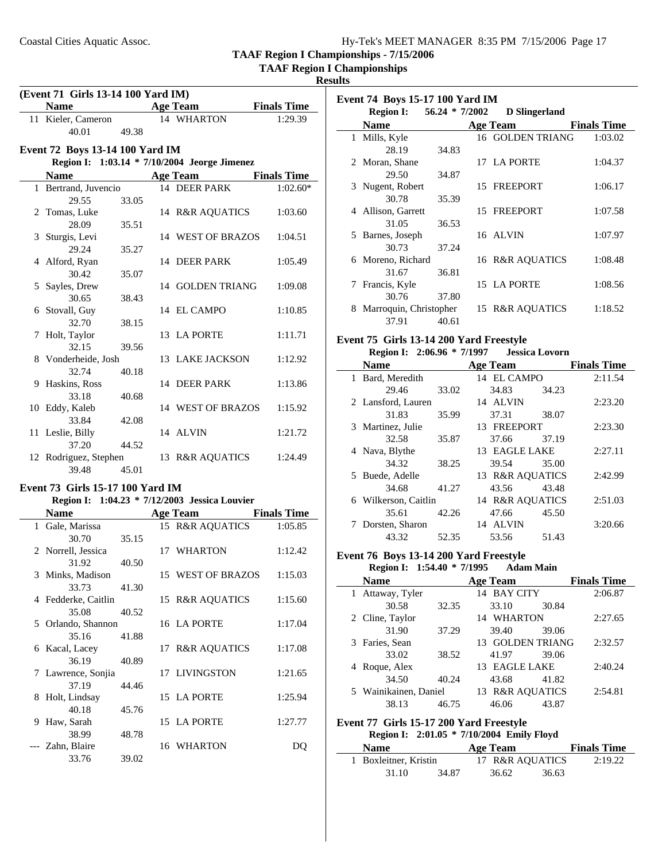**TAAF Region I Championships**

**Results**

 $\overline{\phantom{a}}$ 

 $\overline{\phantom{a}}$ 

| (Event 71 Girls 13-14 100 Yard IM) |                                  |       |    |                                               |                    |
|------------------------------------|----------------------------------|-------|----|-----------------------------------------------|--------------------|
|                                    | <b>Name</b>                      |       |    | <b>Age Team</b>                               | <b>Finals Time</b> |
|                                    | 11 Kieler, Cameron               |       |    | 14 WHARTON                                    | 1:29.39            |
|                                    | 40.01                            | 49.38 |    |                                               |                    |
|                                    | Event 72 Boys 13-14 100 Yard IM  |       |    |                                               |                    |
|                                    |                                  |       |    | Region I: 1:03.14 * 7/10/2004 Jeorge Jimenez  |                    |
|                                    | <b>Name</b>                      |       |    | Age Team                                      | <b>Finals Time</b> |
|                                    | 1 Bertrand, Juvencio             |       |    | 14 DEER PARK                                  | $1:02.60*$         |
|                                    | 29.55                            | 33.05 |    |                                               |                    |
|                                    | 2 Tomas, Luke                    |       |    | 14 R&R AQUATICS                               | 1:03.60            |
|                                    | 28.09                            | 35.51 |    |                                               |                    |
|                                    | 3 Sturgis, Levi                  |       |    | 14 WEST OF BRAZOS                             | 1:04.51            |
|                                    | 29.24                            | 35.27 |    |                                               |                    |
|                                    | 4 Alford, Ryan                   |       |    | 14 DEER PARK                                  | 1:05.49            |
|                                    | 30.42                            | 35.07 |    |                                               |                    |
|                                    | 5 Sayles, Drew                   |       |    | 14 GOLDEN TRIANG                              | 1:09.08            |
|                                    | 30.65                            | 38.43 |    |                                               |                    |
|                                    | 6 Stovall, Guy                   |       |    | 14 EL CAMPO                                   | 1:10.85            |
|                                    | 32.70                            | 38.15 |    | 13 LA PORTE                                   | 1:11.71            |
|                                    | 7 Holt, Taylor<br>32.15          | 39.56 |    |                                               |                    |
|                                    | 8 Vonderheide, Josh              |       |    | 13 LAKE JACKSON                               | 1:12.92            |
|                                    | 32.74                            | 40.18 |    |                                               |                    |
|                                    | 9 Haskins, Ross                  |       |    | 14 DEER PARK                                  | 1:13.86            |
|                                    | 33.18                            | 40.68 |    |                                               |                    |
|                                    | 10 Eddy, Kaleb                   |       |    | 14 WEST OF BRAZOS                             | 1:15.92            |
|                                    | 33.84                            | 42.08 |    |                                               |                    |
|                                    | 11 Leslie, Billy                 |       |    | 14 ALVIN                                      | 1:21.72            |
|                                    | 37.20                            | 44.52 |    |                                               |                    |
|                                    | 12 Rodriguez, Stephen            |       |    | 13 R&R AQUATICS                               | 1:24.49            |
|                                    | 39.48                            | 45.01 |    |                                               |                    |
|                                    | Event 73 Girls 15-17 100 Yard IM |       |    |                                               |                    |
|                                    |                                  |       |    | Region I: 1:04.23 * 7/12/2003 Jessica Louvier |                    |
|                                    | <b>Name</b>                      |       |    | Age Team                                      | <b>Finals Time</b> |
|                                    | 1 Gale, Marissa                  |       |    | 15 R&R AQUATICS                               | 1:05.85            |
|                                    | 30.70                            | 35.15 |    |                                               |                    |
|                                    | 2 Norrell, Jessica               |       |    | 17 WHARTON                                    | 1:12.42            |
|                                    | 31.92                            | 40.50 |    |                                               |                    |
|                                    | 3 Minks, Madison                 |       |    | 15 WEST OF BRAZOS                             | 1:15.03            |
|                                    | 33.73                            | 41.30 |    |                                               |                    |
|                                    | 4 Fedderke, Caitlin              |       |    | 15 R&R AQUATICS                               | 1:15.60            |
|                                    | 35.08                            | 40.52 |    |                                               |                    |
| 5                                  | Orlando, Shannon<br>35.16        |       |    | 16 LA PORTE                                   | 1:17.04            |
|                                    | 6 Kacal, Lacey                   | 41.88 |    | 17 R&R AQUATICS                               | 1:17.08            |
|                                    | 36.19                            | 40.89 |    |                                               |                    |
| 7                                  | Lawrence, Sonjia                 |       | 17 | <b>LIVINGSTON</b>                             | 1:21.65            |
|                                    | 37.19                            | 44.46 |    |                                               |                    |
|                                    | 8 Holt, Lindsay                  |       |    | 15 LA PORTE                                   | 1:25.94            |
|                                    | 40.18                            | 45.76 |    |                                               |                    |
| 9                                  | Haw, Sarah                       |       |    | 15 LA PORTE                                   | 1:27.77            |
|                                    | 38.99                            | 48.78 |    |                                               |                    |
|                                    | Zahn, Blaire                     |       |    | 16 WHARTON                                    | DQ                 |
|                                    | 33.76                            | 39.02 |    |                                               |                    |

|   | <b>Event 74 Boys 15-17 100 Yard IM</b> |                  |  |                      |                    |  |
|---|----------------------------------------|------------------|--|----------------------|--------------------|--|
|   | <b>Region I:</b>                       | $56.24 * 7/2002$ |  | <b>D</b> Slingerland |                    |  |
|   | Name                                   |                  |  | Age Team             | <b>Finals Time</b> |  |
| 1 | Mills, Kyle                            |                  |  | 16 GOLDEN TRIANG     | 1:03.02            |  |
|   | 28.19                                  | 34.83            |  |                      |                    |  |
|   | 2 Moran, Shane                         |                  |  | 17 LA PORTE          | 1:04.37            |  |
|   | 29.50                                  | 34.87            |  |                      |                    |  |
|   | 3 Nugent, Robert                       |                  |  | 15 FREEPORT          | 1:06.17            |  |
|   | 30.78                                  | 35.39            |  |                      |                    |  |
|   | 4 Allison, Garrett                     |                  |  | 15 FREEPORT          | 1:07.58            |  |
|   | 31.05                                  | 36.53            |  |                      |                    |  |
| 5 | Barnes, Joseph                         |                  |  | 16 ALVIN             | 1:07.97            |  |
|   | 30.73                                  | 37.24            |  |                      |                    |  |
|   | 6 Moreno, Richard                      |                  |  | 16 R&R AQUATICS      | 1:08.48            |  |
|   | 31.67                                  | 36.81            |  |                      |                    |  |
| 7 | Francis, Kyle                          |                  |  | 15 LA PORTE          | 1:08.56            |  |
|   | 30.76                                  | 37.80            |  |                      |                    |  |
| 8 | Marroquin, Christopher                 |                  |  | 15 R&R AQUATICS      | 1:18.52            |  |
|   | 37.91                                  | 40.61            |  |                      |                    |  |

#### **Event 75 Girls 13-14 200 Yard Freestyle Region I:** 2:06.96 \* 7/1997 **Jessica Lovorn**

| <b>Name</b>          |       | <b>Age Team</b> |       | <b>Finals Time</b> |
|----------------------|-------|-----------------|-------|--------------------|
| 1 Bard, Meredith     |       | 14 EL CAMPO     |       | 2:11.54            |
| 29.46                | 33.02 | 34.83           | 34.23 |                    |
| 2 Lansford, Lauren   |       | 14 ALVIN        |       | 2:23.20            |
| 31.83                | 35.99 | 37.31           | 38.07 |                    |
| 3 Martinez, Julie    |       | 13 FREEPORT     |       | 2:23.30            |
| 32.58                | 35.87 | 37.66           | 37.19 |                    |
| 4 Nava, Blythe       |       | 13 EAGLE LAKE   |       | 2:27.11            |
| 34.32                | 38.25 | 39.54           | 35.00 |                    |
| 5 Buede, Adelle      |       | 13 R&R AOUATICS |       | 2:42.99            |
| 34.68                | 41.27 | 43.56           | 43.48 |                    |
| 6 Wilkerson, Caitlin |       | 14 R&R AOUATICS |       | 2:51.03            |
| 35.61                | 42.26 | 47.66           | 45.50 |                    |
| Dorsten, Sharon      |       | 14 ALVIN        |       | 3:20.66            |
| 43.32                | 52.35 | 53.56           | 51.43 |                    |

#### **Event 76 Boys 13-14 200 Yard Freestyle Region I:** 1:54.40 \* 7/1995 **Adam Main**

| <b>Name</b>           |       | <b>Age Team</b>             |       | <b>Finals Time</b> |
|-----------------------|-------|-----------------------------|-------|--------------------|
| 1 Attaway, Tyler      |       | 14 BAY CITY                 |       | 2:06.87            |
| 30.58                 | 32.35 | 33.10                       | 30.84 |                    |
| 2 Cline, Taylor       |       | 14 WHARTON                  |       | 2:27.65            |
| 31.90                 | 37.29 | 39.40                       | 39.06 |                    |
| 3 Faries, Sean        |       | <b>GOLDEN TRIANG</b><br>13. |       | 2:32.57            |
| 33.02                 | 38.52 | 41.97                       | 39.06 |                    |
| 4 Roque, Alex         |       | 13 EAGLE LAKE               |       | 2:40.24            |
| 34.50                 | 40.24 | 43.68                       | 41.82 |                    |
| 5 Wainikainen, Daniel |       | 13 R&R AOUATICS             |       | 2:54.81            |
| 38.13                 | 46.75 | 46.06                       | 43.87 |                    |

# **Event 77 Girls 15-17 200 Yard Freestyle**

|                       |       | Region I: 2:01.05 * 7/10/2004 Emily Floyd |       |                    |
|-----------------------|-------|-------------------------------------------|-------|--------------------|
| <b>Name</b>           |       | Age Team                                  |       | <b>Finals Time</b> |
| 1 Boxleitner, Kristin |       | 17 R&R AOUATICS                           |       | 2:19.22            |
| 31.10                 | 34.87 | 36.62                                     | 36.63 |                    |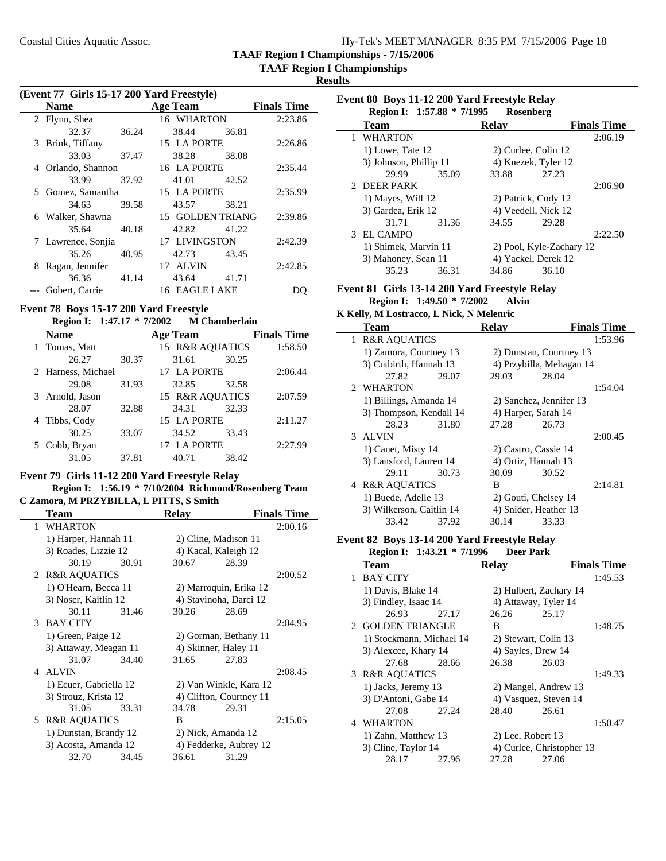**TAAF Region I Championships**

**Results**

÷

|  | (Event 77 Girls 15-17 200 Yard Freestyle) |  |  |
|--|-------------------------------------------|--|--|
|--|-------------------------------------------|--|--|

|    | <b>Name</b>        |       | <b>Age Team</b>      |       | <b>Finals Time</b> |
|----|--------------------|-------|----------------------|-------|--------------------|
|    | 2 Flynn, Shea      |       | 16 WHARTON           |       | 2:23.86            |
|    | 32.37              | 36.24 | 38.44                | 36.81 |                    |
| 3  | Brink, Tiffany     |       | 15 LA PORTE          |       | 2:26.86            |
|    | 33.03              | 37.47 | 38.28                | 38.08 |                    |
| 4  | Orlando, Shannon   |       | 16 LA PORTE          |       | 2:35.44            |
|    | 33.99              | 37.92 | 41.01                | 42.52 |                    |
| 5. | Gomez, Samantha    |       | 15 LA PORTE          |       | 2:35.99            |
|    | 34.63              | 39.58 | 43.57                | 38.21 |                    |
|    | 6 Walker, Shawna   |       | 15 GOLDEN TRIANG     |       | 2:39.86            |
|    | 35.64              | 40.18 | 42.82                | 41.22 |                    |
|    | 7 Lawrence, Sonjia |       | 17 LIVINGSTON        |       | 2:42.39            |
|    | 35.26              | 40.95 | 42.73                | 43.45 |                    |
| 8  | Ragan, Jennifer    |       | <b>ALVIN</b><br>17   |       | 2:42.85            |
|    | 36.36              | 41.14 | 43.64                | 41.71 |                    |
|    | Gobert, Carrie     |       | <b>16 EAGLE LAKE</b> |       |                    |

# **Event 78 Boys 15-17 200 Yard Freestyle**

| Region I: 1:47.17 * 7/2002 |  |  | <b>M</b> Chamberlain |
|----------------------------|--|--|----------------------|
|----------------------------|--|--|----------------------|

| <b>Name</b>        |       | <b>Age Team</b>            | <b>Finals Time</b> |
|--------------------|-------|----------------------------|--------------------|
| 1 Tomas, Matt      |       | <b>15 R&amp;R AOUATICS</b> | 1:58.50            |
| 26.27              | 30.37 | 31.61                      | 30.25              |
| 2 Harness, Michael |       | 17 LA PORTE                | 2:06.44            |
| 29.08              | 31.93 | 32.85                      | 32.58              |
| 3 Arnold, Jason    |       | 15 R&R AOUATICS            | 2:07.59            |
| 28.07              | 32.88 | 34.31                      | 32.33              |
| Tibbs, Cody        |       | 15 LA PORTE                | 2:11.27            |
| 30.25              | 33.07 | 34.52                      | 33.43              |
| 5 Cobb, Bryan      |       | 17 LA PORTE                | 2:27.99            |
| 31.05              | 37.81 | 40.71                      | 38.42              |

#### **Event 79 Girls 11-12 200 Yard Freestyle Relay**

#### **Region I: 1:56.19 \* 7/10/2004 Richmond/Rosenberg Team C Zamora, M PRZYBILLA, L PITTS, S Smith**

| Team                   |       | <b>Relay</b> |                         | <b>Finals Time</b> |
|------------------------|-------|--------------|-------------------------|--------------------|
| 1 WHARTON              |       |              |                         | 2:00.16            |
| 1) Harper, Hannah 11   |       |              | 2) Cline, Madison 11    |                    |
| 3) Roades, Lizzie 12   |       |              | 4) Kacal, Kaleigh 12    |                    |
| 30.19                  | 30.91 | 30.67        | 28.39                   |                    |
| 2 R&R AQUATICS         |       |              |                         | 2:00.52            |
| 1) O'Hearn, Becca 11   |       |              | 2) Marroquin, Erika 12  |                    |
| 3) Noser, Kaitlin 12   |       |              | 4) Stavinoha, Darci 12  |                    |
| 30.11                  | 31.46 | 30.26        | 28.69                   |                    |
| 3 BAY CITY             |       |              |                         | 2:04.95            |
| 1) Green, Paige 12     |       |              | 2) Gorman, Bethany 11   |                    |
| 3) Attaway, Meagan 11  |       |              | 4) Skinner, Haley 11    |                    |
| 31.07                  | 34.40 | 31.65        | 27.83                   |                    |
| 4 ALVIN                |       |              |                         | 2:08.45            |
| 1) Ecuer, Gabriella 12 |       |              | 2) Van Winkle, Kara 12  |                    |
| 3) Strouz, Krista 12   |       |              | 4) Clifton, Courtney 11 |                    |
| 31.05                  | 33.31 | 34.78        | 29.31                   |                    |
| 5 R&R AQUATICS         |       | B            |                         | 2:15.05            |
| 1) Dunstan, Brandy 12  |       |              | 2) Nick, Amanda 12      |                    |
| 3) Acosta, Amanda 12   |       |              | 4) Fedderke, Aubrey 12  |                    |
| 32.70                  | 34.45 | 36.61        | 31.29                   |                    |
|                        |       |              |                         |                    |

|              | Event 80 Boys 11-12 200 Yard Freestyle Relay<br>Region I: 1:57.88 * 7/1995<br>Rosenberg |       |              |                          |                    |  |  |
|--------------|-----------------------------------------------------------------------------------------|-------|--------------|--------------------------|--------------------|--|--|
|              | <b>Team</b>                                                                             |       | <b>Relay</b> |                          | <b>Finals Time</b> |  |  |
| $\mathbf{1}$ | WHARTON                                                                                 |       |              |                          | 2:06.19            |  |  |
|              | 1) Lowe, Tate 12                                                                        |       |              | 2) Curlee, Colin 12      |                    |  |  |
|              | 3) Johnson, Phillip 11                                                                  |       |              | 4) Knezek, Tyler 12      |                    |  |  |
|              | 29.99                                                                                   | 35.09 | 33.88        | 27.23                    |                    |  |  |
|              | 2 DEER PARK                                                                             |       |              |                          | 2:06.90            |  |  |
|              | 1) Mayes, Will 12                                                                       |       |              | 2) Patrick, Cody 12      |                    |  |  |
|              | 3) Gardea, Erik 12                                                                      |       |              | 4) Veedell, Nick 12      |                    |  |  |
|              | 31.71                                                                                   | 31.36 | 34.55        | 29.28                    |                    |  |  |
|              | 3 EL CAMPO                                                                              |       |              |                          | 2:22.50            |  |  |
|              | 1) Shimek, Marvin 11                                                                    |       |              | 2) Pool, Kyle-Zachary 12 |                    |  |  |
|              | 3) Mahoney, Sean 11                                                                     |       |              | 4) Yackel, Derek 12      |                    |  |  |
|              | 35.23                                                                                   | 36.31 | 34.86        | 36.10                    |                    |  |  |
|              |                                                                                         |       |              |                          |                    |  |  |

#### **Event 81 Girls 13-14 200 Yard Freestyle Relay Region I:** 1:49.50 \* 7/2002 Alvin

**K Kelly, M Lostracco, L Nick, N Melenric**

|   | <b>Team</b>              | <b>Relay</b>             | <b>Finals Time</b> |
|---|--------------------------|--------------------------|--------------------|
|   | 1 R&R AQUATICS           |                          | 1:53.96            |
|   | 1) Zamora, Courtney 13   | 2) Dunstan, Courtney 13  |                    |
|   | 3) Cutbirth, Hannah 13   | 4) Przybilla, Mehagan 14 |                    |
|   | 27.82<br>29.07           | 29.03                    | 28.04              |
|   | 2 WHARTON                |                          | 1:54.04            |
|   | 1) Billings, Amanda 14   | 2) Sanchez, Jennifer 13  |                    |
|   | 3) Thompson, Kendall 14  | 4) Harper, Sarah 14      |                    |
|   | 28.23<br>31.80           | 27.28                    | 26.73              |
|   | 3 ALVIN                  |                          | 2:00.45            |
|   | 1) Canet, Misty 14       | 2) Castro, Cassie 14     |                    |
|   | 3) Lansford, Lauren 14   | 4) Ortiz, Hannah 13      |                    |
|   | 30.73<br>29.11           | 30.09                    | 30.52              |
| 4 | <b>R&amp;R AQUATICS</b>  | B                        | 2:14.81            |
|   | 1) Buede, Adelle 13      | 2) Gouti, Chelsey 14     |                    |
|   | 3) Wilkerson, Caitlin 14 | 4) Snider, Heather 13    |                    |
|   | 33.42<br>37.92           | 30.14                    | 33.33              |

#### **Event 82 Boys 13-14 200 Yard Freestyle Relay Region I:** 1:43.21 \* 7/1996

|   | <b>Team</b>              |       | <b>Relay</b>          |                           | <b>Finals Time</b> |
|---|--------------------------|-------|-----------------------|---------------------------|--------------------|
|   | 1 BAY CITY               |       |                       |                           | 1:45.53            |
|   | 1) Davis, Blake 14       |       |                       | 2) Hulbert, Zachary 14    |                    |
|   | 3) Findley, Isaac 14     |       |                       | 4) Attaway, Tyler 14      |                    |
|   | 26.93                    | 27.17 | 26.26                 | 25.17                     |                    |
|   | 2 GOLDEN TRIANGLE        |       | B                     |                           | 1:48.75            |
|   | 1) Stockmann, Michael 14 |       | 2) Stewart, Colin 13  |                           |                    |
|   | 3) Alexcee, Khary 14     |       | 4) Sayles, Drew 14    |                           |                    |
|   | 27.68                    | 28.66 | 26.38                 | 26.03                     |                    |
| 3 | <b>R&amp;R AQUATICS</b>  |       |                       |                           | 1:49.33            |
|   | 1) Jacks, Jeremy 13      |       |                       | 2) Mangel, Andrew 13      |                    |
|   | 3) D'Antoni, Gabe 14     |       | 4) Vasquez, Steven 14 |                           |                    |
|   | 27.08                    | 27.24 | 28.40                 | 26.61                     |                    |
|   | 4 WHARTON                |       |                       |                           | 1:50.47            |
|   | 1) Zahn, Matthew 13      |       | 2) Lee, Robert 13     |                           |                    |
|   | 3) Cline, Taylor 14      |       |                       | 4) Curlee, Christopher 13 |                    |
|   | 28.17                    | 27.96 | 27.28                 | 27.06                     |                    |